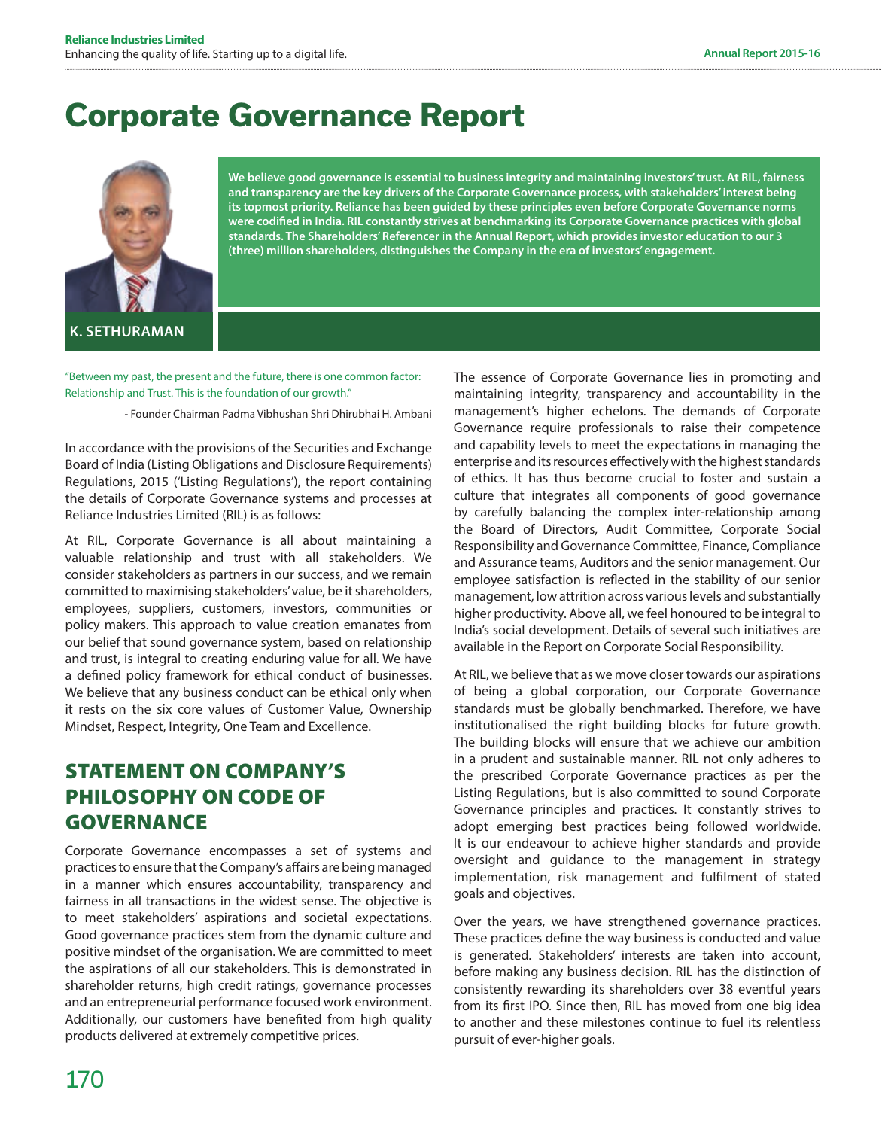# **Corporate Governance Report**



**We believe good governance is essential to business integrity and maintaining investors' trust. At RIL, fairness and transparency are the key drivers of the Corporate Governance process, with stakeholders' interest being its topmost priority. Reliance has been guided by these principles even before Corporate Governance norms were codified in India. RIL constantly strives at benchmarking its Corporate Governance practices with global standards. The Shareholders' Referencer in the Annual Report, which provides investor education to our 3 (three) million shareholders, distinguishes the Company in the era of investors' engagement.**

"Between my past, the present and the future, there is one common factor: Relationship and Trust. This is the foundation of our growth."

- Founder Chairman Padma Vibhushan Shri Dhirubhai H. Ambani

In accordance with the provisions of the Securities and Exchange Board of India (Listing Obligations and Disclosure Requirements) Regulations, 2015 ('Listing Regulations'), the report containing the details of Corporate Governance systems and processes at Reliance Industries Limited (RIL) is as follows:

At RIL, Corporate Governance is all about maintaining a valuable relationship and trust with all stakeholders. We consider stakeholders as partners in our success, and we remain committed to maximising stakeholders' value, be it shareholders, employees, suppliers, customers, investors, communities or policy makers. This approach to value creation emanates from our belief that sound governance system, based on relationship and trust, is integral to creating enduring value for all. We have a defined policy framework for ethical conduct of businesses. We believe that any business conduct can be ethical only when it rests on the six core values of Customer Value, Ownership Mindset, Respect, Integrity, One Team and Excellence.

## STATEMENT ON COMPANY'S PHILOSOPHY ON CODE OF GOVERNANCE

Corporate Governance encompasses a set of systems and practices to ensure that the Company's affairs are being managed in a manner which ensures accountability, transparency and fairness in all transactions in the widest sense. The objective is to meet stakeholders' aspirations and societal expectations. Good governance practices stem from the dynamic culture and positive mindset of the organisation. We are committed to meet the aspirations of all our stakeholders. This is demonstrated in shareholder returns, high credit ratings, governance processes and an entrepreneurial performance focused work environment. Additionally, our customers have benefited from high quality products delivered at extremely competitive prices.

The essence of Corporate Governance lies in promoting and maintaining integrity, transparency and accountability in the management's higher echelons. The demands of Corporate Governance require professionals to raise their competence and capability levels to meet the expectations in managing the enterprise and its resources effectively with the highest standards of ethics. It has thus become crucial to foster and sustain a culture that integrates all components of good governance by carefully balancing the complex inter-relationship among the Board of Directors, Audit Committee, Corporate Social Responsibility and Governance Committee, Finance, Compliance and Assurance teams, Auditors and the senior management. Our employee satisfaction is reflected in the stability of our senior management, low attrition across various levels and substantially higher productivity. Above all, we feel honoured to be integral to India's social development. Details of several such initiatives are available in the Report on Corporate Social Responsibility.

At RIL, we believe that as we move closer towards our aspirations of being a global corporation, our Corporate Governance standards must be globally benchmarked. Therefore, we have institutionalised the right building blocks for future growth. The building blocks will ensure that we achieve our ambition in a prudent and sustainable manner. RIL not only adheres to the prescribed Corporate Governance practices as per the Listing Regulations, but is also committed to sound Corporate Governance principles and practices. It constantly strives to adopt emerging best practices being followed worldwide. It is our endeavour to achieve higher standards and provide oversight and guidance to the management in strategy implementation, risk management and fulfilment of stated goals and objectives.

Over the years, we have strengthened governance practices. These practices define the way business is conducted and value is generated. Stakeholders' interests are taken into account, before making any business decision. RIL has the distinction of consistently rewarding its shareholders over 38 eventful years from its first IPO. Since then, RIL has moved from one big idea to another and these milestones continue to fuel its relentless pursuit of ever-higher goals.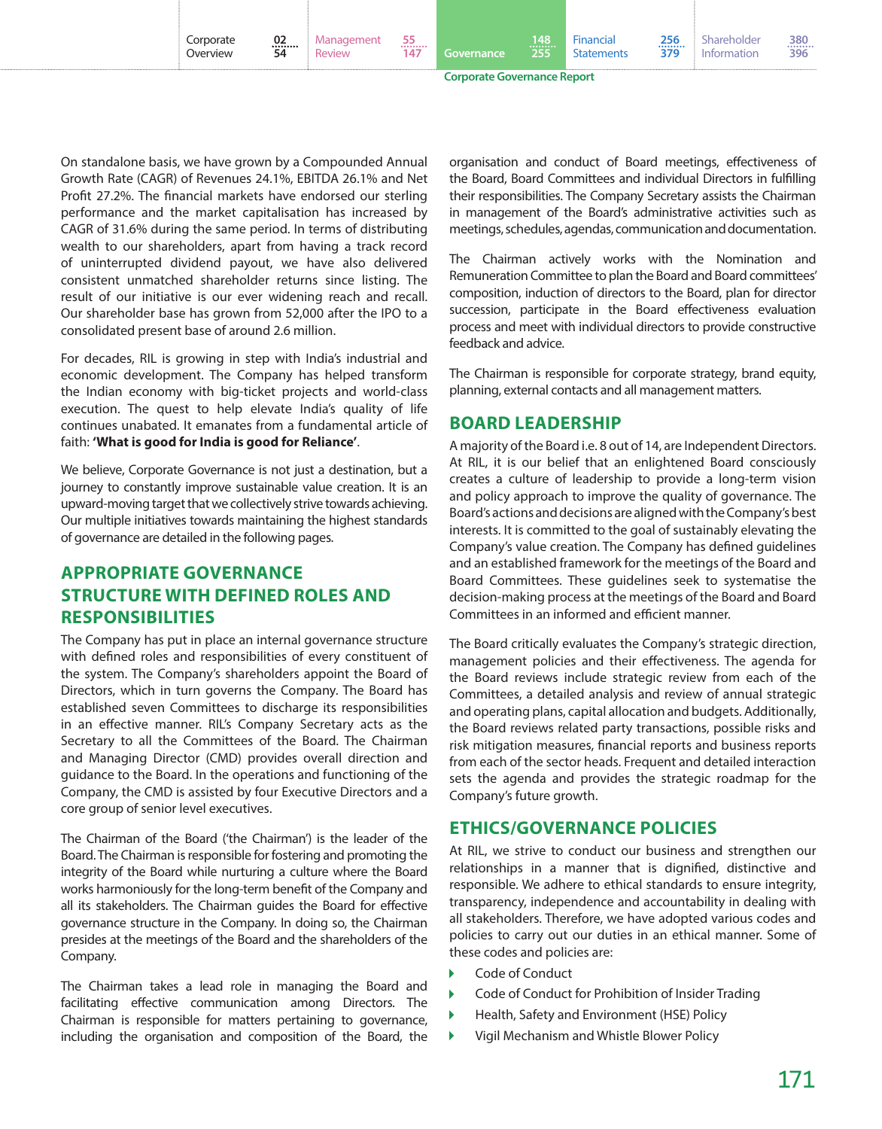Management **55 147**

Review

**02 54**





Shareholder Information

**256 379** **380 396**

**Corporate Governance Report**

On standalone basis, we have grown by a Compounded Annual Growth Rate (CAGR) of Revenues 24.1%, EBITDA 26.1% and Net Profit 27.2%. The financial markets have endorsed our sterling performance and the market capitalisation has increased by CAGR of 31.6% during the same period. In terms of distributing wealth to our shareholders, apart from having a track record of uninterrupted dividend payout, we have also delivered consistent unmatched shareholder returns since listing. The result of our initiative is our ever widening reach and recall. Our shareholder base has grown from 52,000 after the IPO to a consolidated present base of around 2.6 million.

For decades, RIL is growing in step with India's industrial and economic development. The Company has helped transform the Indian economy with big-ticket projects and world-class execution. The quest to help elevate India's quality of life continues unabated. It emanates from a fundamental article of faith: **'What is good for India is good for Reliance'**.

We believe, Corporate Governance is not just a destination, but a journey to constantly improve sustainable value creation. It is an upward-moving target that we collectively strive towards achieving. Our multiple initiatives towards maintaining the highest standards of governance are detailed in the following pages.

## **APPROPRIATE GOVERNANCE STRUCTURE WITH DEFINED ROLES AND RESPONSIBILITIES**

The Company has put in place an internal governance structure with defined roles and responsibilities of every constituent of the system. The Company's shareholders appoint the Board of Directors, which in turn governs the Company. The Board has established seven Committees to discharge its responsibilities in an effective manner. RIL's Company Secretary acts as the Secretary to all the Committees of the Board. The Chairman and Managing Director (CMD) provides overall direction and guidance to the Board. In the operations and functioning of the Company, the CMD is assisted by four Executive Directors and a core group of senior level executives.

The Chairman of the Board ('the Chairman') is the leader of the Board. The Chairman is responsible for fostering and promoting the integrity of the Board while nurturing a culture where the Board works harmoniously for the long-term benefit of the Company and all its stakeholders. The Chairman guides the Board for effective governance structure in the Company. In doing so, the Chairman presides at the meetings of the Board and the shareholders of the Company.

The Chairman takes a lead role in managing the Board and facilitating effective communication among Directors. The Chairman is responsible for matters pertaining to governance, including the organisation and composition of the Board, the

organisation and conduct of Board meetings, effectiveness of the Board, Board Committees and individual Directors in fulfilling their responsibilities. The Company Secretary assists the Chairman in management of the Board's administrative activities such as meetings, schedules, agendas, communication and documentation.

The Chairman actively works with the Nomination and Remuneration Committee to plan the Board and Board committees' composition, induction of directors to the Board, plan for director succession, participate in the Board effectiveness evaluation process and meet with individual directors to provide constructive feedback and advice.

The Chairman is responsible for corporate strategy, brand equity, planning, external contacts and all management matters.

## **BOARD LEADERSHIP**

A majority of the Board i.e. 8 out of 14, are Independent Directors. At RIL, it is our belief that an enlightened Board consciously creates a culture of leadership to provide a long-term vision and policy approach to improve the quality of governance. The Board's actions and decisions are aligned with the Company's best interests. It is committed to the goal of sustainably elevating the Company's value creation. The Company has defined guidelines and an established framework for the meetings of the Board and Board Committees. These guidelines seek to systematise the decision-making process at the meetings of the Board and Board Committees in an informed and efficient manner.

The Board critically evaluates the Company's strategic direction, management policies and their effectiveness. The agenda for the Board reviews include strategic review from each of the Committees, a detailed analysis and review of annual strategic and operating plans, capital allocation and budgets. Additionally, the Board reviews related party transactions, possible risks and risk mitigation measures, financial reports and business reports from each of the sector heads. Frequent and detailed interaction sets the agenda and provides the strategic roadmap for the Company's future growth.

## **ETHICS/GOVERNANCE POLICIES**

At RIL, we strive to conduct our business and strengthen our relationships in a manner that is dignified, distinctive and responsible. We adhere to ethical standards to ensure integrity, transparency, independence and accountability in dealing with all stakeholders. Therefore, we have adopted various codes and policies to carry out our duties in an ethical manner. Some of these codes and policies are:

- k Code of Conduct
- $\mathbf{b}$ Code of Conduct for Prohibition of Insider Trading
- $\mathbf{r}$ Health, Safety and Environment (HSE) Policy
- $\mathbf{r}$ Vigil Mechanism and Whistle Blower Policy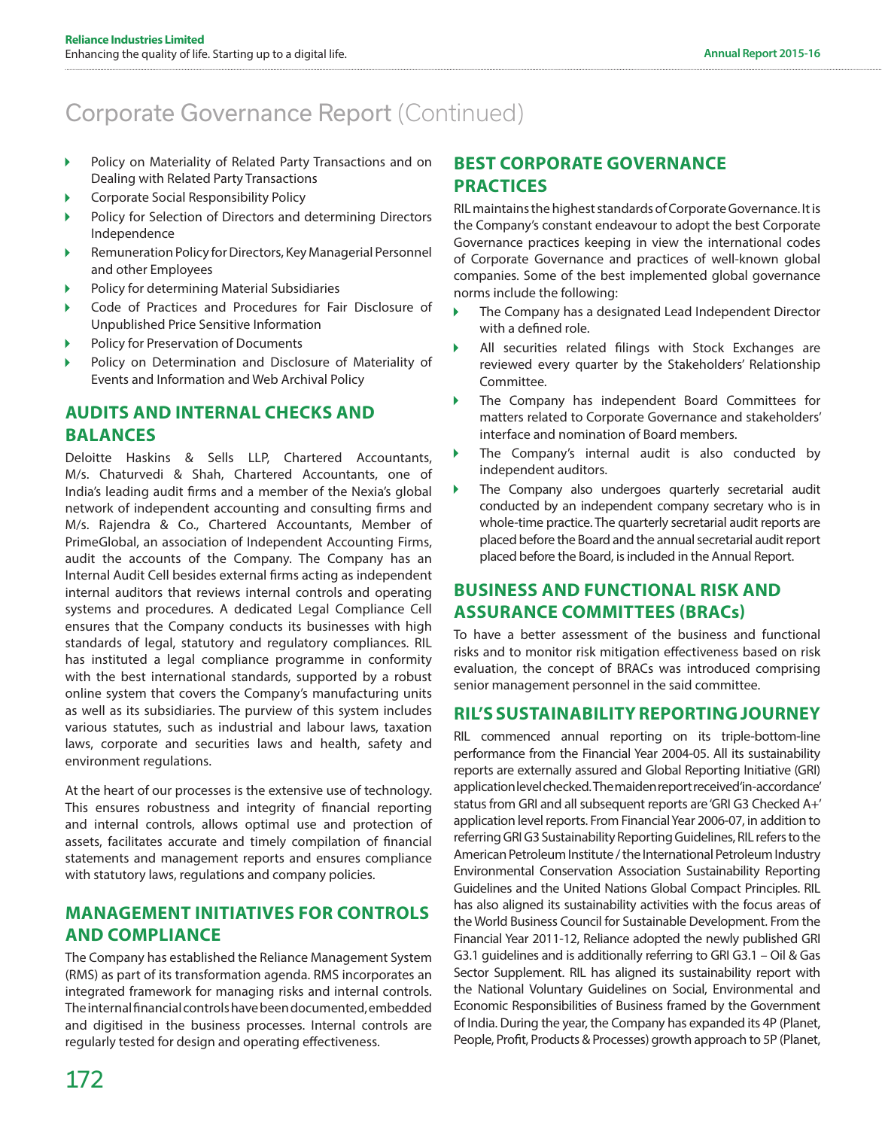- Policy on Materiality of Related Party Transactions and on Dealing with Related Party Transactions
- b Corporate Social Responsibility Policy
- Policy for Selection of Directors and determining Directors Independence
- Remuneration Policy for Directors, Key Managerial Personnel and other Employees
- Policy for determining Material Subsidiaries b
- Code of Practices and Procedures for Fair Disclosure of Unpublished Price Sensitive Information
- ь Policy for Preservation of Documents
- Policy on Determination and Disclosure of Materiality of Events and Information and Web Archival Policy

## **AUDITS AND INTERNAL CHECKS AND BALANCES**

Deloitte Haskins & Sells LLP, Chartered Accountants, M/s. Chaturvedi & Shah, Chartered Accountants, one of India's leading audit firms and a member of the Nexia's global network of independent accounting and consulting firms and M/s. Rajendra & Co., Chartered Accountants, Member of PrimeGlobal, an association of Independent Accounting Firms, audit the accounts of the Company. The Company has an Internal Audit Cell besides external firms acting as independent internal auditors that reviews internal controls and operating systems and procedures. A dedicated Legal Compliance Cell ensures that the Company conducts its businesses with high standards of legal, statutory and regulatory compliances. RIL has instituted a legal compliance programme in conformity with the best international standards, supported by a robust online system that covers the Company's manufacturing units as well as its subsidiaries. The purview of this system includes various statutes, such as industrial and labour laws, taxation laws, corporate and securities laws and health, safety and environment regulations.

At the heart of our processes is the extensive use of technology. This ensures robustness and integrity of financial reporting and internal controls, allows optimal use and protection of assets, facilitates accurate and timely compilation of financial statements and management reports and ensures compliance with statutory laws, regulations and company policies.

## **MANAGEMENT INITIATIVES FOR CONTROLS AND COMPLIANCE**

The Company has established the Reliance Management System (RMS) as part of its transformation agenda. RMS incorporates an integrated framework for managing risks and internal controls. The internal financial controls have been documented, embedded and digitised in the business processes. Internal controls are regularly tested for design and operating effectiveness.

## **BEST CORPORATE GOVERNANCE PRACTICES**

RIL maintains the highest standards of Corporate Governance. It is the Company's constant endeavour to adopt the best Corporate Governance practices keeping in view the international codes of Corporate Governance and practices of well-known global companies. Some of the best implemented global governance norms include the following:

- The Company has a designated Lead Independent Director with a defined role.
- All securities related filings with Stock Exchanges are reviewed every quarter by the Stakeholders' Relationship Committee.
- The Company has independent Board Committees for matters related to Corporate Governance and stakeholders' interface and nomination of Board members.
- The Company's internal audit is also conducted by independent auditors.
- The Company also undergoes quarterly secretarial audit conducted by an independent company secretary who is in whole-time practice. The quarterly secretarial audit reports are placed before the Board and the annual secretarial audit report placed before the Board, is included in the Annual Report.

## **BUSINESS AND FUNCTIONAL RISK AND ASSURANCE COMMITTEES (BRACs)**

To have a better assessment of the business and functional risks and to monitor risk mitigation effectiveness based on risk evaluation, the concept of BRACs was introduced comprising senior management personnel in the said committee.

## **RIL'S SUSTAINABILITY REPORTING JOURNEY**

RIL commenced annual reporting on its triple-bottom-line performance from the Financial Year 2004-05. All its sustainability reports are externally assured and Global Reporting Initiative (GRI) application level checked. The maiden report received 'in-accordance' status from GRI and all subsequent reports are 'GRI G3 Checked A+' application level reports. From Financial Year 2006-07, in addition to referring GRI G3 Sustainability Reporting Guidelines, RIL refers to the American Petroleum Institute / the International Petroleum Industry Environmental Conservation Association Sustainability Reporting Guidelines and the United Nations Global Compact Principles. RIL has also aligned its sustainability activities with the focus areas of the World Business Council for Sustainable Development. From the Financial Year 2011-12, Reliance adopted the newly published GRI G3.1 guidelines and is additionally referring to GRI G3.1 – Oil & Gas Sector Supplement. RIL has aligned its sustainability report with the National Voluntary Guidelines on Social, Environmental and Economic Responsibilities of Business framed by the Government of India. During the year, the Company has expanded its 4P (Planet, People, Profit, Products & Processes) growth approach to 5P (Planet,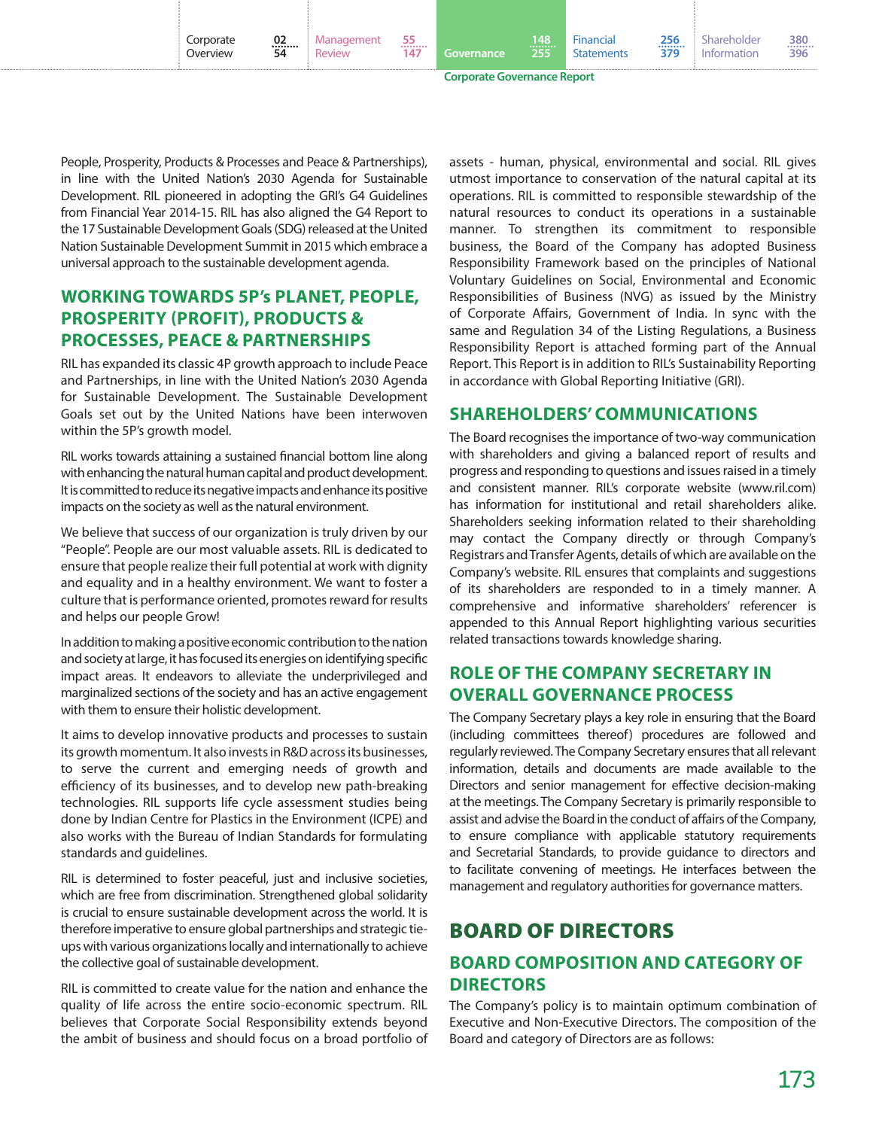Management Review

**Governance 148 255 55 147**

Shareholder Information

**256 379** **380 396**

**Corporate Governance Report**

Financial **Statements** 

People, Prosperity, Products & Processes and Peace & Partnerships), in line with the United Nation's 2030 Agenda for Sustainable Development. RIL pioneered in adopting the GRI's G4 Guidelines from Financial Year 2014-15. RIL has also aligned the G4 Report to the 17 Sustainable Development Goals (SDG) released at the United Nation Sustainable Development Summit in 2015 which embrace a universal approach to the sustainable development agenda.

**02 54**

## **WORKING TOWARDS 5P's PLANET, PEOPLE, PROSPERITY (PROFIT), PRODUCTS & PROCESSES, PEACE & PARTNERSHIPS**

RIL has expanded its classic 4P growth approach to include Peace and Partnerships, in line with the United Nation's 2030 Agenda for Sustainable Development. The Sustainable Development Goals set out by the United Nations have been interwoven within the 5P's growth model.

RIL works towards attaining a sustained financial bottom line along with enhancing the natural human capital and product development. It is committed to reduce its negative impacts and enhance its positive impacts on the society as well as the natural environment.

We believe that success of our organization is truly driven by our "People". People are our most valuable assets. RIL is dedicated to ensure that people realize their full potential at work with dignity and equality and in a healthy environment. We want to foster a culture that is performance oriented, promotes reward for results and helps our people Grow!

In addition to making a positive economic contribution to the nation and society at large, it has focused its energies on identifying specific impact areas. It endeavors to alleviate the underprivileged and marginalized sections of the society and has an active engagement with them to ensure their holistic development.

It aims to develop innovative products and processes to sustain its growth momentum. It also invests in R&D across its businesses, to serve the current and emerging needs of growth and efficiency of its businesses, and to develop new path-breaking technologies. RIL supports life cycle assessment studies being done by Indian Centre for Plastics in the Environment (ICPE) and also works with the Bureau of Indian Standards for formulating standards and guidelines.

RIL is determined to foster peaceful, just and inclusive societies, which are free from discrimination. Strengthened global solidarity is crucial to ensure sustainable development across the world. It is therefore imperative to ensure global partnerships and strategic tieups with various organizations locally and internationally to achieve the collective goal of sustainable development.

RIL is committed to create value for the nation and enhance the quality of life across the entire socio-economic spectrum. RIL believes that Corporate Social Responsibility extends beyond the ambit of business and should focus on a broad portfolio of assets - human, physical, environmental and social. RIL gives utmost importance to conservation of the natural capital at its operations. RIL is committed to responsible stewardship of the natural resources to conduct its operations in a sustainable manner. To strengthen its commitment to responsible business, the Board of the Company has adopted Business Responsibility Framework based on the principles of National Voluntary Guidelines on Social, Environmental and Economic Responsibilities of Business (NVG) as issued by the Ministry of Corporate Affairs, Government of India. In sync with the same and Regulation 34 of the Listing Regulations, a Business Responsibility Report is attached forming part of the Annual Report. This Report is in addition to RIL's Sustainability Reporting in accordance with Global Reporting Initiative (GRI).

## **SHAREHOLDERS' COMMUNICATIONS**

The Board recognises the importance of two-way communication with shareholders and giving a balanced report of results and progress and responding to questions and issues raised in a timely and consistent manner. RIL's corporate website (www.ril.com) has information for institutional and retail shareholders alike. Shareholders seeking information related to their shareholding may contact the Company directly or through Company's Registrars and Transfer Agents, details of which are available on the Company's website. RIL ensures that complaints and suggestions of its shareholders are responded to in a timely manner. A comprehensive and informative shareholders' referencer is appended to this Annual Report highlighting various securities related transactions towards knowledge sharing.

## **ROLE OF THE COMPANY SECRETARY IN OVERALL GOVERNANCE PROCESS**

The Company Secretary plays a key role in ensuring that the Board (including committees thereof) procedures are followed and regularly reviewed. The Company Secretary ensures that all relevant information, details and documents are made available to the Directors and senior management for effective decision-making at the meetings. The Company Secretary is primarily responsible to assist and advise the Board in the conduct of affairs of the Company, to ensure compliance with applicable statutory requirements and Secretarial Standards, to provide guidance to directors and to facilitate convening of meetings. He interfaces between the management and regulatory authorities for governance matters.

## BOARD OF DIRECTORS

## **BOARD COMPOSITION AND CATEGORY OF DIRECTORS**

The Company's policy is to maintain optimum combination of Executive and Non-Executive Directors. The composition of the Board and category of Directors are as follows: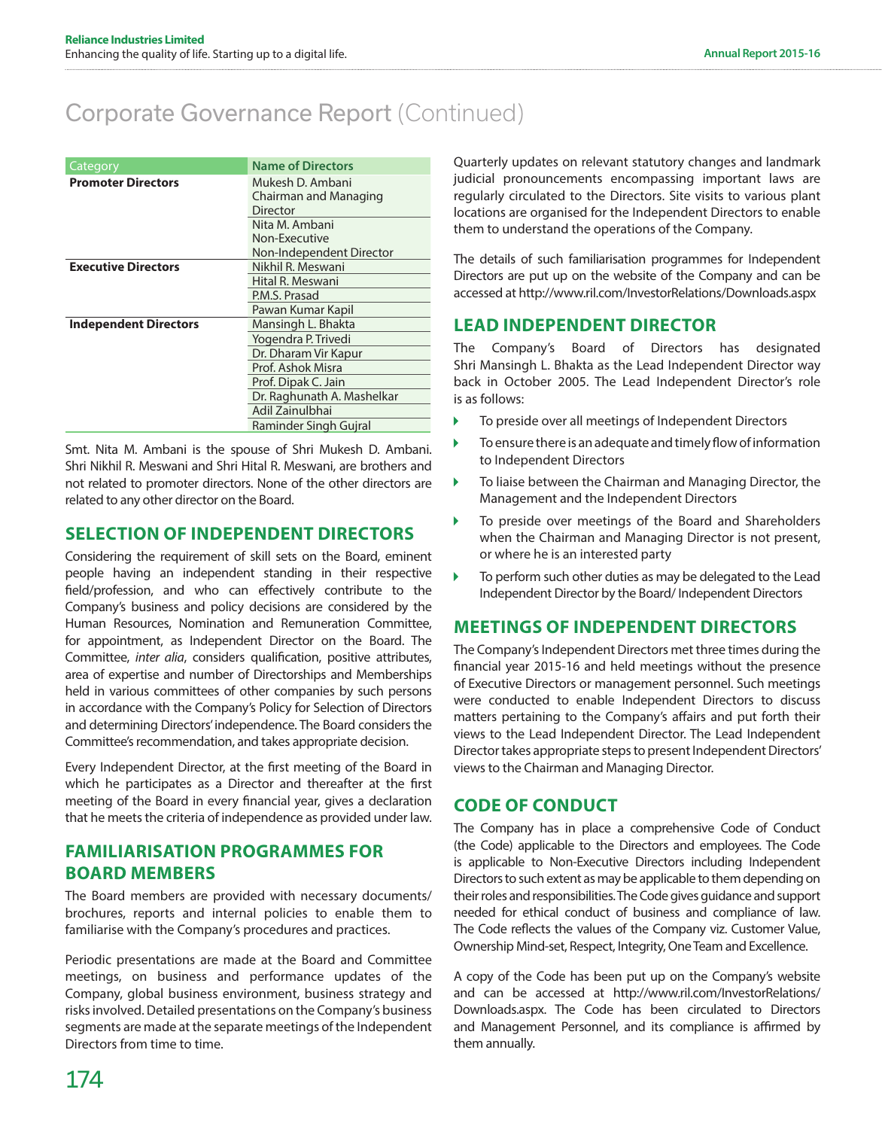| Category                     | <b>Name of Directors</b>   |  |
|------------------------------|----------------------------|--|
| <b>Promoter Directors</b>    | Mukesh D. Ambani           |  |
|                              | Chairman and Managing      |  |
|                              | Director                   |  |
|                              | Nita M. Ambani             |  |
|                              | Non-Executive              |  |
|                              | Non-Independent Director   |  |
| <b>Executive Directors</b>   | Nikhil R. Meswani          |  |
|                              | Hital R. Meswani           |  |
|                              | P.M.S. Prasad              |  |
|                              | Pawan Kumar Kapil          |  |
| <b>Independent Directors</b> | Mansingh L. Bhakta         |  |
|                              | Yogendra P. Trivedi        |  |
|                              | Dr. Dharam Vir Kapur       |  |
|                              | Prof. Ashok Misra          |  |
|                              | Prof. Dipak C. Jain        |  |
|                              | Dr. Raghunath A. Mashelkar |  |
|                              | Adil Zainulbhai            |  |
|                              | Raminder Singh Gujral      |  |

Smt. Nita M. Ambani is the spouse of Shri Mukesh D. Ambani. Shri Nikhil R. Meswani and Shri Hital R. Meswani, are brothers and not related to promoter directors. None of the other directors are related to any other director on the Board.

### **SELECTION OF INDEPENDENT DIRECTORS**

Considering the requirement of skill sets on the Board, eminent people having an independent standing in their respective field/profession, and who can effectively contribute to the Company's business and policy decisions are considered by the Human Resources, Nomination and Remuneration Committee, for appointment, as Independent Director on the Board. The Committee, *inter alia*, considers qualification, positive attributes, area of expertise and number of Directorships and Memberships held in various committees of other companies by such persons in accordance with the Company's Policy for Selection of Directors and determining Directors' independence. The Board considers the Committee's recommendation, and takes appropriate decision.

Every Independent Director, at the first meeting of the Board in which he participates as a Director and thereafter at the first meeting of the Board in every financial year, gives a declaration that he meets the criteria of independence as provided under law.

## **FAMILIARISATION PROGRAMMES FOR BOARD MEMBERS**

The Board members are provided with necessary documents/ brochures, reports and internal policies to enable them to familiarise with the Company's procedures and practices.

Periodic presentations are made at the Board and Committee meetings, on business and performance updates of the Company, global business environment, business strategy and risks involved. Detailed presentations on the Company's business segments are made at the separate meetings of the Independent Directors from time to time.

Quarterly updates on relevant statutory changes and landmark judicial pronouncements encompassing important laws are regularly circulated to the Directors. Site visits to various plant locations are organised for the Independent Directors to enable them to understand the operations of the Company.

The details of such familiarisation programmes for Independent Directors are put up on the website of the Company and can be accessed at http://www.ril.com/InvestorRelations/Downloads.aspx

## **LEAD INDEPENDENT DIRECTOR**

The Company's Board of Directors has designated Shri Mansingh L. Bhakta as the Lead Independent Director way back in October 2005. The Lead Independent Director's role is as follows:

- To preside over all meetings of Independent Directors
- To ensure there is an adequate and timely flow of information to Independent Directors
- To liaise between the Chairman and Managing Director, the Management and the Independent Directors
- To preside over meetings of the Board and Shareholders when the Chairman and Managing Director is not present, or where he is an interested party
- To perform such other duties as may be delegated to the Lead Independent Director by the Board/ Independent Directors

## **MEETINGS OF INDEPENDENT DIRECTORS**

The Company's Independent Directors met three times during the financial year 2015-16 and held meetings without the presence of Executive Directors or management personnel. Such meetings were conducted to enable Independent Directors to discuss matters pertaining to the Company's affairs and put forth their views to the Lead Independent Director. The Lead Independent Director takes appropriate steps to present Independent Directors' views to the Chairman and Managing Director.

## **CODE OF CONDUCT**

The Company has in place a comprehensive Code of Conduct (the Code) applicable to the Directors and employees. The Code is applicable to Non-Executive Directors including Independent Directors to such extent as may be applicable to them depending on their roles and responsibilities. The Code gives guidance and support needed for ethical conduct of business and compliance of law. The Code reflects the values of the Company viz. Customer Value, Ownership Mind-set, Respect, Integrity, One Team and Excellence.

A copy of the Code has been put up on the Company's website and can be accessed at http://www.ril.com/InvestorRelations/ Downloads.aspx. The Code has been circulated to Directors and Management Personnel, and its compliance is affirmed by them annually.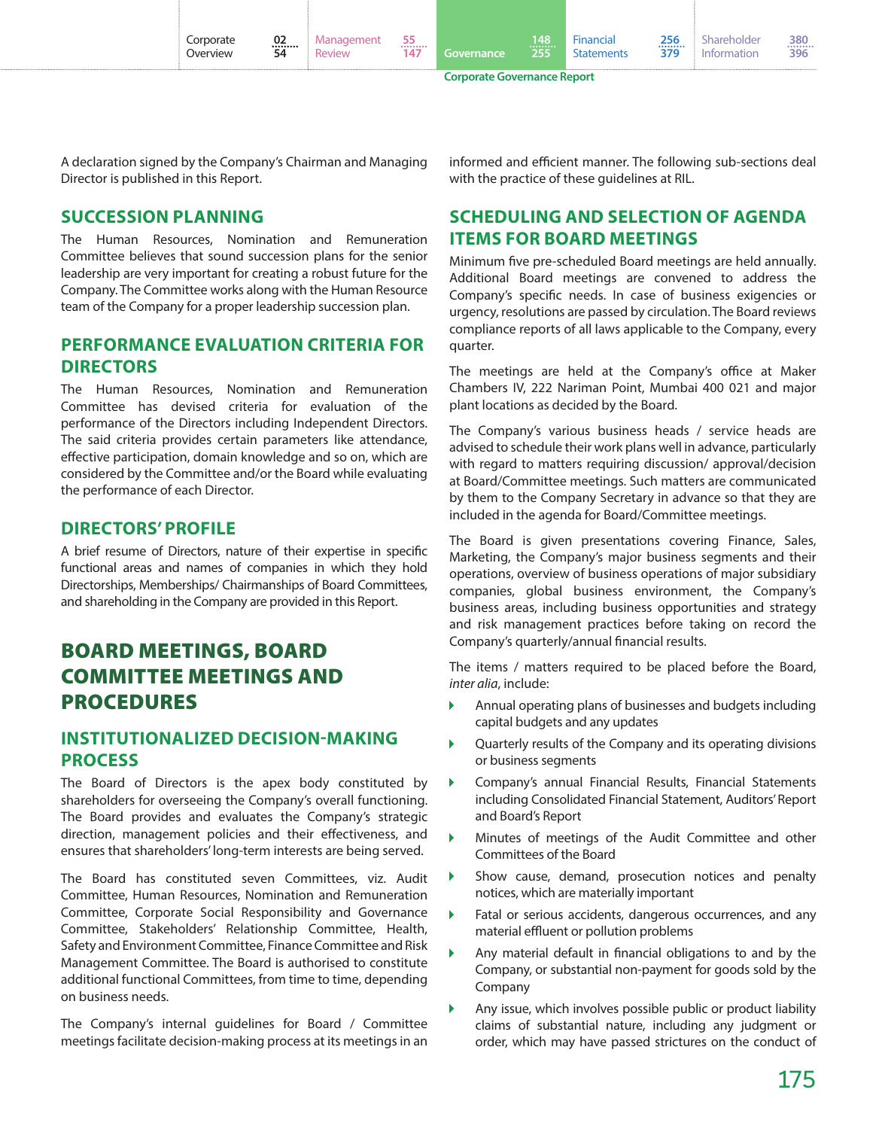Management Review

**02 54**

**Governance 148 255 55 147**

| Governance | 148<br> |
|------------|---------|
|            |         |

Shareholder Information **256 379 380 396**

**Corporate Governance Report**

A declaration signed by the Company's Chairman and Managing Director is published in this Report.

## **SUCCESSION PLANNING**

The Human Resources, Nomination and Remuneration Committee believes that sound succession plans for the senior leadership are very important for creating a robust future for the Company. The Committee works along with the Human Resource team of the Company for a proper leadership succession plan.

## **PERFORMANCE EVALUATION CRITERIA FOR DIRECTORS**

The Human Resources, Nomination and Remuneration Committee has devised criteria for evaluation of the performance of the Directors including Independent Directors. The said criteria provides certain parameters like attendance, effective participation, domain knowledge and so on, which are considered by the Committee and/or the Board while evaluating the performance of each Director.

## **DIRECTORS' PROFILE**

A brief resume of Directors, nature of their expertise in specific functional areas and names of companies in which they hold Directorships, Memberships/ Chairmanships of Board Committees, and shareholding in the Company are provided in this Report.

## BOARD MEETINGS, BOARD COMMITTEE MEETINGS AND PROCEDURES

## **INSTITUTIONALIZED DECISION-MAKING PROCESS**

The Board of Directors is the apex body constituted by shareholders for overseeing the Company's overall functioning. The Board provides and evaluates the Company's strategic direction, management policies and their effectiveness, and ensures that shareholders' long-term interests are being served.

The Board has constituted seven Committees, viz. Audit Committee, Human Resources, Nomination and Remuneration Committee, Corporate Social Responsibility and Governance Committee, Stakeholders' Relationship Committee, Health, Safety and Environment Committee, Finance Committee and Risk Management Committee. The Board is authorised to constitute additional functional Committees, from time to time, depending on business needs.

The Company's internal guidelines for Board / Committee meetings facilitate decision-making process at its meetings in an

informed and efficient manner. The following sub-sections deal with the practice of these guidelines at RIL.

Financial **Statements** 

## **SCHEDULING AND SELECTION OF AGENDA ITEMS FOR BOARD MEETINGS**

Minimum five pre-scheduled Board meetings are held annually. Additional Board meetings are convened to address the Company's specific needs. In case of business exigencies or urgency, resolutions are passed by circulation. The Board reviews compliance reports of all laws applicable to the Company, every quarter.

The meetings are held at the Company's office at Maker Chambers IV, 222 Nariman Point, Mumbai 400 021 and major plant locations as decided by the Board.

The Company's various business heads / service heads are advised to schedule their work plans well in advance, particularly with regard to matters requiring discussion/ approval/decision at Board/Committee meetings. Such matters are communicated by them to the Company Secretary in advance so that they are included in the agenda for Board/Committee meetings.

The Board is given presentations covering Finance, Sales, Marketing, the Company's major business segments and their operations, overview of business operations of major subsidiary companies, global business environment, the Company's business areas, including business opportunities and strategy and risk management practices before taking on record the Company's quarterly/annual financial results.

The items / matters required to be placed before the Board, *inter alia*, include:

- Annual operating plans of businesses and budgets including capital budgets and any updates
- Quarterly results of the Company and its operating divisions or business segments
- Company's annual Financial Results, Financial Statements including Consolidated Financial Statement, Auditors' Report and Board's Report
- Minutes of meetings of the Audit Committee and other Committees of the Board
- Show cause, demand, prosecution notices and penalty notices, which are materially important
- Fatal or serious accidents, dangerous occurrences, and any material effluent or pollution problems
- Any material default in financial obligations to and by the Company, or substantial non-payment for goods sold by the Company
- Any issue, which involves possible public or product liability claims of substantial nature, including any judgment or order, which may have passed strictures on the conduct of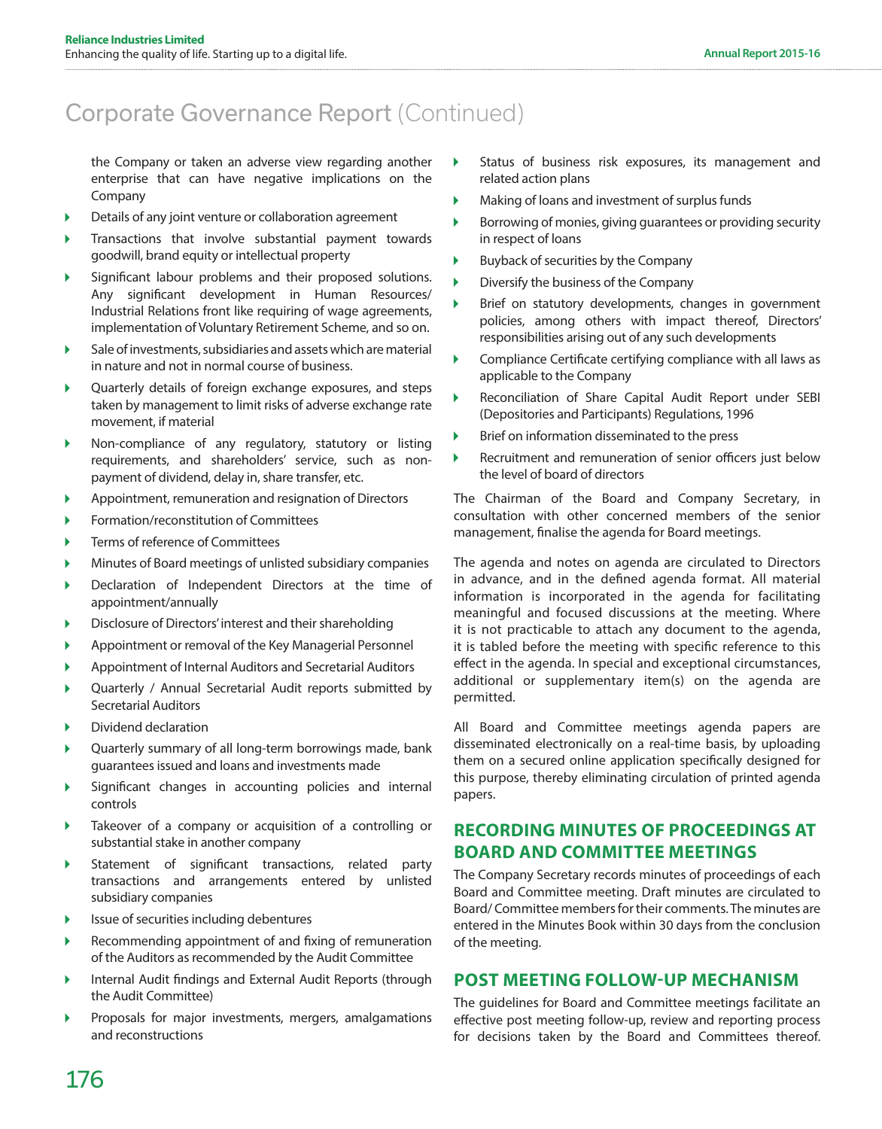the Company or taken an adverse view regarding another enterprise that can have negative implications on the Company

- Details of any joint venture or collaboration agreement
- Transactions that involve substantial payment towards goodwill, brand equity or intellectual property
- Significant labour problems and their proposed solutions. Any significant development in Human Resources/ Industrial Relations front like requiring of wage agreements, implementation of Voluntary Retirement Scheme, and so on.
- Sale of investments, subsidiaries and assets which are material in nature and not in normal course of business.
- Quarterly details of foreign exchange exposures, and steps taken by management to limit risks of adverse exchange rate movement, if material
- Non-compliance of any regulatory, statutory or listing requirements, and shareholders' service, such as nonpayment of dividend, delay in, share transfer, etc.
- Appointment, remuneration and resignation of Directors b
- Formation/reconstitution of Committees
- Terms of reference of Committees b
- Minutes of Board meetings of unlisted subsidiary companies
- Declaration of Independent Directors at the time of appointment/annually
- Disclosure of Directors' interest and their shareholding
- b Appointment or removal of the Key Managerial Personnel
- Appointment of Internal Auditors and Secretarial Auditors
- Quarterly / Annual Secretarial Audit reports submitted by b Secretarial Auditors
- Dividend declaration
- Quarterly summary of all long-term borrowings made, bank guarantees issued and loans and investments made
- Significant changes in accounting policies and internal controls
- Takeover of a company or acquisition of a controlling or substantial stake in another company
- Statement of significant transactions, related party transactions and arrangements entered by unlisted subsidiary companies
- Issue of securities including debentures
- Recommending appointment of and fixing of remuneration of the Auditors as recommended by the Audit Committee
- Internal Audit findings and External Audit Reports (through the Audit Committee)
- Proposals for major investments, mergers, amalgamations and reconstructions
- Status of business risk exposures, its management and related action plans
- Making of loans and investment of surplus funds
- Borrowing of monies, giving guarantees or providing security in respect of loans
- Buyback of securities by the Company
- Diversify the business of the Company
- Brief on statutory developments, changes in government policies, among others with impact thereof, Directors' responsibilities arising out of any such developments
- Compliance Certificate certifying compliance with all laws as applicable to the Company
- Reconciliation of Share Capital Audit Report under SEBI (Depositories and Participants) Regulations, 1996
- Brief on information disseminated to the press
- Recruitment and remuneration of senior officers just below the level of board of directors

The Chairman of the Board and Company Secretary, in consultation with other concerned members of the senior management, finalise the agenda for Board meetings.

The agenda and notes on agenda are circulated to Directors in advance, and in the defined agenda format. All material information is incorporated in the agenda for facilitating meaningful and focused discussions at the meeting. Where it is not practicable to attach any document to the agenda, it is tabled before the meeting with specific reference to this effect in the agenda. In special and exceptional circumstances, additional or supplementary item(s) on the agenda are permitted.

All Board and Committee meetings agenda papers are disseminated electronically on a real-time basis, by uploading them on a secured online application specifically designed for this purpose, thereby eliminating circulation of printed agenda papers.

## **RECORDING MINUTES OF PROCEEDINGS AT BOARD AND COMMITTEE MEETINGS**

The Company Secretary records minutes of proceedings of each Board and Committee meeting. Draft minutes are circulated to Board/ Committee members for their comments. The minutes are entered in the Minutes Book within 30 days from the conclusion of the meeting.

### **POST MEETING FOLLOW-UP MECHANISM**

The guidelines for Board and Committee meetings facilitate an effective post meeting follow-up, review and reporting process for decisions taken by the Board and Committees thereof.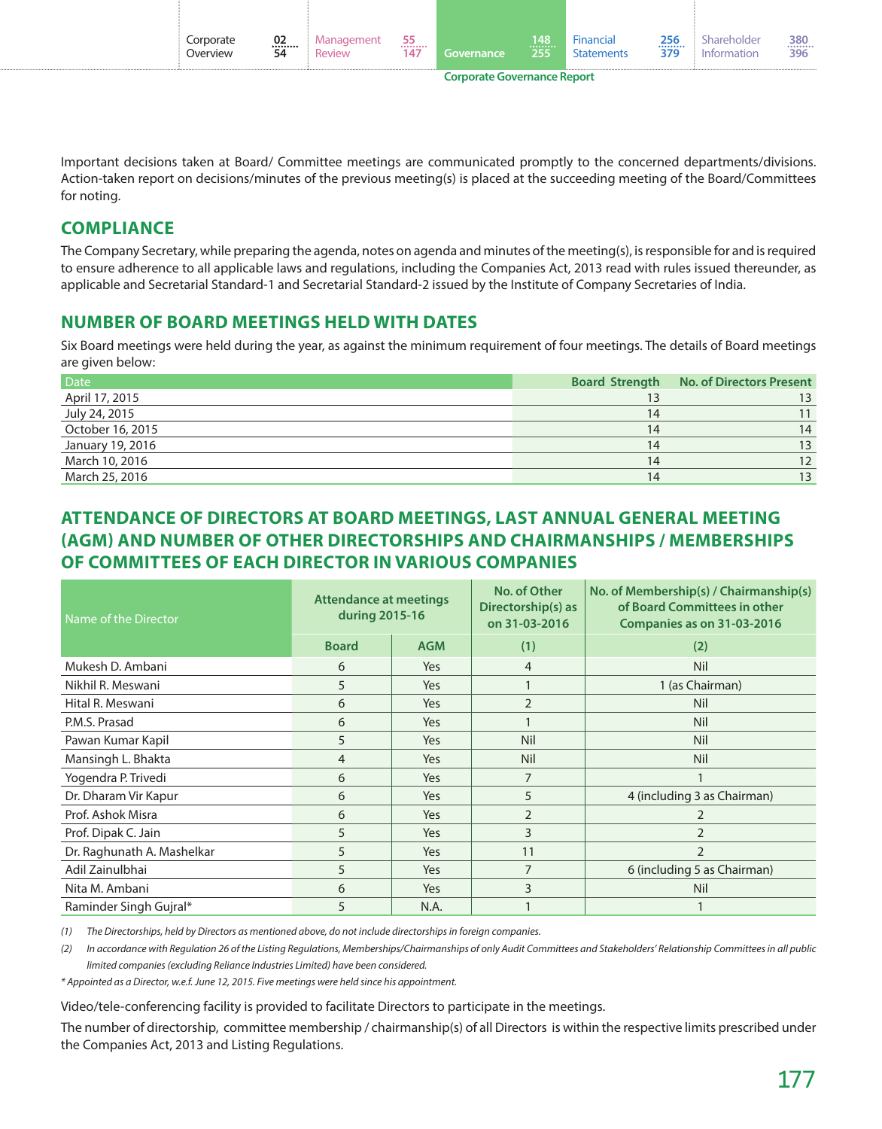**02 54** Management Review





**380 396**

| <b>Corporate Governance Report</b> |  |
|------------------------------------|--|
|------------------------------------|--|

Important decisions taken at Board/ Committee meetings are communicated promptly to the concerned departments/divisions. Action-taken report on decisions/minutes of the previous meeting(s) is placed at the succeeding meeting of the Board/Committees for noting.

**55**

## **COMPLIANCE**

The Company Secretary, while preparing the agenda, notes on agenda and minutes of the meeting(s), is responsible for and is required to ensure adherence to all applicable laws and regulations, including the Companies Act, 2013 read with rules issued thereunder, as applicable and Secretarial Standard-1 and Secretarial Standard-2 issued by the Institute of Company Secretaries of India.

## **NUMBER OF BOARD MEETINGS HELD WITH DATES**

Six Board meetings were held during the year, as against the minimum requirement of four meetings. The details of Board meetings are given below:

| <b>Date</b>      |    | Board Strength No. of Directors Present |
|------------------|----|-----------------------------------------|
| April 17, 2015   | 13 | 13                                      |
| July 24, 2015    | 14 |                                         |
| October 16, 2015 | 14 | 14                                      |
| January 19, 2016 | 14 | 13                                      |
| March 10, 2016   | 14 | 12                                      |
| March 25, 2016   | 14 | 13                                      |

## **ATTENDANCE OF DIRECTORS AT BOARD MEETINGS, LAST ANNUAL GENERAL MEETING (AGM) AND NUMBER OF OTHER DIRECTORSHIPS AND CHAIRMANSHIPS / MEMBERSHIPS OF COMMITTEES OF EACH DIRECTOR IN VARIOUS COMPANIES**

| Name of the Director       | <b>Attendance at meetings</b><br>during 2015-16 |            | No. of Other<br>Directorship(s) as<br>on 31-03-2016 | No. of Membership(s) / Chairmanship(s)<br>of Board Committees in other<br>Companies as on 31-03-2016 |
|----------------------------|-------------------------------------------------|------------|-----------------------------------------------------|------------------------------------------------------------------------------------------------------|
|                            | <b>Board</b>                                    | <b>AGM</b> | (1)                                                 | (2)                                                                                                  |
| Mukesh D. Ambani           | 6                                               | Yes        | $\overline{4}$                                      | Nil                                                                                                  |
| Nikhil R. Meswani          | 5                                               | Yes        |                                                     | 1 (as Chairman)                                                                                      |
| Hital R. Meswani           | 6                                               | Yes        | $\overline{2}$                                      | Nil                                                                                                  |
| P.M.S. Prasad              | 6                                               | Yes        |                                                     | Nil                                                                                                  |
| Pawan Kumar Kapil          | 5                                               | Yes        | Nil                                                 | Nil                                                                                                  |
| Mansingh L. Bhakta         | 4                                               | Yes        | <b>Nil</b>                                          | Nil                                                                                                  |
| Yogendra P. Trivedi        | 6                                               | Yes        | 7                                                   |                                                                                                      |
| Dr. Dharam Vir Kapur       | 6                                               | Yes        | 5                                                   | 4 (including 3 as Chairman)                                                                          |
| Prof. Ashok Misra          | 6                                               | Yes        | 2                                                   |                                                                                                      |
| Prof. Dipak C. Jain        | 5                                               | Yes        | 3                                                   | 2                                                                                                    |
| Dr. Raghunath A. Mashelkar | 5                                               | Yes        | 11                                                  | $\overline{2}$                                                                                       |
| Adil Zainulbhai            | 5                                               | Yes        | $\overline{7}$                                      | 6 (including 5 as Chairman)                                                                          |
| Nita M. Ambani             | 6                                               | Yes        | 3                                                   | Nil                                                                                                  |
| Raminder Singh Gujral*     | 5                                               | N.A.       |                                                     |                                                                                                      |

*(1) The Directorships, held by Directors as mentioned above, do not include directorships in foreign companies.*

*(2) In accordance with Regulation 26 of the Listing Regulations, Memberships/Chairmanships of only Audit Committees and Stakeholders' Relationship Committees in all public limited companies (excluding Reliance Industries Limited) have been considered.*

*\* Appointed as a Director, w.e.f. June 12, 2015. Five meetings were held since his appointment.*

Video/tele-conferencing facility is provided to facilitate Directors to participate in the meetings.

The number of directorship, committee membership / chairmanship(s) of all Directors is within the respective limits prescribed under the Companies Act, 2013 and Listing Regulations.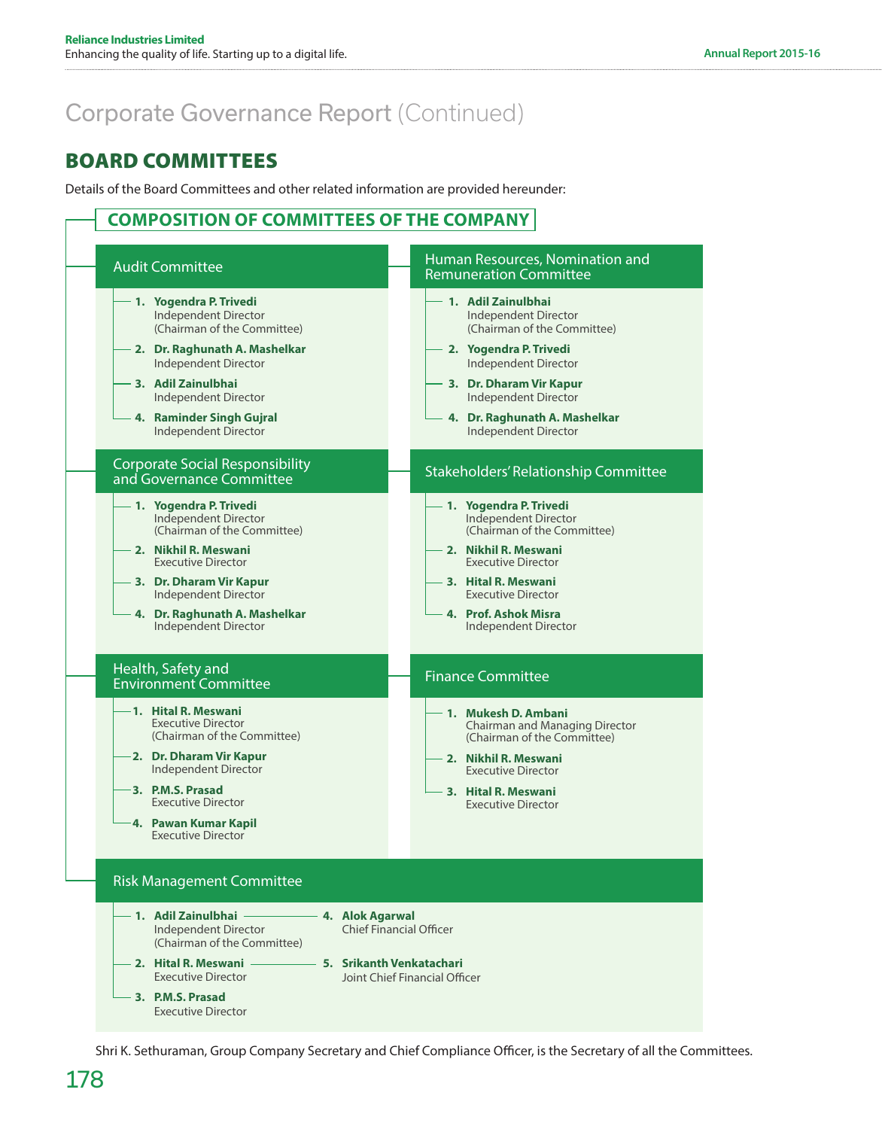## BOARD COMMITTEES

Details of the Board Committees and other related information are provided hereunder:

#### Audit Committee **1. Yogendra P. Trivedi** Independent Director (Chairman of the Committee) **2. Nikhil R. Meswani**  Executive Director **3. Hital R. Meswani** Executive Director **4. Prof. Ashok Misra**  Independent Director Stakeholders' Relationship Committee **1. Yogendra P. Trivedi**  Independent Director (Chairman of the Committee) **2. Dr. Raghunath A. Mashelkar** Independent Director **3. Adil Zainulbhai** Independent Director **4. Raminder Singh Gujral** Independent Director Corporate Social Responsibility and Governance Committee **1. Yogendra P. Trivedi** Independent Director (Chairman of the Committee) **2. Nikhil R. Meswani**  Executive Director **3. Dr. Dharam Vir Kapur** Independent Director **4. Dr. Raghunath A. Mashelkar** Independent Director Health, Safety and Environment Committee **1. Hital R. Meswani**  Executive Director (Chairman of the Committee) **2. Dr. Dharam Vir Kapur**  Independent Director **3. P.M.S. Prasad**  Executive Director **4. Pawan Kumar Kapil** Executive Director Human Resources, Nomination and Remuneration Committee **1. Adil Zainulbhai** Independent Director (Chairman of the Committee) **2. Yogendra P. Trivedi** Independent Director **3. Dr. Dharam Vir Kapur** Independent Director **4. Dr. Raghunath A. Mashelkar** Independent Director Finance Committee **1. Mukesh D. Ambani** Chairman and Managing Director (Chairman of the Committee) **2. Nikhil R. Meswani** Executive Director **3. Hital R. Meswani** Executive Director Risk Management Committee **1. Adil Zainulbhai** Independent Director (Chairman of the Committee) **2. Hital R. Meswani** Executive Director **3. P.M.S. Prasad** Executive Director **4. Alok Agarwal** Chief Financial Officer **5. Srikanth Venkatachari** Joint Chief Financial Officer **COMPOSITION OF COMMITTEES OF THE COMPANY**

Shri K. Sethuraman, Group Company Secretary and Chief Compliance Officer, is the Secretary of all the Committees.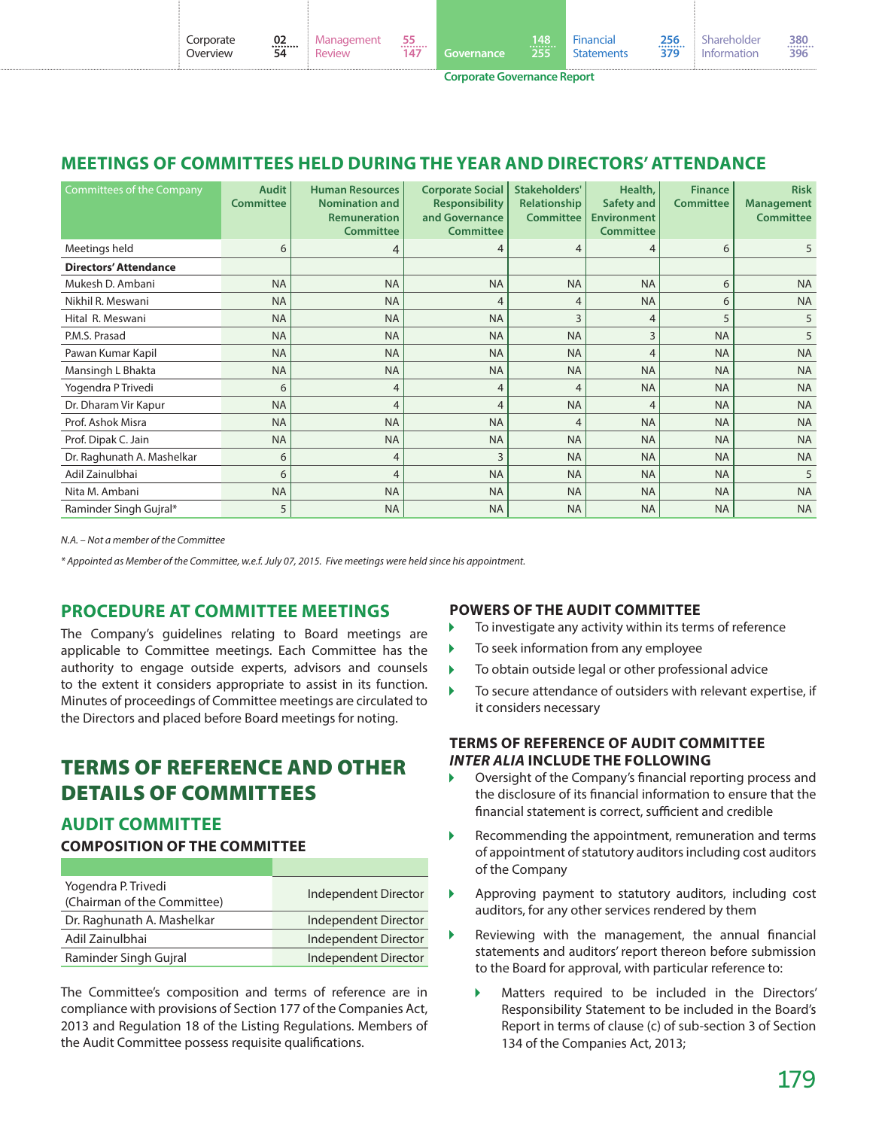Management Review

**02 54** **Governance 255**

Financial **Statements 148**

Shareholder Information **256 379**

**380 396**

**Corporate Governance Report**

## **MEETINGS OF COMMITTEES HELD DURING THE YEAR AND DIRECTORS' ATTENDANCE**

**55 147**

| Committees of the Company    | <b>Audit</b><br><b>Committee</b> | <b>Human Resources</b><br><b>Nomination and</b><br><b>Remuneration</b><br><b>Committee</b> | <b>Corporate Social</b><br><b>Responsibility</b><br>and Governance<br><b>Committee</b> | Stakeholders'<br>Relationship<br><b>Committee</b> | Health,<br><b>Safety and</b><br><b>Environment</b><br><b>Committee</b> | <b>Finance</b><br><b>Committee</b> | <b>Risk</b><br><b>Management</b><br><b>Committee</b> |
|------------------------------|----------------------------------|--------------------------------------------------------------------------------------------|----------------------------------------------------------------------------------------|---------------------------------------------------|------------------------------------------------------------------------|------------------------------------|------------------------------------------------------|
| Meetings held                | 6                                | 4                                                                                          | 4                                                                                      | 4                                                 | 4                                                                      | 6                                  | 5                                                    |
| <b>Directors' Attendance</b> |                                  |                                                                                            |                                                                                        |                                                   |                                                                        |                                    |                                                      |
| Mukesh D. Ambani             | <b>NA</b>                        | <b>NA</b>                                                                                  | <b>NA</b>                                                                              | <b>NA</b>                                         | <b>NA</b>                                                              | 6                                  | <b>NA</b>                                            |
| Nikhil R. Meswani            | <b>NA</b>                        | <b>NA</b>                                                                                  | $\overline{4}$                                                                         | $\overline{4}$                                    | <b>NA</b>                                                              | 6                                  | <b>NA</b>                                            |
| Hital R. Meswani             | <b>NA</b>                        | <b>NA</b>                                                                                  | <b>NA</b>                                                                              | 3                                                 | 4                                                                      | 5                                  | 5                                                    |
| P.M.S. Prasad                | <b>NA</b>                        | <b>NA</b>                                                                                  | <b>NA</b>                                                                              | <b>NA</b>                                         | 3                                                                      | <b>NA</b>                          | 5                                                    |
| Pawan Kumar Kapil            | <b>NA</b>                        | <b>NA</b>                                                                                  | <b>NA</b>                                                                              | <b>NA</b>                                         | 4                                                                      | <b>NA</b>                          | <b>NA</b>                                            |
| Mansingh L Bhakta            | <b>NA</b>                        | <b>NA</b>                                                                                  | <b>NA</b>                                                                              | <b>NA</b>                                         | <b>NA</b>                                                              | <b>NA</b>                          | <b>NA</b>                                            |
| Yogendra P Trivedi           | 6                                | $\overline{4}$                                                                             | $\overline{4}$                                                                         | $\overline{4}$                                    | <b>NA</b>                                                              | <b>NA</b>                          | <b>NA</b>                                            |
| Dr. Dharam Vir Kapur         | <b>NA</b>                        | 4                                                                                          | 4                                                                                      | <b>NA</b>                                         | $\overline{4}$                                                         | <b>NA</b>                          | <b>NA</b>                                            |
| Prof. Ashok Misra            | <b>NA</b>                        | <b>NA</b>                                                                                  | <b>NA</b>                                                                              | $\overline{4}$                                    | <b>NA</b>                                                              | <b>NA</b>                          | <b>NA</b>                                            |
| Prof. Dipak C. Jain          | <b>NA</b>                        | <b>NA</b>                                                                                  | <b>NA</b>                                                                              | <b>NA</b>                                         | <b>NA</b>                                                              | <b>NA</b>                          | <b>NA</b>                                            |
| Dr. Raghunath A. Mashelkar   | 6                                | 4                                                                                          | 3                                                                                      | <b>NA</b>                                         | <b>NA</b>                                                              | <b>NA</b>                          | <b>NA</b>                                            |
| Adil Zainulbhai              | 6                                | 4                                                                                          | <b>NA</b>                                                                              | <b>NA</b>                                         | <b>NA</b>                                                              | <b>NA</b>                          | 5                                                    |
| Nita M. Ambani               | <b>NA</b>                        | <b>NA</b>                                                                                  | <b>NA</b>                                                                              | <b>NA</b>                                         | <b>NA</b>                                                              | <b>NA</b>                          | <b>NA</b>                                            |
| Raminder Singh Gujral*       | 5                                | <b>NA</b>                                                                                  | <b>NA</b>                                                                              | <b>NA</b>                                         | <b>NA</b>                                                              | <b>NA</b>                          | <b>NA</b>                                            |

*N.A. – Not a member of the Committee*

*\* Appointed as Member of the Committee, w.e.f. July 07, 2015. Five meetings were held since his appointment.*

## **PROCEDURE AT COMMITTEE MEETINGS**

The Company's guidelines relating to Board meetings are applicable to Committee meetings. Each Committee has the authority to engage outside experts, advisors and counsels to the extent it considers appropriate to assist in its function. Minutes of proceedings of Committee meetings are circulated to the Directors and placed before Board meetings for noting.

## TERMS OF REFERENCE AND OTHER DETAILS OF COMMITTEES

## **AUDIT COMMITTEE**

#### **COMPOSITION OF THE COMMITTEE**

| Yogendra P. Trivedi<br>(Chairman of the Committee) | Independent Director |
|----------------------------------------------------|----------------------|
| Dr. Raghunath A. Mashelkar                         | Independent Director |
| Adil Zainulbhai                                    | Independent Director |
| Raminder Singh Gujral                              | Independent Director |

The Committee's composition and terms of reference are in compliance with provisions of Section 177 of the Companies Act, 2013 and Regulation 18 of the Listing Regulations. Members of the Audit Committee possess requisite qualifications.

### **POWERS OF THE AUDIT COMMITTEE**

- To investigate any activity within its terms of reference
- ь To seek information from any employee
- $\blacktriangleright$ To obtain outside legal or other professional advice
- To secure attendance of outsiders with relevant expertise, if it considers necessary

#### **TERMS OF REFERENCE OF AUDIT COMMITTEE**  *INTER ALIA* **INCLUDE THE FOLLOWING**

- Oversight of the Company's financial reporting process and the disclosure of its financial information to ensure that the financial statement is correct, sufficient and credible
- Recommending the appointment, remuneration and terms of appointment of statutory auditors including cost auditors of the Company
- Approving payment to statutory auditors, including cost auditors, for any other services rendered by them
- Reviewing with the management, the annual financial statements and auditors' report thereon before submission to the Board for approval, with particular reference to:
	- Matters required to be included in the Directors' Responsibility Statement to be included in the Board's Report in terms of clause (c) of sub-section 3 of Section 134 of the Companies Act, 2013;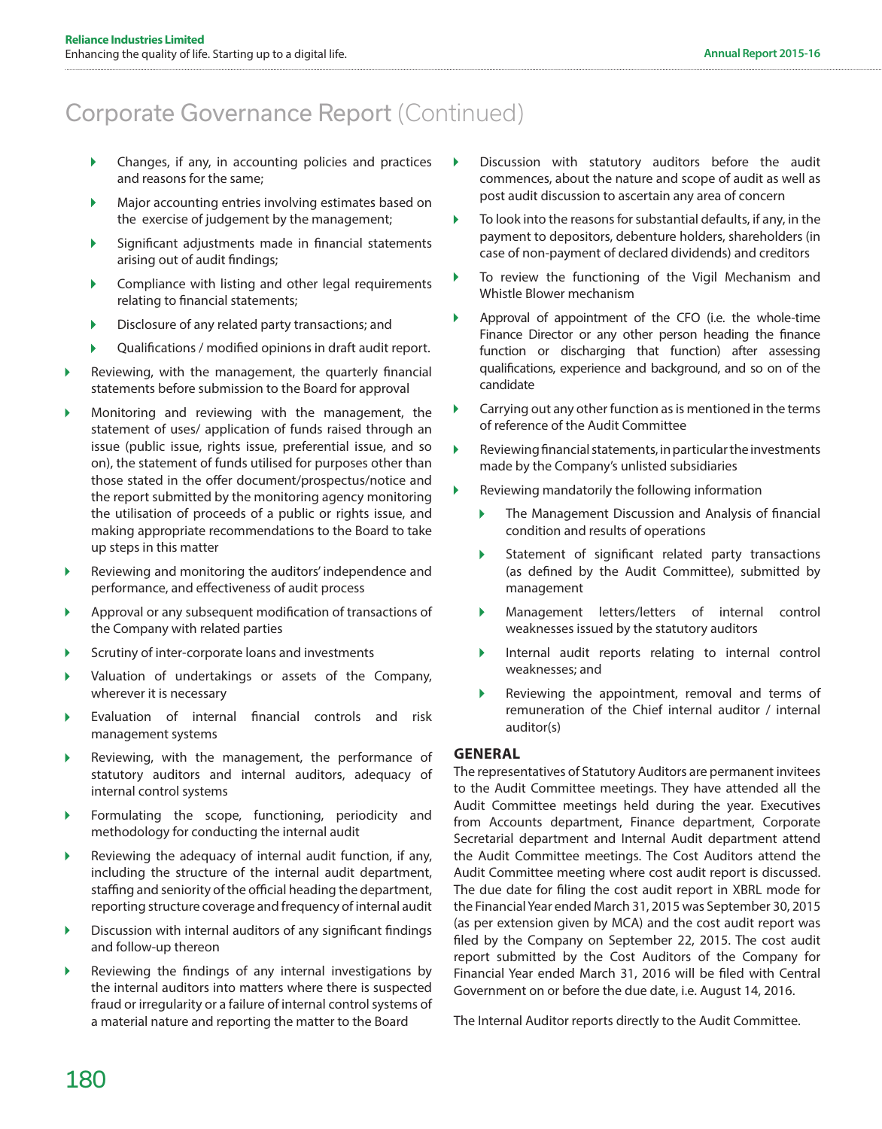- Changes, if any, in accounting policies and practices and reasons for the same;
- Major accounting entries involving estimates based on the exercise of judgement by the management;
- Significant adjustments made in financial statements arising out of audit findings;
- Compliance with listing and other legal requirements relating to financial statements;
- Disclosure of any related party transactions; and
- Qualifications / modified opinions in draft audit report.
- Reviewing, with the management, the quarterly financial statements before submission to the Board for approval
- Monitoring and reviewing with the management, the statement of uses/ application of funds raised through an issue (public issue, rights issue, preferential issue, and so on), the statement of funds utilised for purposes other than those stated in the offer document/prospectus/notice and the report submitted by the monitoring agency monitoring the utilisation of proceeds of a public or rights issue, and making appropriate recommendations to the Board to take up steps in this matter
- Reviewing and monitoring the auditors' independence and performance, and effectiveness of audit process
- Approval or any subsequent modification of transactions of the Company with related parties
- Scrutiny of inter-corporate loans and investments
- Valuation of undertakings or assets of the Company, wherever it is necessary
- Evaluation of internal financial controls and risk management systems
- Reviewing, with the management, the performance of statutory auditors and internal auditors, adequacy of internal control systems
- Formulating the scope, functioning, periodicity and methodology for conducting the internal audit
- Reviewing the adequacy of internal audit function, if any, including the structure of the internal audit department, staffing and seniority of the official heading the department, reporting structure coverage and frequency of internal audit
- Discussion with internal auditors of any significant findings and follow-up thereon
- Reviewing the findings of any internal investigations by the internal auditors into matters where there is suspected fraud or irregularity or a failure of internal control systems of a material nature and reporting the matter to the Board
- Discussion with statutory auditors before the audit commences, about the nature and scope of audit as well as post audit discussion to ascertain any area of concern
- $\triangleright$  To look into the reasons for substantial defaults, if any, in the payment to depositors, debenture holders, shareholders (in case of non-payment of declared dividends) and creditors
- To review the functioning of the Vigil Mechanism and Whistle Blower mechanism
- Approval of appointment of the CFO (i.e. the whole-time Finance Director or any other person heading the finance function or discharging that function) after assessing qualifications, experience and background, and so on of the candidate
- Carrying out any other function as is mentioned in the terms of reference of the Audit Committee
- Reviewing financial statements, in particular the investments made by the Company's unlisted subsidiaries
- Reviewing mandatorily the following information
	- The Management Discussion and Analysis of financial condition and results of operations
	- Statement of significant related party transactions (as defined by the Audit Committee), submitted by management
	- Management letters/letters of internal control weaknesses issued by the statutory auditors
	- Internal audit reports relating to internal control weaknesses; and
	- Reviewing the appointment, removal and terms of remuneration of the Chief internal auditor / internal auditor(s)

#### **GENERAL**

The representatives of Statutory Auditors are permanent invitees to the Audit Committee meetings. They have attended all the Audit Committee meetings held during the year. Executives from Accounts department, Finance department, Corporate Secretarial department and Internal Audit department attend the Audit Committee meetings. The Cost Auditors attend the Audit Committee meeting where cost audit report is discussed. The due date for filing the cost audit report in XBRL mode for the Financial Year ended March 31, 2015 was September 30, 2015 (as per extension given by MCA) and the cost audit report was filed by the Company on September 22, 2015. The cost audit report submitted by the Cost Auditors of the Company for Financial Year ended March 31, 2016 will be filed with Central Government on or before the due date, i.e. August 14, 2016.

The Internal Auditor reports directly to the Audit Committee.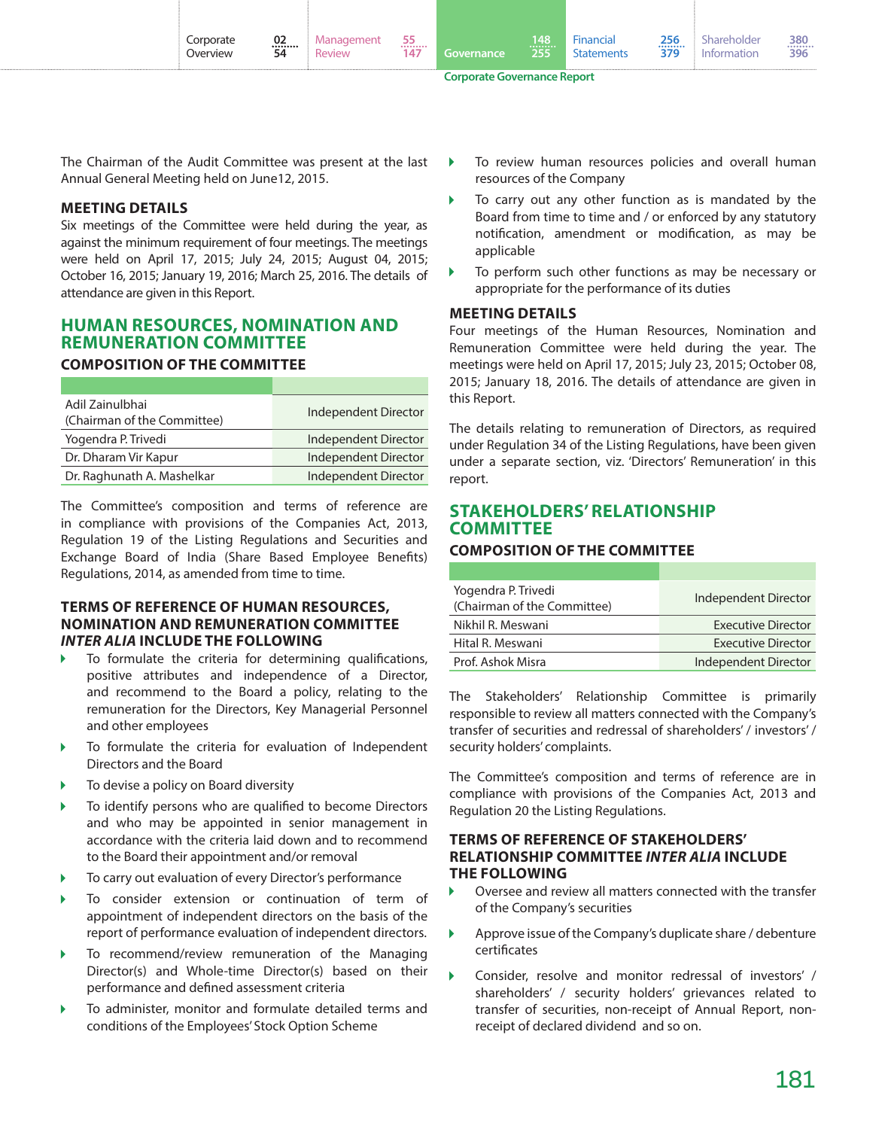Management Review **148 55 147**

| <br>Governance | 148<br><br>255 | <b>Financial</b><br><b>Statements</b> |
|----------------|----------------|---------------------------------------|
|                |                |                                       |



**380 396**

**Corporate Governance Report**

The Chairman of the Audit Committee was present at the last Annual General Meeting held on June12, 2015.

**02 54**

Corporate Overview

#### **MEETING DETAILS**

Six meetings of the Committee were held during the year, as against the minimum requirement of four meetings. The meetings were held on April 17, 2015; July 24, 2015; August 04, 2015; October 16, 2015; January 19, 2016; March 25, 2016. The details of attendance are given in this Report.

## **HUMAN RESOURCES, NOMINATION AND REMUNERATION COMMITTEE**

#### **COMPOSITION OF THE COMMITTEE**

| Adil Zainulbhai<br>(Chairman of the Committee) | Independent Director |
|------------------------------------------------|----------------------|
| Yogendra P. Trivedi                            | Independent Director |
| Dr. Dharam Vir Kapur                           | Independent Director |
| Dr. Raghunath A. Mashelkar                     | Independent Director |

The Committee's composition and terms of reference are in compliance with provisions of the Companies Act, 2013, Regulation 19 of the Listing Regulations and Securities and Exchange Board of India (Share Based Employee Benefits) Regulations, 2014, as amended from time to time.

#### **TERMS OF REFERENCE OF HUMAN RESOURCES, NOMINATION AND REMUNERATION COMMITTEE**  *INTER ALIA* **INCLUDE THE FOLLOWING**

- To formulate the criteria for determining qualifications, positive attributes and independence of a Director, and recommend to the Board a policy, relating to the remuneration for the Directors, Key Managerial Personnel and other employees
- To formulate the criteria for evaluation of Independent Directors and the Board
- To devise a policy on Board diversity
- To identify persons who are qualified to become Directors and who may be appointed in senior management in accordance with the criteria laid down and to recommend to the Board their appointment and/or removal
- ▶ To carry out evaluation of every Director's performance
- To consider extension or continuation of term of appointment of independent directors on the basis of the report of performance evaluation of independent directors.
- To recommend/review remuneration of the Managing Director(s) and Whole-time Director(s) based on their performance and defined assessment criteria
- To administer, monitor and formulate detailed terms and conditions of the Employees' Stock Option Scheme

 To review human resources policies and overall human resources of the Company

**256 379**

- To carry out any other function as is mandated by the Board from time to time and / or enforced by any statutory notification, amendment or modification, as may be applicable
- To perform such other functions as may be necessary or appropriate for the performance of its duties

#### **MEETING DETAILS**

Four meetings of the Human Resources, Nomination and Remuneration Committee were held during the year. The meetings were held on April 17, 2015; July 23, 2015; October 08, 2015; January 18, 2016. The details of attendance are given in this Report.

The details relating to remuneration of Directors, as required under Regulation 34 of the Listing Regulations, have been given under a separate section, viz. 'Directors' Remuneration' in this report.

#### **STAKEHOLDERS' RELATIONSHIP COMMITTEE**

#### **COMPOSITION OF THE COMMITTEE**

| Independent Director      |
|---------------------------|
| <b>Executive Director</b> |
| <b>Executive Director</b> |
| Independent Director      |
|                           |

The Stakeholders' Relationship Committee is primarily responsible to review all matters connected with the Company's transfer of securities and redressal of shareholders' / investors' / security holders' complaints.

The Committee's composition and terms of reference are in compliance with provisions of the Companies Act, 2013 and Regulation 20 the Listing Regulations.

#### **TERMS OF REFERENCE OF STAKEHOLDERS' RELATIONSHIP COMMITTEE** *INTER ALIA* **INCLUDE THE FOLLOWING**

- Oversee and review all matters connected with the transfer of the Company's securities
- Approve issue of the Company's duplicate share / debenture certificates
- Consider, resolve and monitor redressal of investors' / shareholders' / security holders' grievances related to transfer of securities, non-receipt of Annual Report, nonreceipt of declared dividend and so on.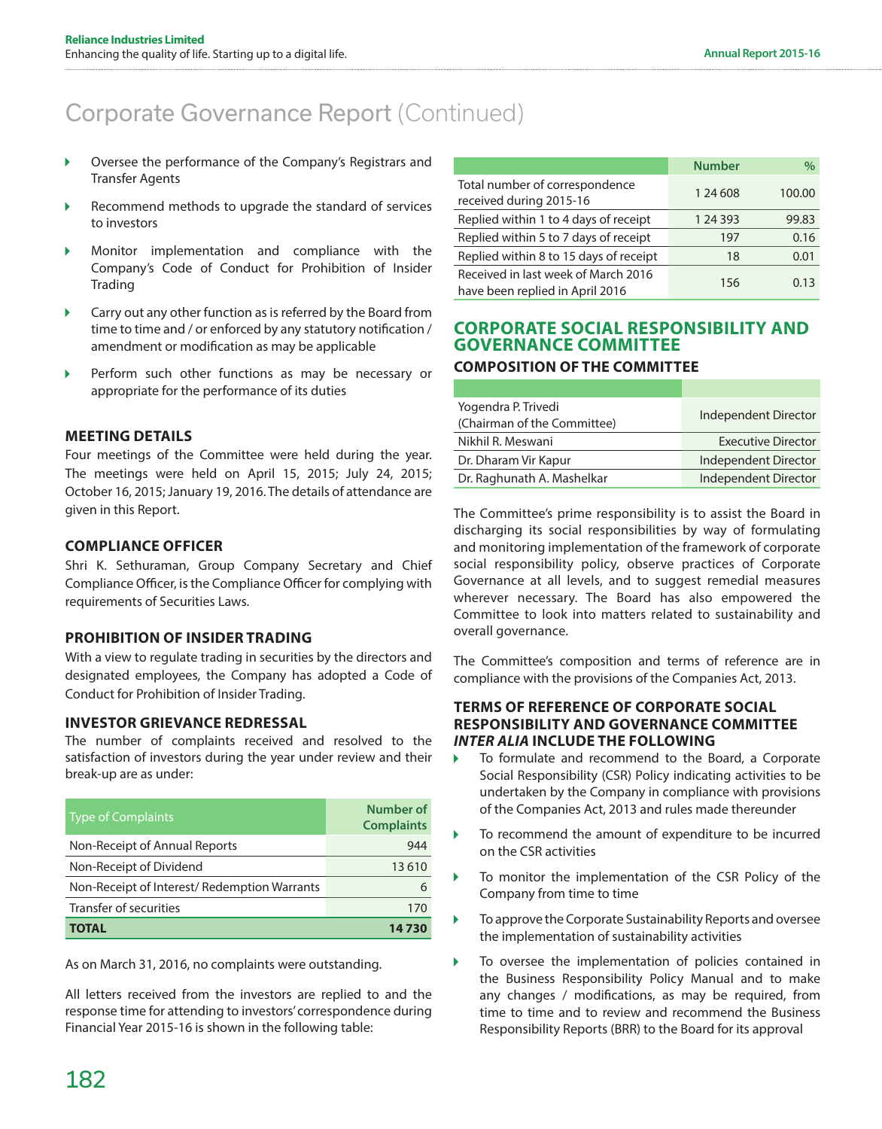- Oversee the performance of the Company's Registrars and Transfer Agents
- $\blacktriangleright$  Recommend methods to upgrade the standard of services to investors
- Monitor implementation and compliance with the Company's Code of Conduct for Prohibition of Insider Trading
- Carry out any other function as is referred by the Board from time to time and / or enforced by any statutory notification / amendment or modification as may be applicable
- Perform such other functions as may be necessary or appropriate for the performance of its duties

#### **MEETING DETAILS**

Four meetings of the Committee were held during the year. The meetings were held on April 15, 2015; July 24, 2015; October 16, 2015; January 19, 2016. The details of attendance are given in this Report.

#### **COMPLIANCE OFFICER**

Shri K. Sethuraman, Group Company Secretary and Chief Compliance Officer, is the Compliance Officer for complying with requirements of Securities Laws.

#### **PROHIBITION OF INSIDER TRADING**

With a view to regulate trading in securities by the directors and designated employees, the Company has adopted a Code of Conduct for Prohibition of Insider Trading.

#### **INVESTOR GRIEVANCE REDRESSAL**

The number of complaints received and resolved to the satisfaction of investors during the year under review and their break-up are as under:

| Type of Complaints                          | Number of<br><b>Complaints</b> |
|---------------------------------------------|--------------------------------|
| Non-Receipt of Annual Reports               | 944                            |
| Non-Receipt of Dividend                     | 13610                          |
| Non-Receipt of Interest/Redemption Warrants |                                |
| Transfer of securities                      | 170                            |
| <b>TOTAL</b>                                | 14730                          |

As on March 31, 2016, no complaints were outstanding.

All letters received from the investors are replied to and the response time for attending to investors' correspondence during Financial Year 2015-16 is shown in the following table:

|                                                                        | <b>Number</b> | $\%$   |
|------------------------------------------------------------------------|---------------|--------|
| Total number of correspondence<br>received during 2015-16              | 1 24 608      | 100.00 |
| Replied within 1 to 4 days of receipt                                  | 1 24 3 9 3    | 99.83  |
| Replied within 5 to 7 days of receipt                                  | 197           | 0.16   |
| Replied within 8 to 15 days of receipt                                 | 18            | 0.01   |
| Received in last week of March 2016<br>have been replied in April 2016 | 156           | 0.13   |

### **CORPORATE SOCIAL RESPONSIBILITY AND GOVERNANCE COMMITTEE**

#### **COMPOSITION OF THE COMMITTEE**

| Independent Director      |
|---------------------------|
| <b>Executive Director</b> |
| Independent Director      |
| Independent Director      |
|                           |

The Committee's prime responsibility is to assist the Board in discharging its social responsibilities by way of formulating and monitoring implementation of the framework of corporate social responsibility policy, observe practices of Corporate Governance at all levels, and to suggest remedial measures wherever necessary. The Board has also empowered the Committee to look into matters related to sustainability and overall governance.

The Committee's composition and terms of reference are in compliance with the provisions of the Companies Act, 2013.

#### **TERMS OF REFERENCE OF CORPORATE SOCIAL RESPONSIBILITY AND GOVERNANCE COMMITTEE**  *INTER ALIA* **INCLUDE THE FOLLOWING**

- To formulate and recommend to the Board, a Corporate Social Responsibility (CSR) Policy indicating activities to be undertaken by the Company in compliance with provisions of the Companies Act, 2013 and rules made thereunder
- To recommend the amount of expenditure to be incurred on the CSR activities
- To monitor the implementation of the CSR Policy of the Company from time to time
- To approve the Corporate Sustainability Reports and oversee the implementation of sustainability activities
- To oversee the implementation of policies contained in the Business Responsibility Policy Manual and to make any changes / modifications, as may be required, from time to time and to review and recommend the Business Responsibility Reports (BRR) to the Board for its approval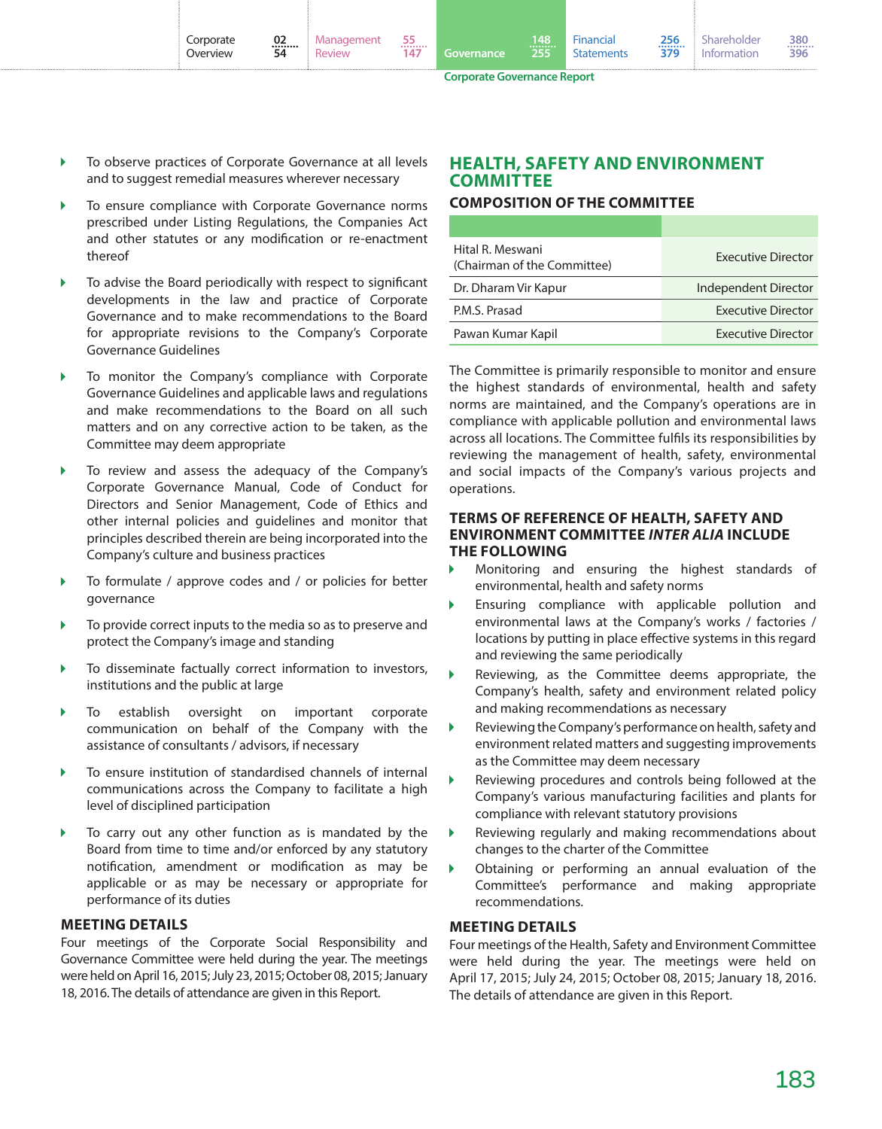Management Review

**02 54** **55 147** **Governance** Financial **Statements** Shareholder Information **148 255 256 379**

**380 396**

**Corporate Governance Report**

- To observe practices of Corporate Governance at all levels and to suggest remedial measures wherever necessary
- To ensure compliance with Corporate Governance norms prescribed under Listing Regulations, the Companies Act and other statutes or any modification or re-enactment thereof
- To advise the Board periodically with respect to significant developments in the law and practice of Corporate Governance and to make recommendations to the Board for appropriate revisions to the Company's Corporate Governance Guidelines
- To monitor the Company's compliance with Corporate Governance Guidelines and applicable laws and regulations and make recommendations to the Board on all such matters and on any corrective action to be taken, as the Committee may deem appropriate
- To review and assess the adequacy of the Company's Corporate Governance Manual, Code of Conduct for Directors and Senior Management, Code of Ethics and other internal policies and guidelines and monitor that principles described therein are being incorporated into the Company's culture and business practices
- To formulate / approve codes and / or policies for better governance
- To provide correct inputs to the media so as to preserve and protect the Company's image and standing
- To disseminate factually correct information to investors, institutions and the public at large
- To establish oversight on important corporate communication on behalf of the Company with the assistance of consultants / advisors, if necessary
- To ensure institution of standardised channels of internal communications across the Company to facilitate a high level of disciplined participation
- To carry out any other function as is mandated by the Board from time to time and/or enforced by any statutory notification, amendment or modification as may be applicable or as may be necessary or appropriate for performance of its duties

#### **MEETING DETAILS**

Four meetings of the Corporate Social Responsibility and Governance Committee were held during the year. The meetings were held on April 16, 2015; July 23, 2015; October 08, 2015; January 18, 2016. The details of attendance are given in this Report.

#### **HEALTH, SAFETY AND ENVIRONMENT COMMITTEE COMPOSITION OF THE COMMITTEE**

| Hital R. Meswani<br>(Chairman of the Committee) | <b>Executive Director</b> |
|-------------------------------------------------|---------------------------|
| Dr. Dharam Vir Kapur                            | Independent Director      |
| P.M.S. Prasad                                   | <b>Executive Director</b> |
| Pawan Kumar Kapil                               | <b>Executive Director</b> |

The Committee is primarily responsible to monitor and ensure the highest standards of environmental, health and safety norms are maintained, and the Company's operations are in compliance with applicable pollution and environmental laws across all locations. The Committee fulfils its responsibilities by reviewing the management of health, safety, environmental and social impacts of the Company's various projects and operations.

#### **TERMS OF REFERENCE OF HEALTH, SAFETY AND ENVIRONMENT COMMITTEE** *INTER ALIA* **INCLUDE THE FOLLOWING**

- Monitoring and ensuring the highest standards of environmental, health and safety norms
- Ensuring compliance with applicable pollution and environmental laws at the Company's works / factories / locations by putting in place effective systems in this regard and reviewing the same periodically
- Reviewing, as the Committee deems appropriate, the Company's health, safety and environment related policy and making recommendations as necessary
- Reviewing the Company's performance on health, safety and environment related matters and suggesting improvements as the Committee may deem necessary
- Reviewing procedures and controls being followed at the Company's various manufacturing facilities and plants for compliance with relevant statutory provisions
- Reviewing regularly and making recommendations about changes to the charter of the Committee
- Obtaining or performing an annual evaluation of the Committee's performance and making appropriate recommendations.

#### **MEETING DETAILS**

Four meetings of the Health, Safety and Environment Committee were held during the year. The meetings were held on April 17, 2015; July 24, 2015; October 08, 2015; January 18, 2016. The details of attendance are given in this Report.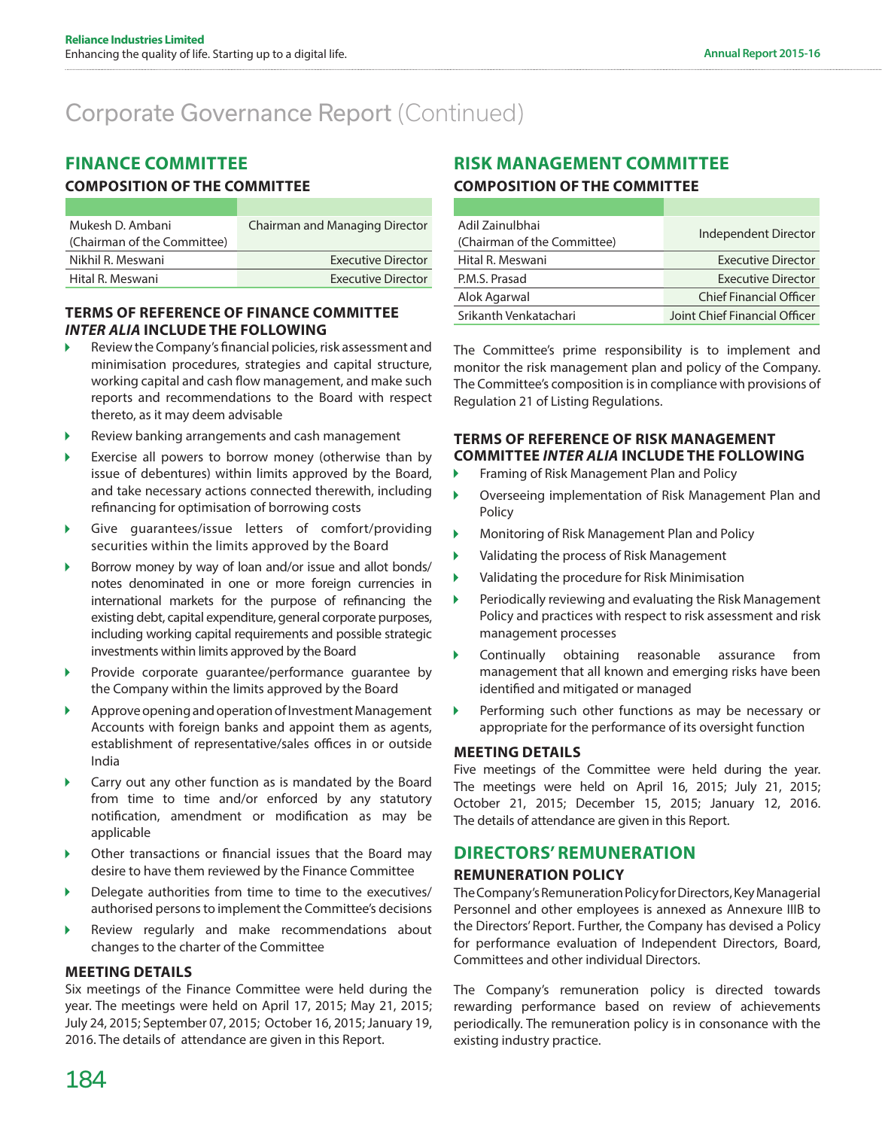#### **FINANCE COMMITTEE COMPOSITION OF THE COMMITTEE**

| Mukesh D. Ambani            | <b>Chairman and Managing Director</b> |
|-----------------------------|---------------------------------------|
| (Chairman of the Committee) |                                       |
| Nikhil R. Meswani           | <b>Executive Director</b>             |
| Hital R. Meswani            | <b>Executive Director</b>             |

#### **TERMS OF REFERENCE OF FINANCE COMMITTEE**  *INTER ALIA* **INCLUDE THE FOLLOWING**

- Review the Company's financial policies, risk assessment and minimisation procedures, strategies and capital structure, working capital and cash flow management, and make such reports and recommendations to the Board with respect thereto, as it may deem advisable
- Review banking arrangements and cash management
- Exercise all powers to borrow money (otherwise than by issue of debentures) within limits approved by the Board, and take necessary actions connected therewith, including refinancing for optimisation of borrowing costs
- Give guarantees/issue letters of comfort/providing securities within the limits approved by the Board
- Borrow money by way of loan and/or issue and allot bonds/ notes denominated in one or more foreign currencies in international markets for the purpose of refinancing the existing debt, capital expenditure, general corporate purposes, including working capital requirements and possible strategic investments within limits approved by the Board
- Provide corporate guarantee/performance guarantee by the Company within the limits approved by the Board
- Approve opening and operation of Investment Management Accounts with foreign banks and appoint them as agents, establishment of representative/sales offices in or outside India
- Carry out any other function as is mandated by the Board from time to time and/or enforced by any statutory notification, amendment or modification as may be applicable
- Other transactions or financial issues that the Board may desire to have them reviewed by the Finance Committee
- Delegate authorities from time to time to the executives/ authorised persons to implement the Committee's decisions
- Review regularly and make recommendations about changes to the charter of the Committee

#### **MEETING DETAILS**

184

Six meetings of the Finance Committee were held during the year. The meetings were held on April 17, 2015; May 21, 2015; July 24, 2015; September 07, 2015; October 16, 2015; January 19, 2016. The details of attendance are given in this Report.

## **RISK MANAGEMENT COMMITTEE COMPOSITION OF THE COMMITTEE**

| Adil Zainulbhai<br>(Chairman of the Committee) | Independent Director           |
|------------------------------------------------|--------------------------------|
| Hital R. Meswani                               | <b>Executive Director</b>      |
| P.M.S. Prasad                                  | <b>Executive Director</b>      |
| Alok Agarwal                                   | <b>Chief Financial Officer</b> |
| Srikanth Venkatachari                          | Joint Chief Financial Officer  |

The Committee's prime responsibility is to implement and monitor the risk management plan and policy of the Company. The Committee's composition is in compliance with provisions of Regulation 21 of Listing Regulations.

#### **TERMS OF REFERENCE OF RISK MANAGEMENT COMMITTEE** *INTER ALIA* **INCLUDE THE FOLLOWING**

- **Framing of Risk Management Plan and Policy**
- Overseeing implementation of Risk Management Plan and Policy
- b Monitoring of Risk Management Plan and Policy
- Validating the process of Risk Management
- Validating the procedure for Risk Minimisation
- Periodically reviewing and evaluating the Risk Management Policy and practices with respect to risk assessment and risk management processes
- Continually obtaining reasonable assurance from management that all known and emerging risks have been identified and mitigated or managed
- Performing such other functions as may be necessary or appropriate for the performance of its oversight function

#### **MEETING DETAILS**

Five meetings of the Committee were held during the year. The meetings were held on April 16, 2015; July 21, 2015; October 21, 2015; December 15, 2015; January 12, 2016. The details of attendance are given in this Report.

### **DIRECTORS' REMUNERATION**

#### **REMUNERATION POLICY**

The Company's Remuneration Policy for Directors, Key Managerial Personnel and other employees is annexed as Annexure IIIB to the Directors' Report. Further, the Company has devised a Policy for performance evaluation of Independent Directors, Board, Committees and other individual Directors.

The Company's remuneration policy is directed towards rewarding performance based on review of achievements periodically. The remuneration policy is in consonance with the existing industry practice.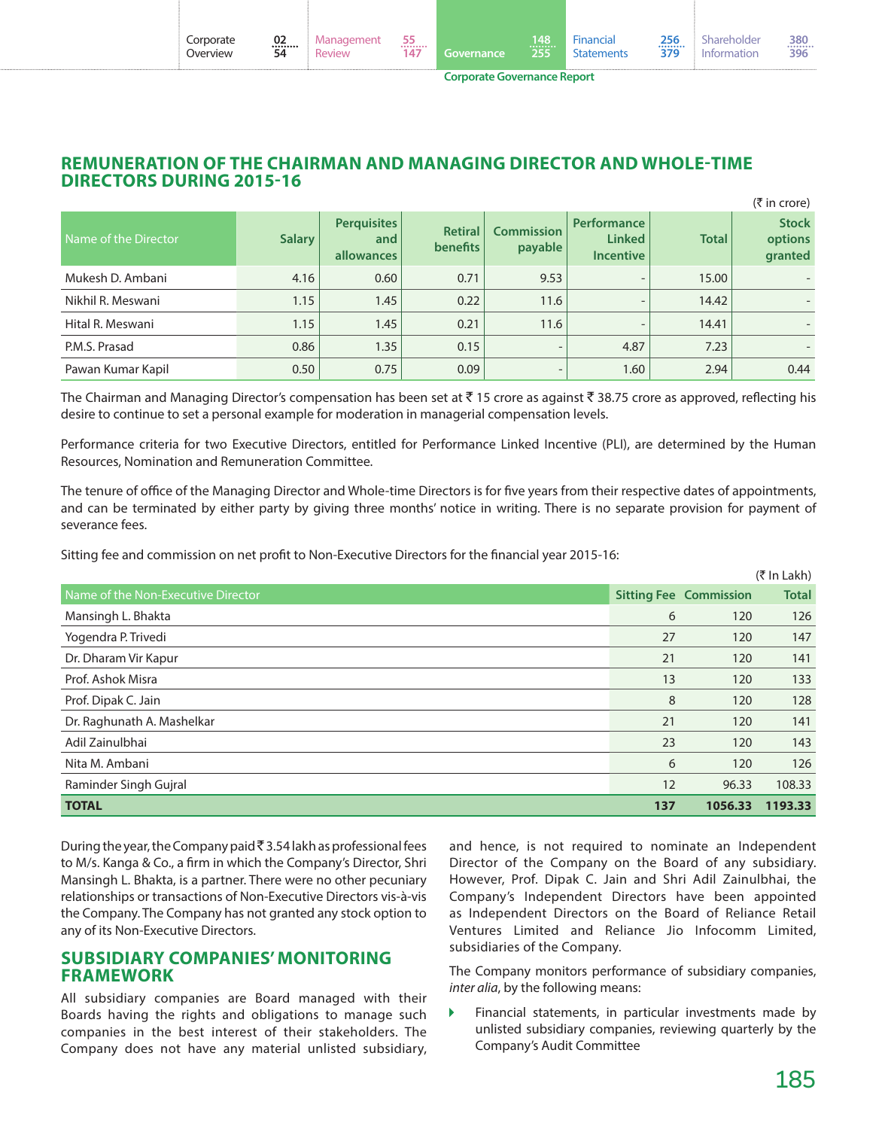**02 54**

Review

Management **55 147**





**Corporate Governance Report**

## **REMUNERATION OF THE CHAIRMAN AND MANAGING DIRECTOR AND WHOLE-TIME DIRECTORS DURING 2015-16**

|                      |               |                                         |                                   |                              |                                                         |              | (₹ in crore)                       |
|----------------------|---------------|-----------------------------------------|-----------------------------------|------------------------------|---------------------------------------------------------|--------------|------------------------------------|
| Name of the Director | <b>Salary</b> | <b>Perquisites</b><br>and<br>allowances | <b>Retiral</b><br><b>benefits</b> | <b>Commission</b><br>payable | <b>Performance</b><br><b>Linked</b><br><b>Incentive</b> | <b>Total</b> | <b>Stock</b><br>options<br>granted |
| Mukesh D. Ambani     | 4.16          | 0.60                                    | 0.71                              | 9.53                         | $\overline{\phantom{a}}$                                | 15.00        |                                    |
| Nikhil R. Meswani    | 1.15          | 1.45                                    | 0.22                              | 11.6                         |                                                         | 14.42        |                                    |
| Hital R. Meswani     | 1.15          | 1.45                                    | 0.21                              | 11.6                         |                                                         | 14.41        |                                    |
| P.M.S. Prasad        | 0.86          | 1.35                                    | 0.15                              | $\overline{\phantom{a}}$     | 4.87                                                    | 7.23         |                                    |
| Pawan Kumar Kapil    | 0.50          | 0.75                                    | 0.09                              | -                            | 1.60                                                    | 2.94         | 0.44                               |

The Chairman and Managing Director's compensation has been set at  $\bar{\tau}$  15 crore as against  $\bar{\tau}$  38.75 crore as approved, reflecting his desire to continue to set a personal example for moderation in managerial compensation levels.

Performance criteria for two Executive Directors, entitled for Performance Linked Incentive (PLI), are determined by the Human Resources, Nomination and Remuneration Committee.

The tenure of office of the Managing Director and Whole-time Directors is for five years from their respective dates of appointments, and can be terminated by either party by giving three months' notice in writing. There is no separate provision for payment of severance fees.

Sitting fee and commission on net profit to Non-Executive Directors for the financial year 2015-16:

|                                    |     |                               | $(3 \text{ In}$ Lakh) |
|------------------------------------|-----|-------------------------------|-----------------------|
| Name of the Non-Executive Director |     | <b>Sitting Fee Commission</b> | <b>Total</b>          |
| Mansingh L. Bhakta                 | 6   | 120                           | 126                   |
| Yogendra P. Trivedi                | 27  | 120                           | 147                   |
| Dr. Dharam Vir Kapur               | 21  | 120                           | 141                   |
| Prof. Ashok Misra                  | 13  | 120                           | 133                   |
| Prof. Dipak C. Jain                | 8   | 120                           | 128                   |
| Dr. Raghunath A. Mashelkar         | 21  | 120                           | 141                   |
| Adil Zainulbhai                    | 23  | 120                           | 143                   |
| Nita M. Ambani                     | 6   | 120                           | 126                   |
| Raminder Singh Gujral              | 12  | 96.33                         | 108.33                |
| <b>TOTAL</b>                       | 137 | 1056.33                       | 1193.33               |

During the year, the Company paid  $\bar{\bar{\tau}}$  3.54 lakh as professional fees to M/s. Kanga & Co., a firm in which the Company's Director, Shri Mansingh L. Bhakta, is a partner. There were no other pecuniary relationships or transactions of Non-Executive Directors vis-à-vis the Company. The Company has not granted any stock option to any of its Non-Executive Directors.

#### **SUBSIDIARY COMPANIES' MONITORING FRAMEWORK**

All subsidiary companies are Board managed with their Boards having the rights and obligations to manage such companies in the best interest of their stakeholders. The Company does not have any material unlisted subsidiary,

and hence, is not required to nominate an Independent Director of the Company on the Board of any subsidiary. However, Prof. Dipak C. Jain and Shri Adil Zainulbhai, the Company's Independent Directors have been appointed as Independent Directors on the Board of Reliance Retail Ventures Limited and Reliance Jio Infocomm Limited, subsidiaries of the Company.

The Company monitors performance of subsidiary companies, *inter alia*, by the following means:

 Financial statements, in particular investments made by unlisted subsidiary companies, reviewing quarterly by the Company's Audit Committee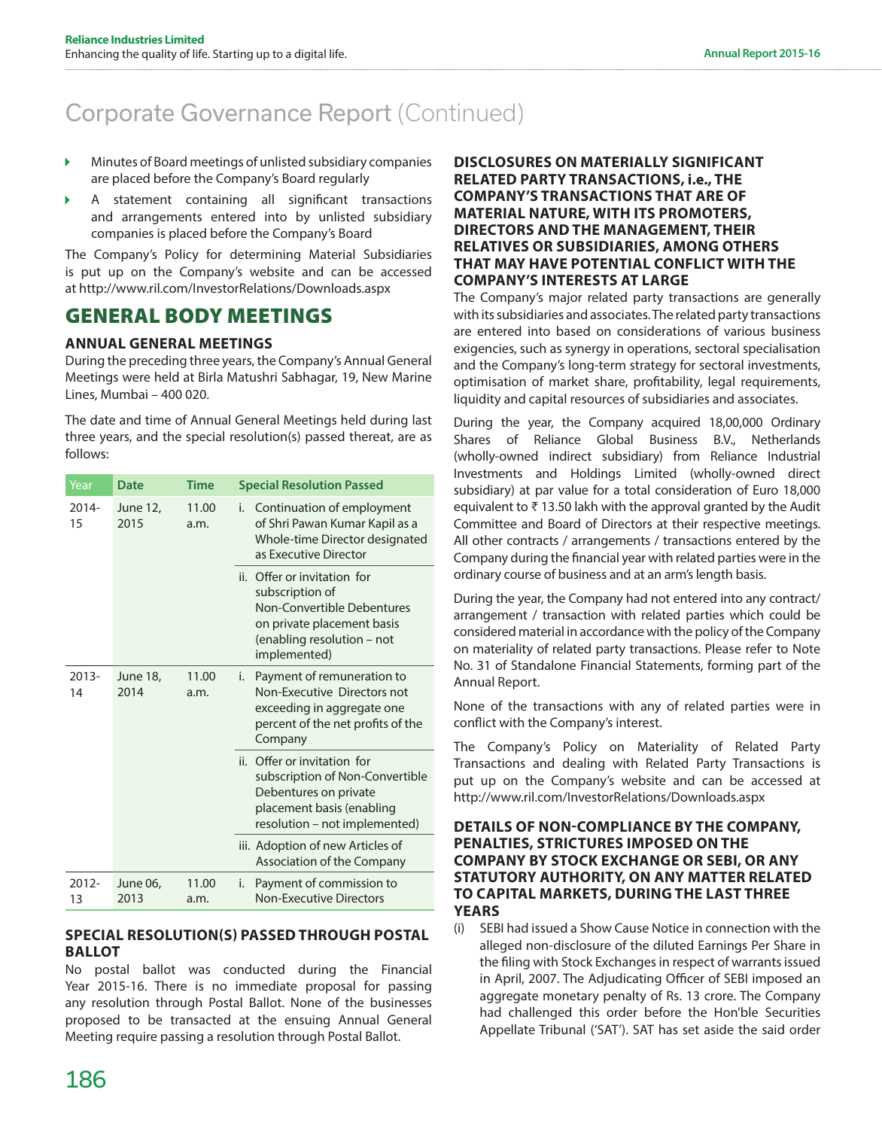- Minutes of Board meetings of unlisted subsidiary companies b are placed before the Company's Board regularly
- A statement containing all significant transactions and arrangements entered into by unlisted subsidiary companies is placed before the Company's Board

The Company's Policy for determining Material Subsidiaries is put up on the Company's website and can be accessed at http://www.ril.com/InvestorRelations/Downloads.aspx

## GENERAL BODY MEETINGS

#### **ANNUAL GENERAL MEETINGS**

During the preceding three years, the Company's Annual General Meetings were held at Birla Matushri Sabhagar, 19, New Marine Lines, Mumbai – 400 020.

The date and time of Annual General Meetings held during last three years, and the special resolution(s) passed thereat, are as follows:

| Year           | Date             | <b>Time</b>   | <b>Special Resolution Passed</b>                                                                                                                         |
|----------------|------------------|---------------|----------------------------------------------------------------------------------------------------------------------------------------------------------|
| $2014 -$<br>15 | June 12,<br>2015 | 11.00<br>a.m. | Continuation of employment<br>i.<br>of Shri Pawan Kumar Kapil as a<br>Whole-time Director designated<br>as Executive Director                            |
|                |                  |               | ii. Offer or invitation for<br>subscription of<br>Non-Convertible Debentures<br>on private placement basis<br>(enabling resolution - not<br>implemented) |
| $2013 -$<br>14 | June 18,<br>2014 | 11.00<br>a.m. | Payment of remuneration to<br>i.<br>Non-Executive Directors not<br>exceeding in aggregate one<br>percent of the net profits of the<br>Company            |
|                |                  |               | ii.<br>Offer or invitation for<br>subscription of Non-Convertible<br>Debentures on private<br>placement basis (enabling<br>resolution - not implemented) |
|                |                  |               | iii. Adoption of new Articles of<br>Association of the Company                                                                                           |
| $2012 -$<br>13 | June 06,<br>2013 | 11.00<br>a.m. | Payment of commission to<br>i.<br><b>Non-Executive Directors</b>                                                                                         |

#### **SPECIAL RESOLUTION(S) PASSED THROUGH POSTAL BALLOT**

No postal ballot was conducted during the Financial Year 2015-16. There is no immediate proposal for passing any resolution through Postal Ballot. None of the businesses proposed to be transacted at the ensuing Annual General Meeting require passing a resolution through Postal Ballot.

#### **DISCLOSURES ON MATERIALLY SIGNIFICANT RELATED PARTY TRANSACTIONS, i.e., THE COMPANY'S TRANSACTIONS THAT ARE OF MATERIAL NATURE, WITH ITS PROMOTERS, DIRECTORS AND THE MANAGEMENT, THEIR RELATIVES OR SUBSIDIARIES, AMONG OTHERS THAT MAY HAVE POTENTIAL CONFLICT WITH THE COMPANY'S INTERESTS AT LARGE**

The Company's major related party transactions are generally with its subsidiaries and associates. The related party transactions are entered into based on considerations of various business exigencies, such as synergy in operations, sectoral specialisation and the Company's long-term strategy for sectoral investments, optimisation of market share, profitability, legal requirements, liquidity and capital resources of subsidiaries and associates.

During the year, the Company acquired 18,00,000 Ordinary Shares of Reliance Global Business B.V., Netherlands (wholly-owned indirect subsidiary) from Reliance Industrial Investments and Holdings Limited (wholly-owned direct subsidiary) at par value for a total consideration of Euro 18,000 equivalent to ₹ 13.50 lakh with the approval granted by the Audit Committee and Board of Directors at their respective meetings. All other contracts / arrangements / transactions entered by the Company during the financial year with related parties were in the ordinary course of business and at an arm's length basis.

During the year, the Company had not entered into any contract/ arrangement / transaction with related parties which could be considered material in accordance with the policy of the Company on materiality of related party transactions. Please refer to Note No. 31 of Standalone Financial Statements, forming part of the Annual Report.

None of the transactions with any of related parties were in conflict with the Company's interest.

The Company's Policy on Materiality of Related Party Transactions and dealing with Related Party Transactions is put up on the Company's website and can be accessed at http://www.ril.com/InvestorRelations/Downloads.aspx

#### **DETAILS OF NON-COMPLIANCE BY THE COMPANY, PENALTIES, STRICTURES IMPOSED ON THE COMPANY BY STOCK EXCHANGE OR SEBI, OR ANY STATUTORY AUTHORITY, ON ANY MATTER RELATED TO CAPITAL MARKETS, DURING THE LAST THREE YEARS**

(i) SEBI had issued a Show Cause Notice in connection with the alleged non-disclosure of the diluted Earnings Per Share in the filing with Stock Exchanges in respect of warrants issued in April, 2007. The Adjudicating Officer of SEBI imposed an aggregate monetary penalty of Rs. 13 crore. The Company had challenged this order before the Hon'ble Securities Appellate Tribunal ('SAT'). SAT has set aside the said order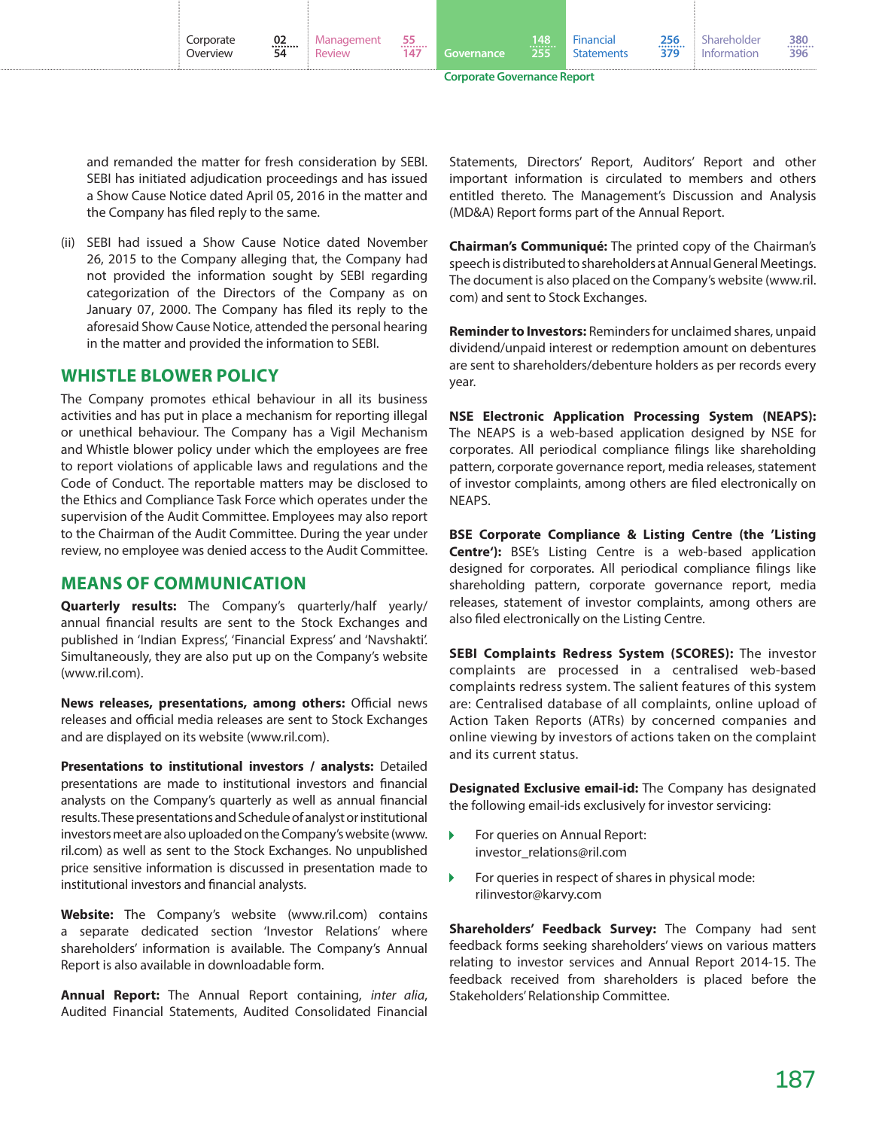Management Review **55**



**Corporate Governance Report**



**380 396**

and remanded the matter for fresh consideration by SEBI. SEBI has initiated adjudication proceedings and has issued a Show Cause Notice dated April 05, 2016 in the matter and the Company has filed reply to the same.

**02 54**

(ii) SEBI had issued a Show Cause Notice dated November 26, 2015 to the Company alleging that, the Company had not provided the information sought by SEBI regarding categorization of the Directors of the Company as on January 07, 2000. The Company has filed its reply to the aforesaid Show Cause Notice, attended the personal hearing in the matter and provided the information to SEBI.

## **WHISTLE BLOWER POLICY**

The Company promotes ethical behaviour in all its business activities and has put in place a mechanism for reporting illegal or unethical behaviour. The Company has a Vigil Mechanism and Whistle blower policy under which the employees are free to report violations of applicable laws and regulations and the Code of Conduct. The reportable matters may be disclosed to the Ethics and Compliance Task Force which operates under the supervision of the Audit Committee. Employees may also report to the Chairman of the Audit Committee. During the year under review, no employee was denied access to the Audit Committee.

## **MEANS OF COMMUNICATION**

**Quarterly results:** The Company's quarterly/half yearly/ annual financial results are sent to the Stock Exchanges and published in 'Indian Express', 'Financial Express' and 'Navshakti'. Simultaneously, they are also put up on the Company's website (www.ril.com).

**News releases, presentations, among others:** Official news releases and official media releases are sent to Stock Exchanges and are displayed on its website (www.ril.com).

**Presentations to institutional investors / analysts:** Detailed presentations are made to institutional investors and financial analysts on the Company's quarterly as well as annual financial results. These presentations and Schedule of analyst or institutional investors meet are also uploaded on the Company's website (www. ril.com) as well as sent to the Stock Exchanges. No unpublished price sensitive information is discussed in presentation made to institutional investors and financial analysts.

**Website:** The Company's website (www.ril.com) contains a separate dedicated section 'Investor Relations' where shareholders' information is available. The Company's Annual Report is also available in downloadable form.

**Annual Report:** The Annual Report containing, *inter alia*, Audited Financial Statements, Audited Consolidated Financial Statements, Directors' Report, Auditors' Report and other important information is circulated to members and others entitled thereto. The Management's Discussion and Analysis (MD&A) Report forms part of the Annual Report.

**256 379**

**Chairman's Communiqué:** The printed copy of the Chairman's speech is distributed to shareholders at Annual General Meetings. The document is also placed on the Company's website (www.ril. com) and sent to Stock Exchanges.

**Reminder to Investors:** Reminders for unclaimed shares, unpaid dividend/unpaid interest or redemption amount on debentures are sent to shareholders/debenture holders as per records every year.

**NSE Electronic Application Processing System (NEAPS):**  The NEAPS is a web-based application designed by NSE for corporates. All periodical compliance filings like shareholding pattern, corporate governance report, media releases, statement of investor complaints, among others are filed electronically on NEAPS.

**BSE Corporate Compliance & Listing Centre (the 'Listing Centre'):** BSE's Listing Centre is a web-based application designed for corporates. All periodical compliance filings like shareholding pattern, corporate governance report, media releases, statement of investor complaints, among others are also filed electronically on the Listing Centre.

**SEBI Complaints Redress System (SCORES):** The investor complaints are processed in a centralised web-based complaints redress system. The salient features of this system are: Centralised database of all complaints, online upload of Action Taken Reports (ATRs) by concerned companies and online viewing by investors of actions taken on the complaint and its current status.

**Designated Exclusive email-id:** The Company has designated the following email-ids exclusively for investor servicing:

- **For queries on Annual Report:** investor\_relations@ril.com
- For queries in respect of shares in physical mode: rilinvestor@karvy.com

**Shareholders' Feedback Survey:** The Company had sent feedback forms seeking shareholders' views on various matters relating to investor services and Annual Report 2014-15. The feedback received from shareholders is placed before the Stakeholders' Relationship Committee.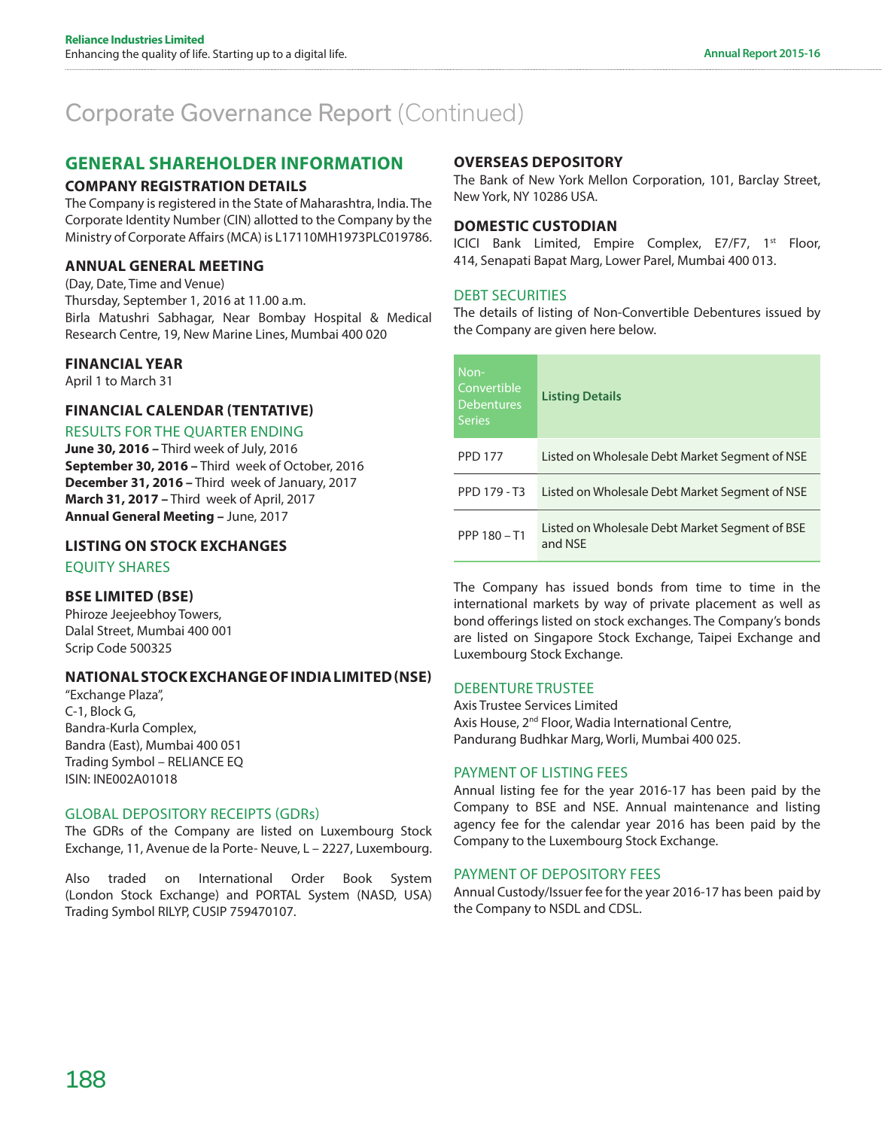### **GENERAL SHAREHOLDER INFORMATION**

#### **COMPANY REGISTRATION DETAILS**

The Company is registered in the State of Maharashtra, India. The Corporate Identity Number (CIN) allotted to the Company by the Ministry of Corporate Affairs (MCA) is L17110MH1973PLC019786.

#### **ANNUAL GENERAL MEETING**

(Day, Date, Time and Venue) Thursday, September 1, 2016 at 11.00 a.m. Birla Matushri Sabhagar, Near Bombay Hospital & Medical Research Centre, 19, New Marine Lines, Mumbai 400 020

#### **FINANCIAL YEAR**

April 1 to March 31

#### **FINANCIAL CALENDAR (TENTATIVE)**

#### RESULTS FOR THE QUARTER ENDING

**June 30, 2016 –** Third week of July, 2016 **September 30, 2016 –** Third week of October, 2016 **December 31, 2016 –** Third week of January, 2017 **March 31, 2017 –** Third week of April, 2017 **Annual General Meeting –** June, 2017

#### **LISTING ON STOCK EXCHANGES** EQUITY SHARES

#### **BSE LIMITED (BSE)**

Phiroze Jeejeebhoy Towers, Dalal Street, Mumbai 400 001 Scrip Code 500325

#### **NATIONAL STOCK EXCHANGE OF INDIA LIMITED (NSE)**

''Exchange Plaza", C-1, Block G, Bandra-Kurla Complex, Bandra (East), Mumbai 400 051 Trading Symbol – RELIANCE EQ ISIN: INE002A01018

#### GLOBAL DEPOSITORY RECEIPTS (GDRs)

The GDRs of the Company are listed on Luxembourg Stock Exchange, 11, Avenue de la Porte- Neuve, L – 2227, Luxembourg.

Also traded on International Order Book System (London Stock Exchange) and PORTAL System (NASD, USA) Trading Symbol RILYP, CUSIP 759470107.

#### **OVERSEAS DEPOSITORY**

The Bank of New York Mellon Corporation, 101, Barclay Street, New York, NY 10286 USA.

#### **DOMESTIC CUSTODIAN**

ICICI Bank Limited, Empire Complex, E7/F7, 1<sup>st</sup> Floor, 414, Senapati Bapat Marg, Lower Parel, Mumbai 400 013.

#### DEBT SECURITIES

The details of listing of Non-Convertible Debentures issued by the Company are given here below.

| Non-<br>Convertible<br><b>Debentures</b><br><b>Series</b> | <b>Listing Details</b>                                    |
|-----------------------------------------------------------|-----------------------------------------------------------|
| <b>PPD 177</b>                                            | Listed on Wholesale Debt Market Segment of NSE            |
| PPD 179 - T3                                              | Listed on Wholesale Debt Market Segment of NSE            |
| PPP 180-T1                                                | Listed on Wholesale Debt Market Segment of BSE<br>and NSF |

The Company has issued bonds from time to time in the international markets by way of private placement as well as bond offerings listed on stock exchanges. The Company's bonds are listed on Singapore Stock Exchange, Taipei Exchange and Luxembourg Stock Exchange.

#### DEBENTURE TRUSTEE

Axis Trustee Services Limited Axis House, 2<sup>nd</sup> Floor, Wadia International Centre, Pandurang Budhkar Marg, Worli, Mumbai 400 025.

#### PAYMENT OF LISTING FEES

Annual listing fee for the year 2016-17 has been paid by the Company to BSE and NSE. Annual maintenance and listing agency fee for the calendar year 2016 has been paid by the Company to the Luxembourg Stock Exchange.

#### PAYMENT OF DEPOSITORY FEES

Annual Custody/Issuer fee for the year 2016-17 has been paid by the Company to NSDL and CDSL.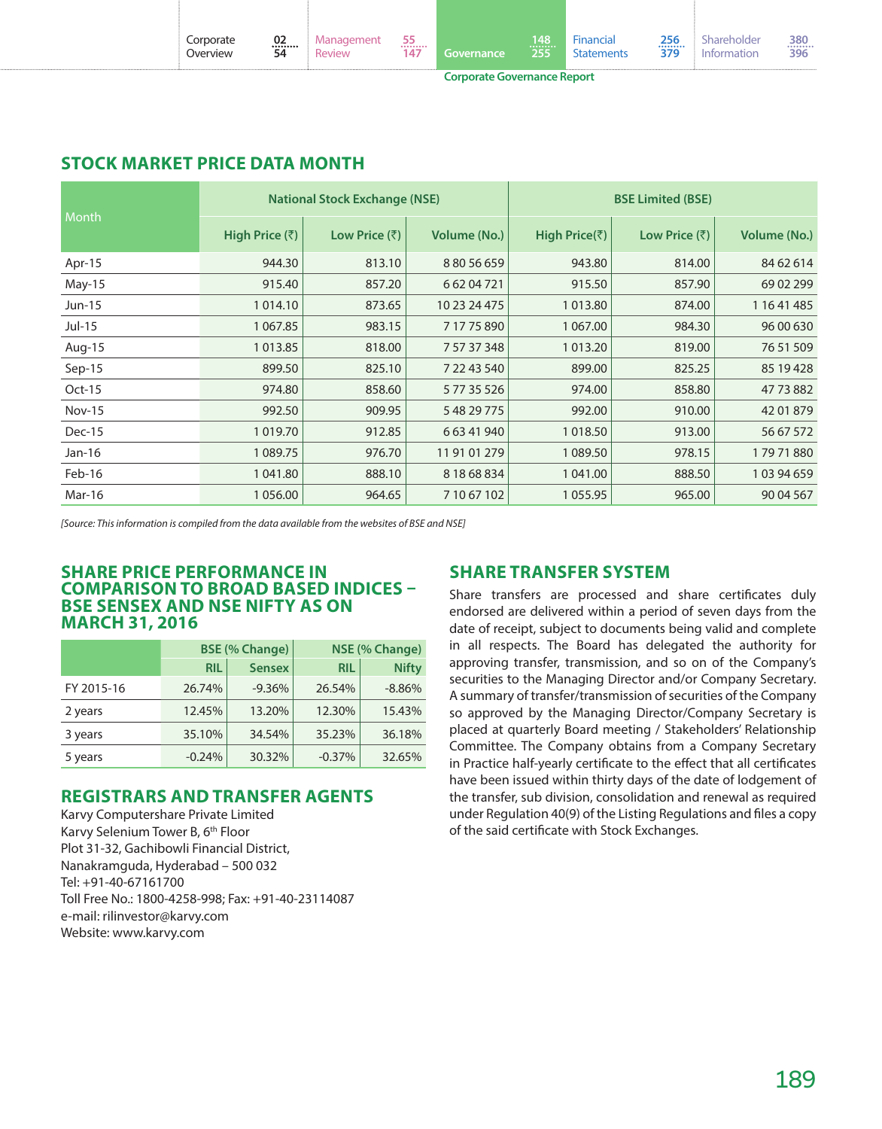| 02<br>Corporate<br><br>Overview<br>54 | Vlanagement<br>{eview | הר<br><br>47، | Governance | 148<br><br>255 | Financial<br><b>Statements</b> | 256<br><br>379 | shareholder | 380<br><br>396 |
|---------------------------------------|-----------------------|---------------|------------|----------------|--------------------------------|----------------|-------------|----------------|
|---------------------------------------|-----------------------|---------------|------------|----------------|--------------------------------|----------------|-------------|----------------|

**Corporate Governance Report**

## **STOCK MARKET PRICE DATA MONTH**

|               |                        | <b>National Stock Exchange (NSE)</b> |                     | <b>BSE Limited (BSE)</b> |               |                     |  |
|---------------|------------------------|--------------------------------------|---------------------|--------------------------|---------------|---------------------|--|
| Month         | High Price $(\bar{z})$ | Low Price $(\bar{z})$                | <b>Volume (No.)</b> | High Price(₹)            | Low Price (₹) | <b>Volume (No.)</b> |  |
| Apr-15        | 944.30                 | 813.10                               | 88056659            | 943.80                   | 814.00        | 84 62 614           |  |
| May-15        | 915.40                 | 857.20                               | 66204721            | 915.50                   | 857.90        | 69 02 299           |  |
| Jun-15        | 1 0 1 4 . 1 0          | 873.65                               | 10 23 24 475        | 1013.80                  | 874.00        | 1 16 41 485         |  |
| Jul-15        | 1 0 6 7.8 5            | 983.15                               | 71775890            | 1 067.00                 | 984.30        | 96 00 630           |  |
| Aug-15        | 1 013.85               | 818.00                               | 7 57 37 348         | 1 013.20                 | 819.00        | 76 51 509           |  |
| Sep-15        | 899.50                 | 825.10                               | 7 22 43 540         | 899.00                   | 825.25        | 85 19 4 28          |  |
| Oct-15        | 974.80                 | 858.60                               | 57735526            | 974.00                   | 858.80        | 47 73 882           |  |
| <b>Nov-15</b> | 992.50                 | 909.95                               | 5 48 29 775         | 992.00                   | 910.00        | 42 01 879           |  |
| Dec-15        | 1019.70                | 912.85                               | 66341940            | 1018.50                  | 913.00        | 56 67 572           |  |
| Jan-16        | 1 089.75               | 976.70                               | 11 91 01 279        | 1 089.50                 | 978.15        | 17971880            |  |
| Feb-16        | 1 041.80               | 888.10                               | 81868834            | 1 041.00                 | 888.50        | 103 94 659          |  |
| Mar-16        | 1 056.00               | 964.65                               | 7 10 67 102         | 1 055.95                 | 965.00        | 90 04 567           |  |

*[Source: This information is compiled from the data available from the websites of BSE and NSE]*

#### **SHARE PRICE PERFORMANCE IN COMPARISON TO BROAD BASED INDICES – BSE SENSEX AND NSE NIFTY AS ON MARCH 31, 2016**

|            |            | <b>BSE (% Change)</b> |            | NSE (% Change) |
|------------|------------|-----------------------|------------|----------------|
|            | <b>RIL</b> | <b>Sensex</b>         | <b>RIL</b> | <b>Nifty</b>   |
| FY 2015-16 | 26.74%     | $-9.36%$              | 26.54%     | $-8.86%$       |
| 2 years    | 12.45%     | 13.20%                | 12.30%     | 15.43%         |
| 3 years    | 35.10%     | 34.54%                | 35.23%     | 36.18%         |
| 5 years    | $-0.24%$   | 30.32%                | $-0.37%$   | 32.65%         |

## **REGISTRARS AND TRANSFER AGENTS**

Karvy Computershare Private Limited Karvy Selenium Tower B, 6th Floor Plot 31-32, Gachibowli Financial District, Nanakramguda, Hyderabad – 500 032 Tel: +91-40-67161700 Toll Free No.: 1800-4258-998; Fax: +91-40-23114087 e-mail: rilinvestor@karvy.com Website: www.karvy.com

## **SHARE TRANSFER SYSTEM**

Share transfers are processed and share certificates duly endorsed are delivered within a period of seven days from the date of receipt, subject to documents being valid and complete in all respects. The Board has delegated the authority for approving transfer, transmission, and so on of the Company's securities to the Managing Director and/or Company Secretary. A summary of transfer/transmission of securities of the Company so approved by the Managing Director/Company Secretary is placed at quarterly Board meeting / Stakeholders' Relationship Committee. The Company obtains from a Company Secretary in Practice half-yearly certificate to the effect that all certificates have been issued within thirty days of the date of lodgement of the transfer, sub division, consolidation and renewal as required under Regulation 40(9) of the Listing Regulations and files a copy of the said certificate with Stock Exchanges.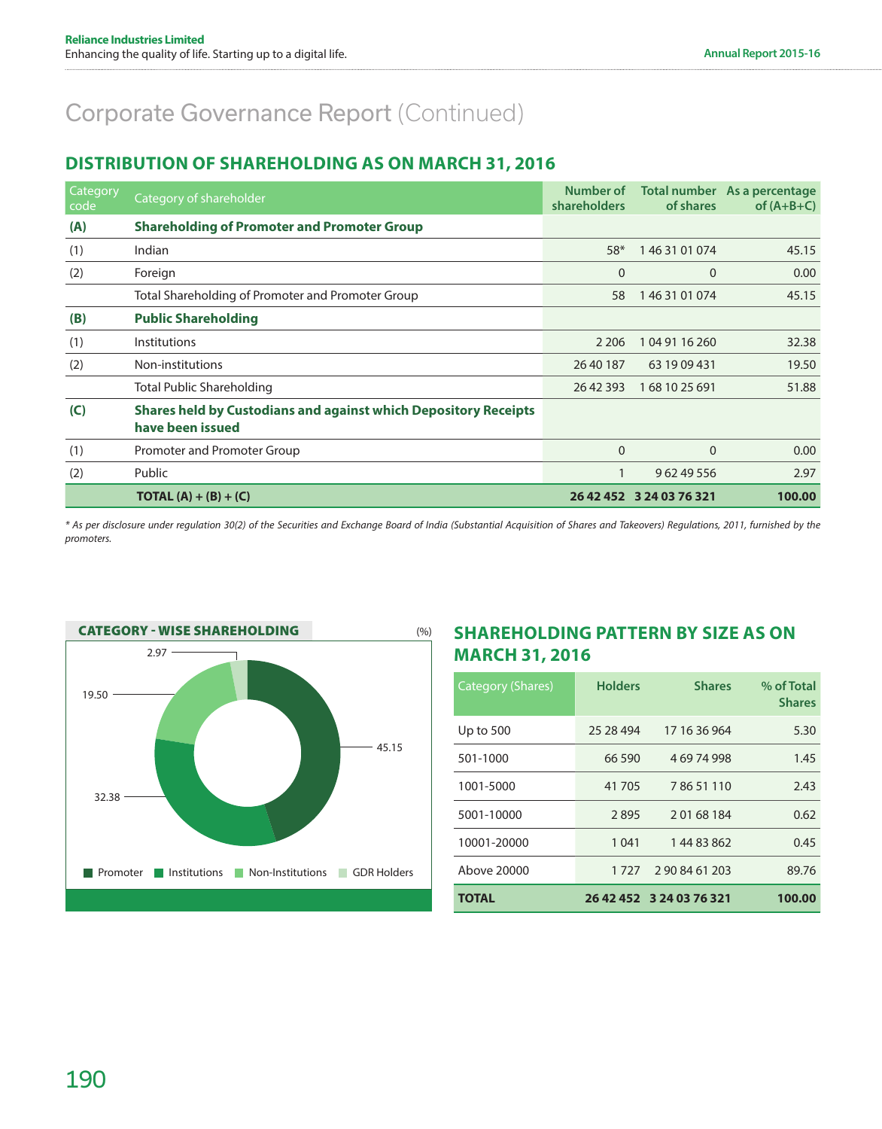## **DISTRIBUTION OF SHAREHOLDING AS ON MARCH 31, 2016**

| <b>Category</b><br>code | Category of shareholder                                                                    | Number of<br>shareholders | of shares                | Total number As a percentage<br>of $(A+B+C)$ |
|-------------------------|--------------------------------------------------------------------------------------------|---------------------------|--------------------------|----------------------------------------------|
| (A)                     | <b>Shareholding of Promoter and Promoter Group</b>                                         |                           |                          |                                              |
| (1)                     | Indian                                                                                     | $58*$                     | 146 31 01 074            | 45.15                                        |
| (2)                     | Foreign                                                                                    | $\Omega$                  | 0                        | 0.00                                         |
|                         | Total Shareholding of Promoter and Promoter Group                                          | 58                        | 146 31 01 074            | 45.15                                        |
| (B)                     | <b>Public Shareholding</b>                                                                 |                           |                          |                                              |
| (1)                     | Institutions                                                                               | 2 2 0 6                   | 104 91 16 260            | 32.38                                        |
| (2)                     | Non-institutions                                                                           | 26 40 187                 | 63 19 09 431             | 19.50                                        |
|                         | Total Public Shareholding                                                                  | 26 42 393                 | 168 10 25 691            | 51.88                                        |
| (C)                     | <b>Shares held by Custodians and against which Depository Receipts</b><br>have been issued |                           |                          |                                              |
| (1)                     | Promoter and Promoter Group                                                                | $\overline{0}$            | $\mathbf 0$              | 0.00                                         |
| (2)                     | Public                                                                                     |                           | 96249556                 | 2.97                                         |
|                         | <b>TOTAL</b> (A) + (B) + (C)                                                               |                           | 26 42 452 3 24 03 76 321 | 100.00                                       |

*\* As per disclosure under regulation 30(2) of the Securities and Exchange Board of India (Substantial Acquisition of Shares and Takeovers) Regulations, 2011, furnished by the promoters.*



## **SHAREHOLDING PATTERN BY SIZE AS ON MARCH 31, 2016**

| <b>Category (Shares)</b> | <b>Holders</b> | <b>Shares</b>            | % of Total<br><b>Shares</b> |
|--------------------------|----------------|--------------------------|-----------------------------|
| Up to 500                | 25 28 494      | 17 16 36 964             | 5.30                        |
| 501-1000                 | 66 590         | 46974998                 | 1.45                        |
| 1001-5000                | 41705          | 78651110                 | 2.43                        |
| 5001-10000               | 2895           | 20168184                 | 0.62                        |
| 10001-20000              | 1041           | 14483862                 | 0.45                        |
| Above 20000              | 1 7 2 7        | 2 90 84 61 203           | 89.76                       |
| <b>TOTAL</b>             |                | 26 42 452 3 24 03 76 321 | 100.00                      |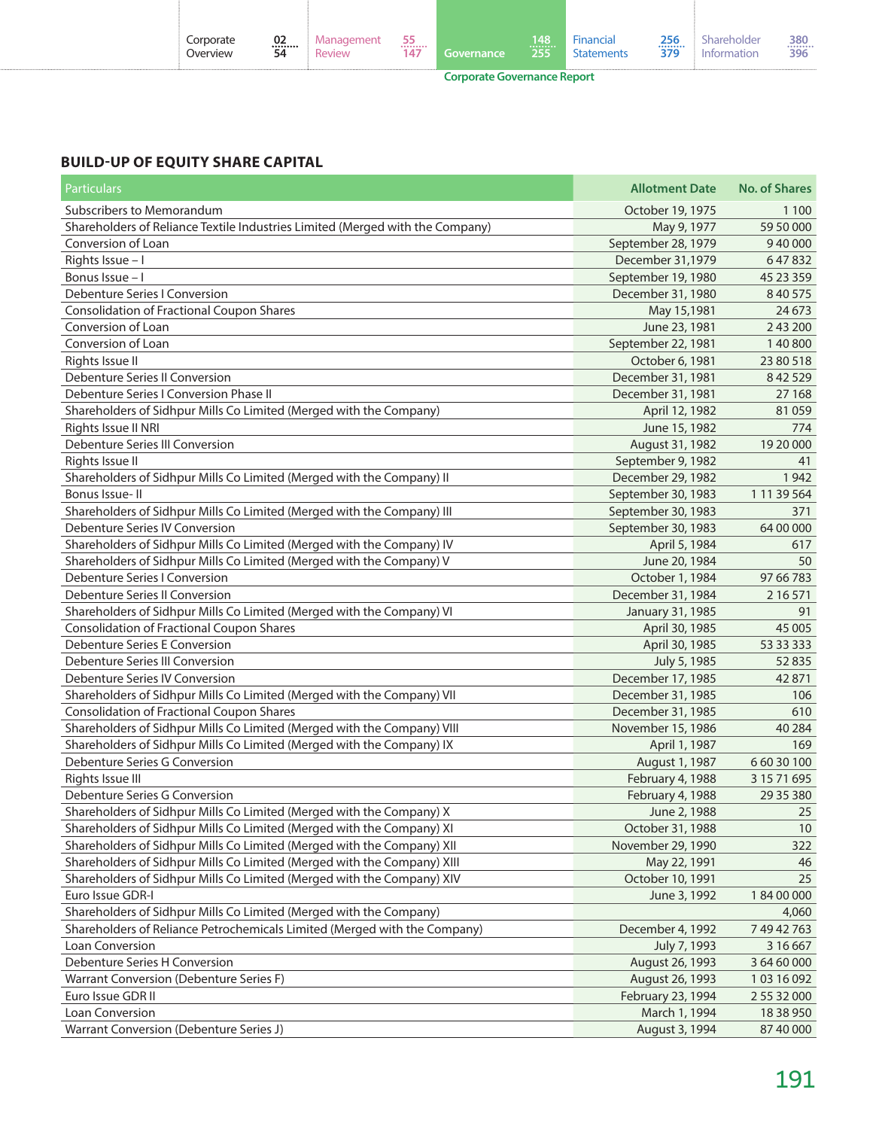

#### **BUILD-UP OF EQUITY SHARE CAPITAL**

| Particulars                                                                   | <b>Allotment Date</b> | <b>No. of Shares</b> |
|-------------------------------------------------------------------------------|-----------------------|----------------------|
| <b>Subscribers to Memorandum</b>                                              | October 19, 1975      | 1 100                |
| Shareholders of Reliance Textile Industries Limited (Merged with the Company) | May 9, 1977           | 59 50 000            |
| Conversion of Loan                                                            | September 28, 1979    | 940000               |
| Rights Issue - I                                                              | December 31,1979      | 647832               |
| Bonus Issue - I                                                               | September 19, 1980    | 45 23 359            |
| Debenture Series I Conversion                                                 | December 31, 1980     | 840575               |
| <b>Consolidation of Fractional Coupon Shares</b>                              | May 15,1981           | 24 673               |
| Conversion of Loan                                                            | June 23, 1981         | 2 43 200             |
| Conversion of Loan                                                            | September 22, 1981    | 140800               |
| Rights Issue II                                                               | October 6, 1981       | 23 80 518            |
| <b>Debenture Series II Conversion</b>                                         | December 31, 1981     | 842529               |
| Debenture Series I Conversion Phase II                                        | December 31, 1981     | 27 168               |
| Shareholders of Sidhpur Mills Co Limited (Merged with the Company)            | April 12, 1982        | 81 059               |
| Rights Issue II NRI                                                           | June 15, 1982         | 774                  |
| Debenture Series III Conversion                                               | August 31, 1982       | 19 20 000            |
| Rights Issue II                                                               | September 9, 1982     | 41                   |
| Shareholders of Sidhpur Mills Co Limited (Merged with the Company) II         | December 29, 1982     | 1942                 |
| Bonus Issue-II                                                                | September 30, 1983    | 1 11 39 564          |
| Shareholders of Sidhpur Mills Co Limited (Merged with the Company) III        | September 30, 1983    | 371                  |
| Debenture Series IV Conversion                                                | September 30, 1983    | 64 00 000            |
| Shareholders of Sidhpur Mills Co Limited (Merged with the Company) IV         | April 5, 1984         | 617                  |
| Shareholders of Sidhpur Mills Co Limited (Merged with the Company) V          | June 20, 1984         | 50                   |
| Debenture Series I Conversion                                                 | October 1, 1984       | 97 66 783            |
| Debenture Series II Conversion                                                | December 31, 1984     | 2 16 571             |
| Shareholders of Sidhpur Mills Co Limited (Merged with the Company) VI         | January 31, 1985      | 91                   |
| <b>Consolidation of Fractional Coupon Shares</b>                              | April 30, 1985        | 45 005               |
| Debenture Series E Conversion                                                 | April 30, 1985        | 53 33 333            |
| Debenture Series III Conversion                                               | July 5, 1985          | 52835                |
| Debenture Series IV Conversion                                                | December 17, 1985     | 42871                |
| Shareholders of Sidhpur Mills Co Limited (Merged with the Company) VII        | December 31, 1985     | 106                  |
| Consolidation of Fractional Coupon Shares                                     | December 31, 1985     | 610                  |
| Shareholders of Sidhpur Mills Co Limited (Merged with the Company) VIII       | November 15, 1986     | 40 284               |
| Shareholders of Sidhpur Mills Co Limited (Merged with the Company) IX         | April 1, 1987         | 169                  |
| Debenture Series G Conversion                                                 | August 1, 1987        | 66030100             |
| Rights Issue III                                                              | February 4, 1988      | 3 15 71 695          |
| Debenture Series G Conversion                                                 | February 4, 1988      | 29 35 380            |
| Shareholders of Sidhpur Mills Co Limited (Merged with the Company) X          | June 2, 1988          | 25                   |
| Shareholders of Sidhpur Mills Co Limited (Merged with the Company) XI         | October 31, 1988      | 10                   |
| Shareholders of Sidhpur Mills Co Limited (Merged with the Company) XII        | November 29, 1990     | 322                  |
| Shareholders of Sidhpur Mills Co Limited (Merged with the Company) XIII       | May 22, 1991          | 46                   |
| Shareholders of Sidhpur Mills Co Limited (Merged with the Company) XIV        | October 10, 1991      | 25                   |
| Euro Issue GDR-I                                                              | June 3, 1992          | 18400000             |
| Shareholders of Sidhpur Mills Co Limited (Merged with the Company)            |                       | 4,060                |
| Shareholders of Reliance Petrochemicals Limited (Merged with the Company)     | December 4, 1992      | 74942763             |
| Loan Conversion                                                               | July 7, 1993          | 3 16 6 67            |
| Debenture Series H Conversion                                                 | August 26, 1993       | 3 64 60 000          |
| Warrant Conversion (Debenture Series F)                                       | August 26, 1993       | 1 03 16 092          |
| Euro Issue GDR II                                                             | February 23, 1994     | 2 55 32 000          |
| Loan Conversion                                                               | March 1, 1994         | 18 38 950            |
| Warrant Conversion (Debenture Series J)                                       | August 3, 1994        | 87 40 000            |
|                                                                               |                       |                      |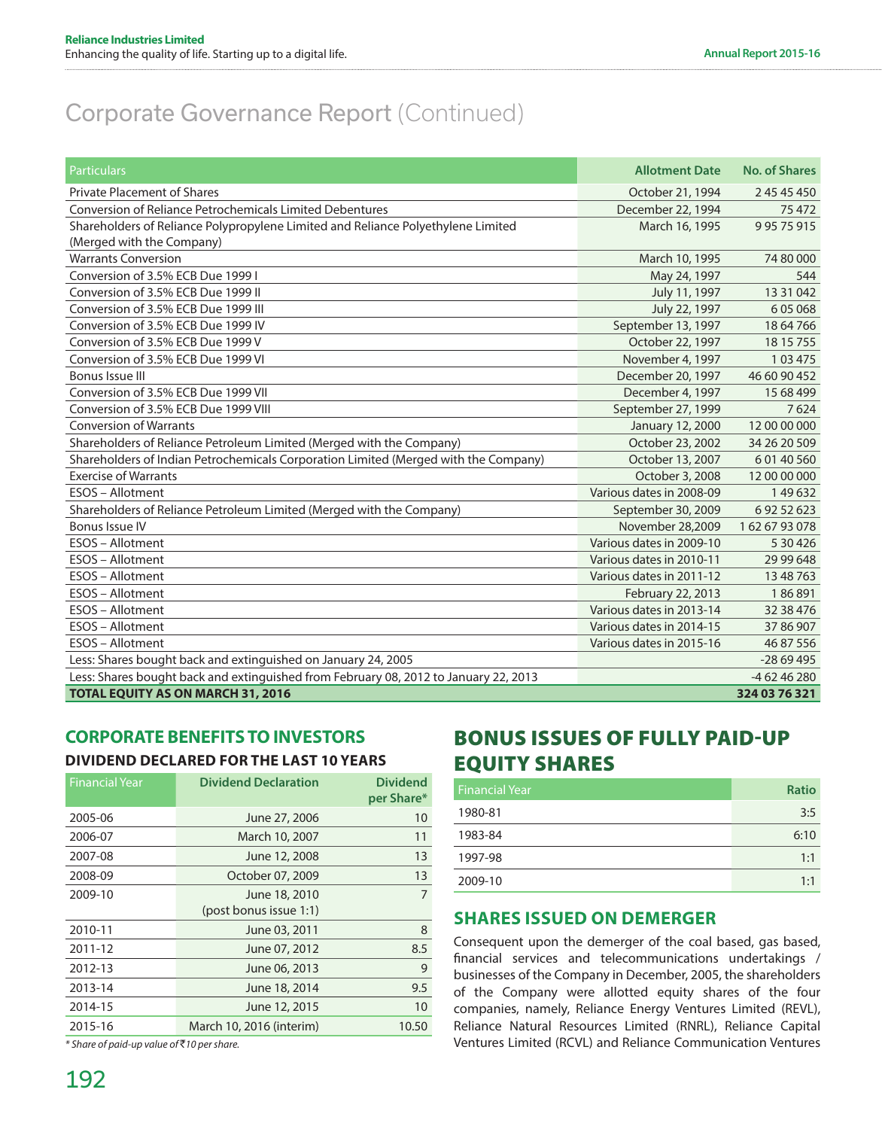| <b>Particulars</b>                                                                   | <b>Allotment Date</b>    | <b>No. of Shares</b> |
|--------------------------------------------------------------------------------------|--------------------------|----------------------|
| <b>Private Placement of Shares</b>                                                   | October 21, 1994         | 2 45 45 450          |
| Conversion of Reliance Petrochemicals Limited Debentures                             | December 22, 1994        | 75472                |
| Shareholders of Reliance Polypropylene Limited and Reliance Polyethylene Limited     | March 16, 1995           | 9 9 5 7 5 9 1 5      |
| (Merged with the Company)                                                            |                          |                      |
| <b>Warrants Conversion</b>                                                           | March 10, 1995           | 74 80 000            |
| Conversion of 3.5% ECB Due 1999 I                                                    | May 24, 1997             | 544                  |
| Conversion of 3.5% ECB Due 1999 II                                                   | July 11, 1997            | 13 31 042            |
| Conversion of 3.5% ECB Due 1999 III                                                  | July 22, 1997            | 605068               |
| Conversion of 3.5% ECB Due 1999 IV                                                   | September 13, 1997       | 18 64 7 66           |
| Conversion of 3.5% ECB Due 1999 V                                                    | October 22, 1997         | 18 15 755            |
| Conversion of 3.5% ECB Due 1999 VI                                                   | November 4, 1997         | 1 03 475             |
| <b>Bonus Issue III</b>                                                               | December 20, 1997        | 46 60 90 452         |
| Conversion of 3.5% ECB Due 1999 VII                                                  | December 4, 1997         | 15 68 499            |
| Conversion of 3.5% ECB Due 1999 VIII                                                 | September 27, 1999       | 7624                 |
| <b>Conversion of Warrants</b>                                                        | January 12, 2000         | 12 00 00 000         |
| Shareholders of Reliance Petroleum Limited (Merged with the Company)                 | October 23, 2002         | 34 26 20 509         |
| Shareholders of Indian Petrochemicals Corporation Limited (Merged with the Company)  | October 13, 2007         | 60140560             |
| <b>Exercise of Warrants</b>                                                          | October 3, 2008          | 12 00 00 000         |
| ESOS - Allotment                                                                     | Various dates in 2008-09 | 149632               |
| Shareholders of Reliance Petroleum Limited (Merged with the Company)                 | September 30, 2009       | 69252623             |
| <b>Bonus Issue IV</b>                                                                | November 28,2009         | 1626793078           |
| ESOS - Allotment                                                                     | Various dates in 2009-10 | 5 30 4 26            |
| ESOS - Allotment                                                                     | Various dates in 2010-11 | 29 99 648            |
| ESOS - Allotment                                                                     | Various dates in 2011-12 | 13 48 763            |
| ESOS - Allotment                                                                     | February 22, 2013        | 186891               |
| ESOS - Allotment                                                                     | Various dates in 2013-14 | 32 38 476            |
| ESOS - Allotment                                                                     | Various dates in 2014-15 | 37 86 907            |
| ESOS - Allotment                                                                     | Various dates in 2015-16 | 46 87 556            |
| Less: Shares bought back and extinguished on January 24, 2005                        |                          | $-2869495$           |
| Less: Shares bought back and extinguished from February 08, 2012 to January 22, 2013 |                          | $-46246280$          |
| <b>TOTAL EQUITY AS ON MARCH 31, 2016</b>                                             |                          | 324 03 76 321        |

## **CORPORATE BENEFITS TO INVESTORS**

#### **DIVIDEND DECLARED FOR THE LAST 10 YEARS**

| <b>Financial Year</b> | <b>Dividend Declaration</b>             | <b>Dividend</b><br>per Share* |
|-----------------------|-----------------------------------------|-------------------------------|
| 2005-06               | June 27, 2006                           | 10                            |
| 2006-07               | March 10, 2007                          | 11                            |
| 2007-08               | June 12, 2008                           | 13                            |
| 2008-09               | October 07, 2009                        | 13                            |
| 2009-10               | June 18, 2010<br>(post bonus issue 1:1) | $\overline{7}$                |
|                       |                                         |                               |
| 2010-11               | June 03, 2011                           | 8                             |
| 2011-12               | June 07, 2012                           | 8.5                           |
| 2012-13               | June 06, 2013                           | 9                             |
| 2013-14               | June 18, 2014                           | 9.5                           |
| 2014-15               | June 12, 2015                           | 10                            |
| 2015-16               | March 10, 2016 (interim)                | 10.50                         |

*\* Share of paid-up value of* `*10 per share.*

# BONUS ISSUES OF FULLY PAID-UP EQUITY SHARES

| <b>Financial Year</b> | <b>Ratio</b> |
|-----------------------|--------------|
| 1980-81               | 3:5          |
| 1983-84               | 6:10         |
| 1997-98               | 1:1          |
| 2009-10               | 1:1          |

## **SHARES ISSUED ON DEMERGER**

Consequent upon the demerger of the coal based, gas based, financial services and telecommunications undertakings / businesses of the Company in December, 2005, the shareholders of the Company were allotted equity shares of the four companies, namely, Reliance Energy Ventures Limited (REVL), Reliance Natural Resources Limited (RNRL), Reliance Capital Ventures Limited (RCVL) and Reliance Communication Ventures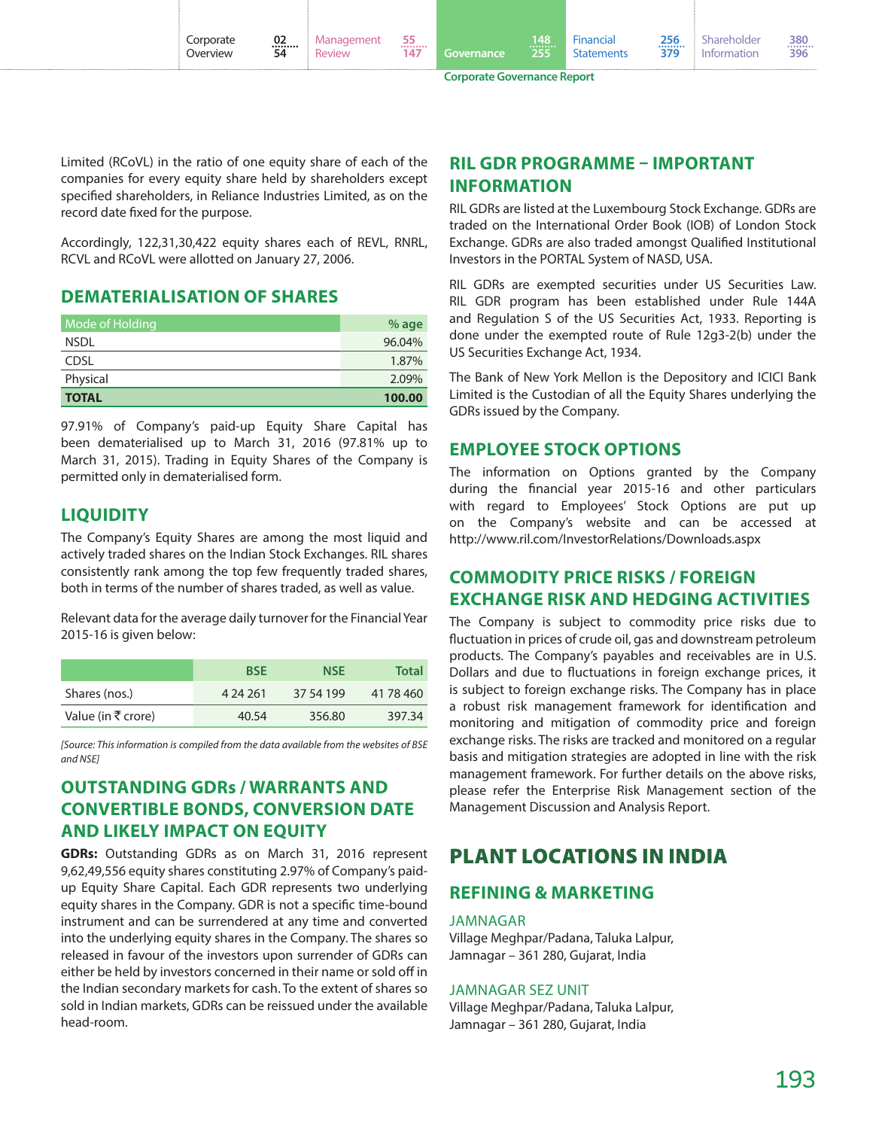Management Review

**02 54** **55**



Limited (RCoVL) in the ratio of one equity share of each of the companies for every equity share held by shareholders except specified shareholders, in Reliance Industries Limited, as on the record date fixed for the purpose.

Accordingly, 122,31,30,422 equity shares each of REVL, RNRL, RCVL and RCoVL were allotted on January 27, 2006.

#### **DEMATERIALISATION OF SHARES**

| Mode of Holding | $%$ age |
|-----------------|---------|
| <b>NSDL</b>     | 96.04%  |
| <b>CDSL</b>     | 1.87%   |
| Physical        | 2.09%   |
| <b>TOTAL</b>    | 100.00  |

97.91% of Company's paid-up Equity Share Capital has been dematerialised up to March 31, 2016 (97.81% up to March 31, 2015). Trading in Equity Shares of the Company is permitted only in dematerialised form.

## **LIQUIDITY**

The Company's Equity Shares are among the most liquid and actively traded shares on the Indian Stock Exchanges. RIL shares consistently rank among the top few frequently traded shares, both in terms of the number of shares traded, as well as value.

Relevant data for the average daily turnover for the Financial Year 2015-16 is given below:

|                    | <b>BSE</b> | <b>NSE</b> | Total     |
|--------------------|------------|------------|-----------|
| Shares (nos.)      | 4 24 261   | 37 54 199  | 41 78 460 |
| Value (in ₹ crore) | 40.54      | 356.80     | 397.34    |

*[Source: This information is compiled from the data available from the websites of BSE and NSE]*

## **OUTSTANDING GDRs / WARRANTS AND CONVERTIBLE BONDS, CONVERSION DATE AND LIKELY IMPACT ON EQUITY**

**GDRs:** Outstanding GDRs as on March 31, 2016 represent 9,62,49,556 equity shares constituting 2.97% of Company's paidup Equity Share Capital. Each GDR represents two underlying equity shares in the Company. GDR is not a specific time-bound instrument and can be surrendered at any time and converted into the underlying equity shares in the Company. The shares so released in favour of the investors upon surrender of GDRs can either be held by investors concerned in their name or sold off in the Indian secondary markets for cash. To the extent of shares so sold in Indian markets, GDRs can be reissued under the available head-room.

## **RIL GDR PROGRAMME – IMPORTANT INFORMATION**

RIL GDRs are listed at the Luxembourg Stock Exchange. GDRs are traded on the International Order Book (IOB) of London Stock Exchange. GDRs are also traded amongst Qualified Institutional Investors in the PORTAL System of NASD, USA.

RIL GDRs are exempted securities under US Securities Law. RIL GDR program has been established under Rule 144A and Regulation S of the US Securities Act, 1933. Reporting is done under the exempted route of Rule 12g3-2(b) under the US Securities Exchange Act, 1934.

The Bank of New York Mellon is the Depository and ICICI Bank Limited is the Custodian of all the Equity Shares underlying the GDRs issued by the Company.

### **EMPLOYEE STOCK OPTIONS**

The information on Options granted by the Company during the financial year 2015-16 and other particulars with regard to Employees' Stock Options are put up on the Company's website and can be accessed at http://www.ril.com/InvestorRelations/Downloads.aspx

## **COMMODITY PRICE RISKS / FOREIGN EXCHANGE RISK AND HEDGING ACTIVITIES**

The Company is subject to commodity price risks due to fluctuation in prices of crude oil, gas and downstream petroleum products. The Company's payables and receivables are in U.S. Dollars and due to fluctuations in foreign exchange prices, it is subject to foreign exchange risks. The Company has in place a robust risk management framework for identification and monitoring and mitigation of commodity price and foreign exchange risks. The risks are tracked and monitored on a regular basis and mitigation strategies are adopted in line with the risk management framework. For further details on the above risks, please refer the Enterprise Risk Management section of the Management Discussion and Analysis Report.

## PLANT LOCATIONS IN INDIA

## **REFINING & MARKETING**

#### JAMNAGAR

Village Meghpar/Padana, Taluka Lalpur, Jamnagar – 361 280, Gujarat, India

#### JAMNAGAR SEZ UNIT

Village Meghpar/Padana, Taluka Lalpur, Jamnagar – 361 280, Gujarat, India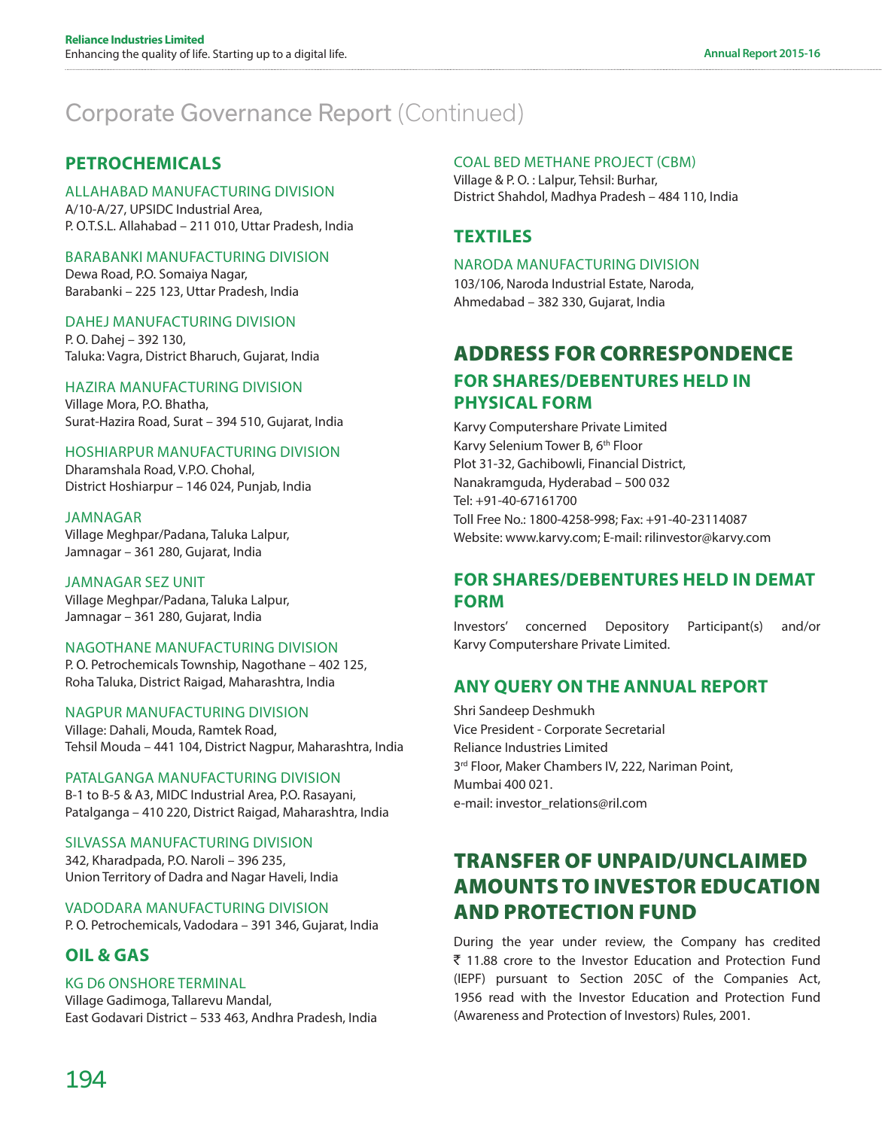## **PETROCHEMICALS**

#### ALLAHABAD MANUFACTURING DIVISION

A/10-A/27, UPSIDC Industrial Area, P. O.T.S.L. Allahabad – 211 010, Uttar Pradesh, India

#### BARABANKI MANUFACTURING DIVISION

Dewa Road, P.O. Somaiya Nagar, Barabanki – 225 123, Uttar Pradesh, India

#### DAHEJ MANUFACTURING DIVISION

P. O. Dahej – 392 130, Taluka: Vagra, District Bharuch, Gujarat, India

#### HAZIRA MANUFACTURING DIVISION

Village Mora, P.O. Bhatha, Surat-Hazira Road, Surat – 394 510, Gujarat, India

#### HOSHIARPUR MANUFACTURING DIVISION

Dharamshala Road, V.P.O. Chohal, District Hoshiarpur – 146 024, Punjab, India

#### JAMNAGAR

Village Meghpar/Padana, Taluka Lalpur, Jamnagar – 361 280, Gujarat, India

#### JAMNAGAR SEZ UNIT

Village Meghpar/Padana, Taluka Lalpur, Jamnagar – 361 280, Gujarat, India

#### NAGOTHANE MANUFACTURING DIVISION

P. O. Petrochemicals Township, Nagothane – 402 125, Roha Taluka, District Raigad, Maharashtra, India

#### NAGPUR MANUFACTURING DIVISION

Village: Dahali, Mouda, Ramtek Road, Tehsil Mouda – 441 104, District Nagpur, Maharashtra, India

## PATALGANGA MANUFACTURING DIVISION

B-1 to B-5 & A3, MIDC Industrial Area, P.O. Rasayani, Patalganga – 410 220, District Raigad, Maharashtra, India

SILVASSA MANUFACTURING DIVISION 342, Kharadpada, P.O. Naroli – 396 235, Union Territory of Dadra and Nagar Haveli, India

VADODARA MANUFACTURING DIVISION P. O. Petrochemicals, Vadodara – 391 346, Gujarat, India

## **OIL & GAS**

#### KG D6 ONSHORE TERMINAL

Village Gadimoga, Tallarevu Mandal, East Godavari District – 533 463, Andhra Pradesh, India

#### COAL BED METHANE PROJECT (CBM)

Village & P. O. : Lalpur, Tehsil: Burhar, District Shahdol, Madhya Pradesh – 484 110, India

## **TEXTILES**

#### NARODA MANUFACTURING DIVISION

103/106, Naroda Industrial Estate, Naroda, Ahmedabad – 382 330, Gujarat, India

## ADDRESS FOR CORRESPONDENCE

## **FOR SHARES/DEBENTURES HELD IN PHYSICAL FORM**

Karvy Computershare Private Limited Karvy Selenium Tower B, 6<sup>th</sup> Floor Plot 31-32, Gachibowli, Financial District, Nanakramguda, Hyderabad – 500 032 Tel: +91-40-67161700 Toll Free No.: 1800-4258-998; Fax: +91-40-23114087 Website: www.karvy.com; E-mail: rilinvestor@karvy.com

## **FOR SHARES/DEBENTURES HELD IN DEMAT FORM**

Investors' concerned Depository Participant(s) and/or Karvy Computershare Private Limited.

## **ANY QUERY ON THE ANNUAL REPORT**

Shri Sandeep Deshmukh Vice President - Corporate Secretarial Reliance Industries Limited 3<sup>rd</sup> Floor, Maker Chambers IV, 222, Nariman Point, Mumbai 400 021. e-mail: investor\_relations@ril.com

## TRANSFER OF UNPAID/UNCLAIMED AMOUNTS TO INVESTOR EDUCATION AND PROTECTION FUND

During the year under review, the Company has credited ` 11.88 crore to the Investor Education and Protection Fund (IEPF) pursuant to Section 205C of the Companies Act, 1956 read with the Investor Education and Protection Fund (Awareness and Protection of Investors) Rules, 2001.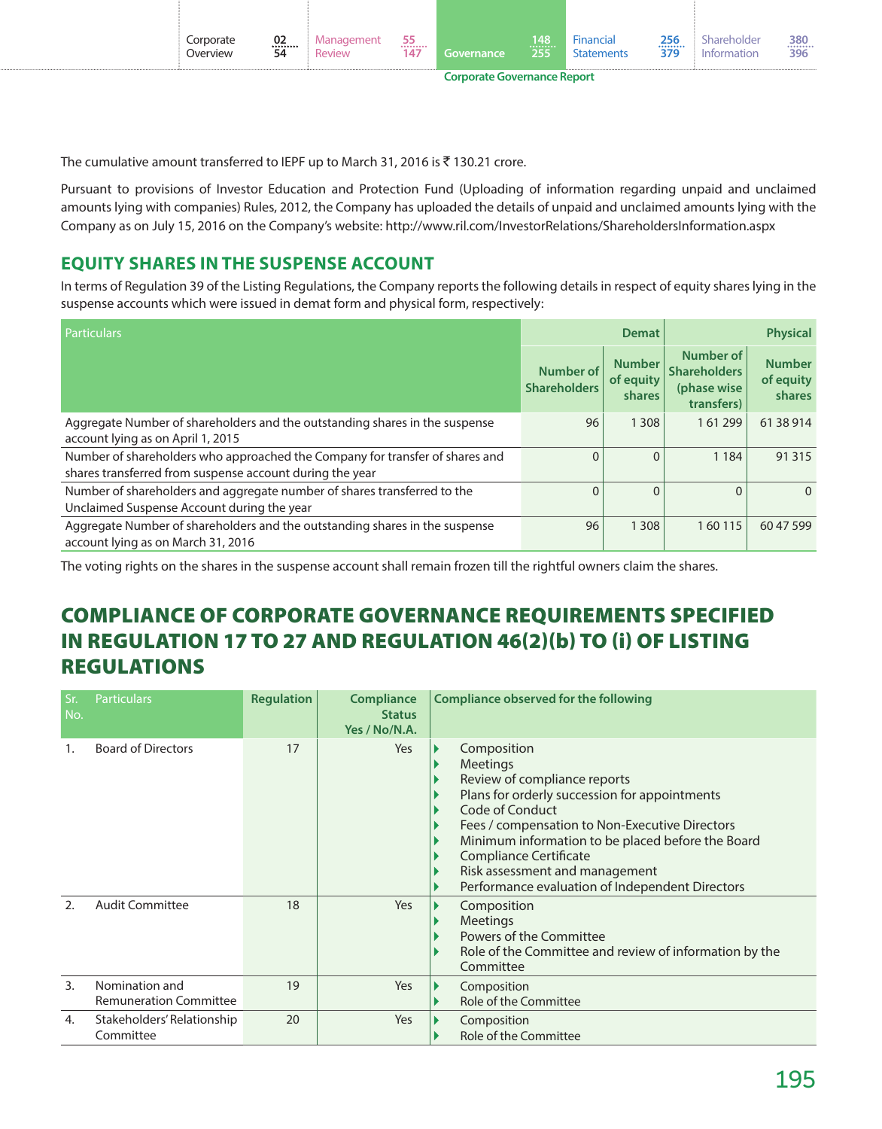Management Review

**02 54** **Governance** Financial **Statements 148 255**

**Corporate Governance Report**

The cumulative amount transferred to IEPF up to March 31, 2016 is  $\bar{\tau}$  130.21 crore.

Pursuant to provisions of Investor Education and Protection Fund (Uploading of information regarding unpaid and unclaimed amounts lying with companies) Rules, 2012, the Company has uploaded the details of unpaid and unclaimed amounts lying with the Company as on July 15, 2016 on the Company's website: http://www.ril.com/InvestorRelations/ShareholdersInformation.aspx

**55 147**

## **EQUITY SHARES IN THE SUSPENSE ACCOUNT**

In terms of Regulation 39 of the Listing Regulations, the Company reports the following details in respect of equity shares lying in the suspense accounts which were issued in demat form and physical form, respectively:

| <b>Particulars</b>                                                                                                                       |                                  | <b>Demat</b>                                |                                                                | <b>Physical</b>                      |
|------------------------------------------------------------------------------------------------------------------------------------------|----------------------------------|---------------------------------------------|----------------------------------------------------------------|--------------------------------------|
|                                                                                                                                          | Number of<br><b>Shareholders</b> | <b>Number</b><br>of equity<br><b>shares</b> | Number of<br><b>Shareholders</b><br>(phase wise)<br>transfers) | <b>Number</b><br>of equity<br>shares |
| Aggregate Number of shareholders and the outstanding shares in the suspense<br>account lying as on April 1, 2015                         | 96                               | 1 308                                       | 161299                                                         | 61 38 914                            |
| Number of shareholders who approached the Company for transfer of shares and<br>shares transferred from suspense account during the year |                                  | $\Omega$                                    | 1 1 8 4                                                        | 91 315                               |
| Number of shareholders and aggregate number of shares transferred to the<br>Unclaimed Suspense Account during the year                   |                                  | $\Omega$                                    | $\overline{0}$                                                 | $\Omega$                             |
| Aggregate Number of shareholders and the outstanding shares in the suspense<br>account lying as on March 31, 2016                        | 96                               | 308                                         | 160 115                                                        | 60 47 599                            |

The voting rights on the shares in the suspense account shall remain frozen till the rightful owners claim the shares.

## COMPLIANCE OF CORPORATE GOVERNANCE REQUIREMENTS SPECIFIED IN REGULATION 17 TO 27 AND REGULATION 46(2)(b) TO (i) OF LISTING REGULATIONS

| Sr.<br>No.       | <b>Particulars</b>                              | <b>Regulation</b> | <b>Compliance</b><br><b>Status</b><br>Yes / No/N.A. | <b>Compliance observed for the following</b>                                                                                                                                                                                                                                                                                                             |
|------------------|-------------------------------------------------|-------------------|-----------------------------------------------------|----------------------------------------------------------------------------------------------------------------------------------------------------------------------------------------------------------------------------------------------------------------------------------------------------------------------------------------------------------|
| 1.               | <b>Board of Directors</b>                       | 17                | Yes                                                 | Composition<br><b>Meetings</b><br>Review of compliance reports<br>Plans for orderly succession for appointments<br>Code of Conduct<br>Fees / compensation to Non-Executive Directors<br>Minimum information to be placed before the Board<br>Compliance Certificate<br>Risk assessment and management<br>Performance evaluation of Independent Directors |
| 2.               | <b>Audit Committee</b>                          | 18                | Yes                                                 | Composition<br><b>Meetings</b><br>Powers of the Committee<br>Role of the Committee and review of information by the<br>Committee                                                                                                                                                                                                                         |
| $\overline{3}$ . | Nomination and<br><b>Remuneration Committee</b> | 19                | Yes                                                 | Composition<br>Role of the Committee                                                                                                                                                                                                                                                                                                                     |
| 4.               | Stakeholders' Relationship<br>Committee         | 20                | Yes                                                 | Composition<br>Role of the Committee                                                                                                                                                                                                                                                                                                                     |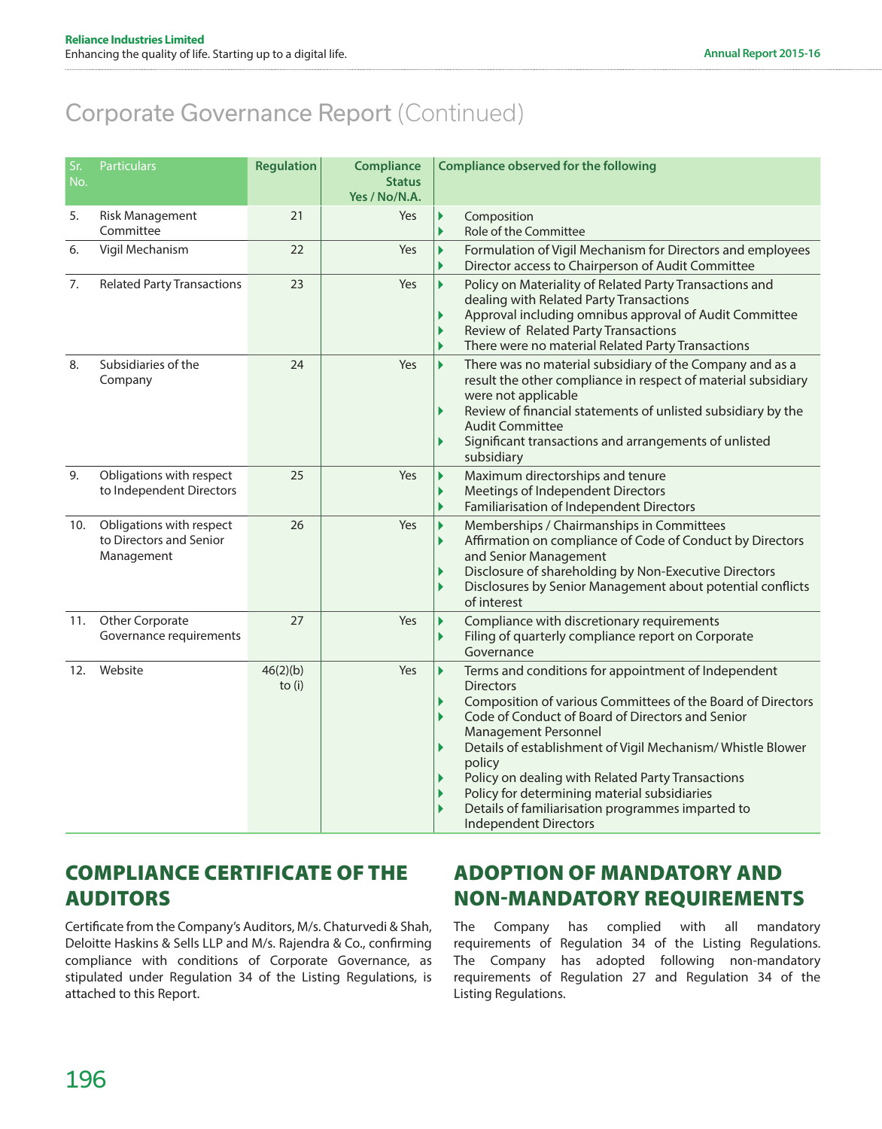| Sr.<br>No. | Particulars                                                       | <b>Regulation</b>  | <b>Compliance</b><br><b>Status</b><br>Yes / No/N.A. | <b>Compliance observed for the following</b>                                                                                                                                                                                                                                                                                                                                                                                                                                                                  |
|------------|-------------------------------------------------------------------|--------------------|-----------------------------------------------------|---------------------------------------------------------------------------------------------------------------------------------------------------------------------------------------------------------------------------------------------------------------------------------------------------------------------------------------------------------------------------------------------------------------------------------------------------------------------------------------------------------------|
| 5.         | <b>Risk Management</b><br>Committee                               | 21                 | Yes                                                 | ▶<br>Composition<br>Role of the Committee                                                                                                                                                                                                                                                                                                                                                                                                                                                                     |
| 6.         | Vigil Mechanism                                                   | 22                 | Yes                                                 | Formulation of Vigil Mechanism for Directors and employees<br>▶<br>Director access to Chairperson of Audit Committee                                                                                                                                                                                                                                                                                                                                                                                          |
| 7.         | <b>Related Party Transactions</b>                                 | 23                 | Yes                                                 | Policy on Materiality of Related Party Transactions and<br>▶<br>dealing with Related Party Transactions<br>Approval including omnibus approval of Audit Committee<br>Review of Related Party Transactions<br>There were no material Related Party Transactions<br>ь                                                                                                                                                                                                                                           |
| 8.         | Subsidiaries of the<br>Company                                    | 24                 | Yes                                                 | ▶<br>There was no material subsidiary of the Company and as a<br>result the other compliance in respect of material subsidiary<br>were not applicable<br>Review of financial statements of unlisted subsidiary by the<br>▶<br><b>Audit Committee</b><br>Significant transactions and arrangements of unlisted<br>subsidiary                                                                                                                                                                                   |
| 9.         | Obligations with respect<br>to Independent Directors              | 25                 | Yes                                                 | Maximum directorships and tenure<br>▶<br>Meetings of Independent Directors<br>Familiarisation of Independent Directors                                                                                                                                                                                                                                                                                                                                                                                        |
| 10.        | Obligations with respect<br>to Directors and Senior<br>Management | 26                 | Yes                                                 | Memberships / Chairmanships in Committees<br>Affirmation on compliance of Code of Conduct by Directors<br>and Senior Management<br>Disclosure of shareholding by Non-Executive Directors<br>ь<br>Disclosures by Senior Management about potential conflicts<br>of interest                                                                                                                                                                                                                                    |
| 11.        | Other Corporate<br>Governance requirements                        | 27                 | Yes                                                 | Compliance with discretionary requirements<br>▶<br>Filing of quarterly compliance report on Corporate<br>▶<br>Governance                                                                                                                                                                                                                                                                                                                                                                                      |
| 12.        | Website                                                           | 46(2)(b)<br>to (i) | Yes                                                 | Terms and conditions for appointment of Independent<br>▶<br><b>Directors</b><br>Composition of various Committees of the Board of Directors<br>Code of Conduct of Board of Directors and Senior<br>ь<br>Management Personnel<br>Details of establishment of Vigil Mechanism/Whistle Blower<br>▶<br>policy<br>Policy on dealing with Related Party Transactions<br>Policy for determining material subsidiaries<br>▶<br>Details of familiarisation programmes imparted to<br>Þ<br><b>Independent Directors</b> |

## COMPLIANCE CERTIFICATE OF THE AUDITORS

Certificate from the Company's Auditors, M/s. Chaturvedi & Shah, Deloitte Haskins & Sells LLP and M/s. Rajendra & Co., confirming compliance with conditions of Corporate Governance, as stipulated under Regulation 34 of the Listing Regulations, is attached to this Report.

## ADOPTION OF MANDATORY AND NON-MANDATORY REQUIREMENTS

The Company has complied with all mandatory requirements of Regulation 34 of the Listing Regulations. The Company has adopted following non-mandatory requirements of Regulation 27 and Regulation 34 of the Listing Regulations.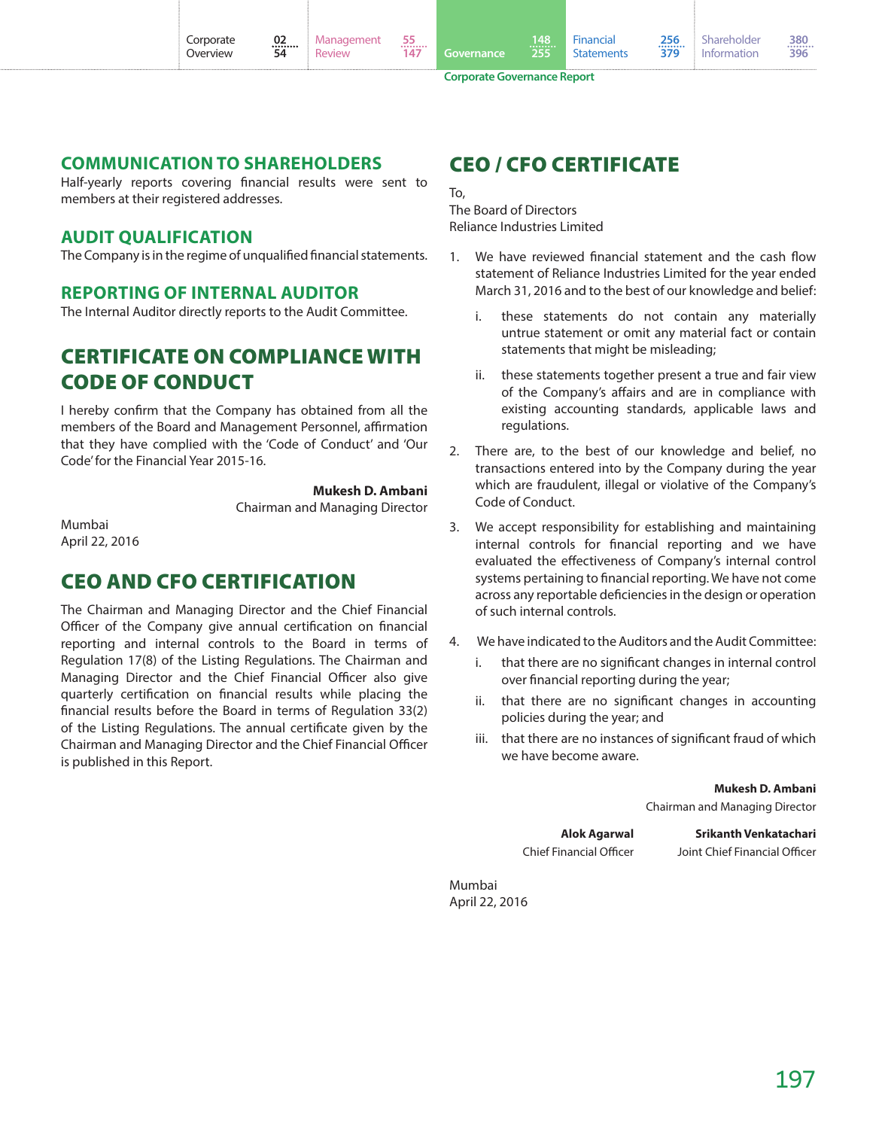Management Review **02 54**

**Governance** Financial **Statements 148 255 55 147**

Shareholder Information **256 379 380 396**

**Corporate Governance Report**

## **COMMUNICATION TO SHAREHOLDERS**

Half-yearly reports covering financial results were sent to members at their registered addresses.

## **AUDIT QUALIFICATION**

The Company is in the regime of unqualified financial statements.

## **REPORTING OF INTERNAL AUDITOR**

The Internal Auditor directly reports to the Audit Committee.

## CERTIFICATE ON COMPLIANCE WITH CODE OF CONDUCT

I hereby confirm that the Company has obtained from all the members of the Board and Management Personnel, affirmation that they have complied with the 'Code of Conduct' and 'Our Code' for the Financial Year 2015-16.

> **Mukesh D. Ambani** Chairman and Managing Director

Mumbai April 22, 2016

## CEO AND CFO CERTIFICATION

The Chairman and Managing Director and the Chief Financial Officer of the Company give annual certification on financial reporting and internal controls to the Board in terms of Regulation 17(8) of the Listing Regulations. The Chairman and Managing Director and the Chief Financial Officer also give quarterly certification on financial results while placing the financial results before the Board in terms of Regulation 33(2) of the Listing Regulations. The annual certificate given by the Chairman and Managing Director and the Chief Financial Officer is published in this Report.

## CEO / CFO CERTIFICATE

To,

The Board of Directors Reliance Industries Limited

- 1. We have reviewed financial statement and the cash flow statement of Reliance Industries Limited for the year ended March 31, 2016 and to the best of our knowledge and belief:
	- i. these statements do not contain any materially untrue statement or omit any material fact or contain statements that might be misleading;
	- ii. these statements together present a true and fair view of the Company's affairs and are in compliance with existing accounting standards, applicable laws and regulations.
- 2. There are, to the best of our knowledge and belief, no transactions entered into by the Company during the year which are fraudulent, illegal or violative of the Company's Code of Conduct.
- 3. We accept responsibility for establishing and maintaining internal controls for financial reporting and we have evaluated the effectiveness of Company's internal control systems pertaining to financial reporting. We have not come across any reportable deficiencies in the design or operation of such internal controls.
- 4. We have indicated to the Auditors and the Audit Committee:
	- i. that there are no significant changes in internal control over financial reporting during the year;
	- ii. that there are no significant changes in accounting policies during the year; and
	- iii. that there are no instances of significant fraud of which we have become aware.

#### **Mukesh D. Ambani**

Chairman and Managing Director

**Alok Agarwal Srikanth Venkatachari** Chief Financial Officer Joint Chief Financial Officer

Mumbai April 22, 2016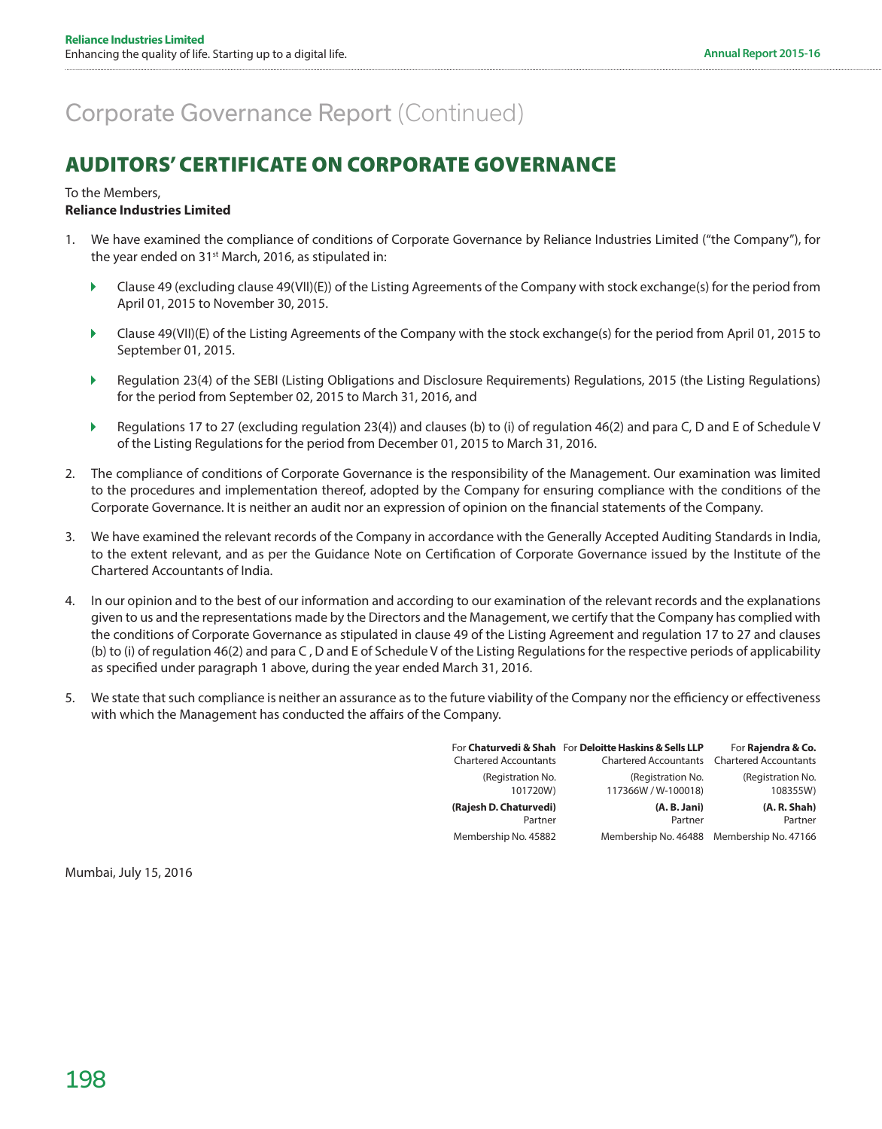## AUDITORS' CERTIFICATE ON CORPORATE GOVERNANCE

### To the Members,

#### **Reliance Industries Limited**

- 1. We have examined the compliance of conditions of Corporate Governance by Reliance Industries Limited ("the Company"), for the year ended on 31<sup>st</sup> March, 2016, as stipulated in:
	- Clause 49 (excluding clause 49(VII)(E)) of the Listing Agreements of the Company with stock exchange(s) for the period from April 01, 2015 to November 30, 2015.
	- Clause 49(VII)(E) of the Listing Agreements of the Company with the stock exchange(s) for the period from April 01, 2015 to September 01, 2015.
	- Regulation 23(4) of the SEBI (Listing Obligations and Disclosure Requirements) Regulations, 2015 (the Listing Regulations) for the period from September 02, 2015 to March 31, 2016, and
	- ▶ Regulations 17 to 27 (excluding regulation 23(4)) and clauses (b) to (i) of regulation 46(2) and para C, D and E of Schedule V of the Listing Regulations for the period from December 01, 2015 to March 31, 2016.
- 2. The compliance of conditions of Corporate Governance is the responsibility of the Management. Our examination was limited to the procedures and implementation thereof, adopted by the Company for ensuring compliance with the conditions of the Corporate Governance. It is neither an audit nor an expression of opinion on the financial statements of the Company.
- 3. We have examined the relevant records of the Company in accordance with the Generally Accepted Auditing Standards in India, to the extent relevant, and as per the Guidance Note on Certification of Corporate Governance issued by the Institute of the Chartered Accountants of India.
- 4. In our opinion and to the best of our information and according to our examination of the relevant records and the explanations given to us and the representations made by the Directors and the Management, we certify that the Company has complied with the conditions of Corporate Governance as stipulated in clause 49 of the Listing Agreement and regulation 17 to 27 and clauses (b) to (i) of regulation 46(2) and para C , D and E of Schedule V of the Listing Regulations for the respective periods of applicability as specified under paragraph 1 above, during the year ended March 31, 2016.
- 5. We state that such compliance is neither an assurance as to the future viability of the Company nor the efficiency or effectiveness with which the Management has conducted the affairs of the Company.

|                                   | For Chaturvedi & Shah For Deloitte Haskins & Sells LLP | For Rajendra & Co.                          |
|-----------------------------------|--------------------------------------------------------|---------------------------------------------|
| <b>Chartered Accountants</b>      |                                                        | Chartered Accountants Chartered Accountants |
| (Registration No.<br>101720W)     | (Registration No.<br>117366W / W-100018)               | (Registration No.<br>108355W)               |
| (Rajesh D. Chaturvedi)<br>Partner | (A. B. Jani)<br>Partner                                | (A.R. Shah)<br>Partner                      |
| Membership No. 45882              |                                                        | Membership No. 46488 Membership No. 47166   |

Mumbai, July 15, 2016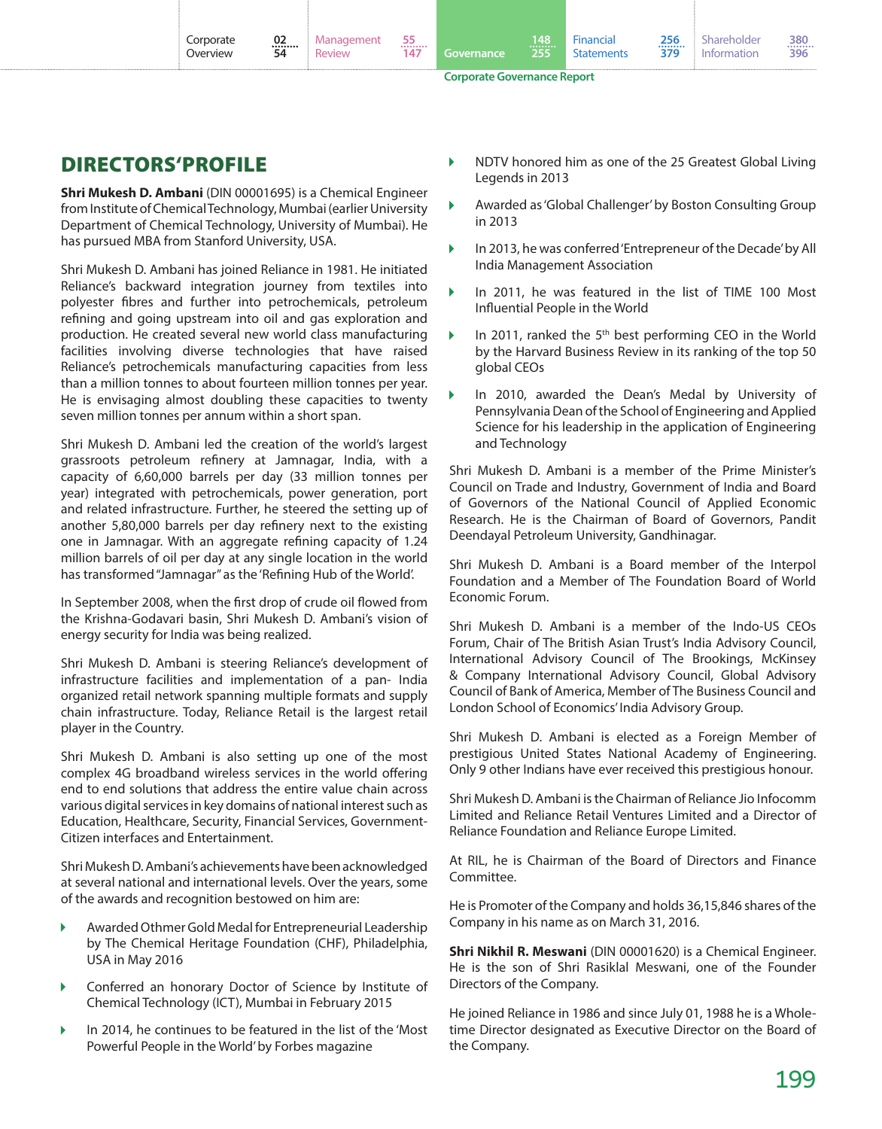**Corporate Governance Report**

**148 255**

**Governance**

Management Review

**02 54** **55 147**

#### Shareholder Information **380 396**

## DIRECTORS'PROFILE

Corporate Overview

**Shri Mukesh D. Ambani** (DIN 00001695) is a Chemical Engineer from Institute of Chemical Technology, Mumbai (earlier University Department of Chemical Technology, University of Mumbai). He has pursued MBA from Stanford University, USA.

Shri Mukesh D. Ambani has joined Reliance in 1981. He initiated Reliance's backward integration journey from textiles into polyester fibres and further into petrochemicals, petroleum refining and going upstream into oil and gas exploration and production. He created several new world class manufacturing facilities involving diverse technologies that have raised Reliance's petrochemicals manufacturing capacities from less than a million tonnes to about fourteen million tonnes per year. He is envisaging almost doubling these capacities to twenty seven million tonnes per annum within a short span.

Shri Mukesh D. Ambani led the creation of the world's largest grassroots petroleum refinery at Jamnagar, India, with a capacity of 6,60,000 barrels per day (33 million tonnes per year) integrated with petrochemicals, power generation, port and related infrastructure. Further, he steered the setting up of another 5,80,000 barrels per day refinery next to the existing one in Jamnagar. With an aggregate refining capacity of 1.24 million barrels of oil per day at any single location in the world has transformed "Jamnagar" as the 'Refining Hub of the World'.

In September 2008, when the first drop of crude oil flowed from the Krishna-Godavari basin, Shri Mukesh D. Ambani's vision of energy security for India was being realized.

Shri Mukesh D. Ambani is steering Reliance's development of infrastructure facilities and implementation of a pan- India organized retail network spanning multiple formats and supply chain infrastructure. Today, Reliance Retail is the largest retail player in the Country.

Shri Mukesh D. Ambani is also setting up one of the most complex 4G broadband wireless services in the world offering end to end solutions that address the entire value chain across various digital services in key domains of national interest such as Education, Healthcare, Security, Financial Services, Government-Citizen interfaces and Entertainment.

Shri Mukesh D. Ambani's achievements have been acknowledged at several national and international levels. Over the years, some of the awards and recognition bestowed on him are:

- Awarded Othmer Gold Medal for Entrepreneurial Leadership by The Chemical Heritage Foundation (CHF), Philadelphia, USA in May 2016
- Conferred an honorary Doctor of Science by Institute of Chemical Technology (ICT), Mumbai in February 2015
- In 2014, he continues to be featured in the list of the 'Most Powerful People in the World' by Forbes magazine

 NDTV honored him as one of the 25 Greatest Global Living Legends in 2013

**256 379**

Financial **Statements** 

- Awarded as 'Global Challenger' by Boston Consulting Group in 2013
- In 2013, he was conferred 'Entrepreneur of the Decade' by All India Management Association
- In 2011, he was featured in the list of TIME 100 Most Influential People in the World
- In 2011, ranked the  $5<sup>th</sup>$  best performing CEO in the World by the Harvard Business Review in its ranking of the top 50 global CEOs
- In 2010, awarded the Dean's Medal by University of Pennsylvania Dean of the School of Engineering and Applied Science for his leadership in the application of Engineering and Technology

Shri Mukesh D. Ambani is a member of the Prime Minister's Council on Trade and Industry, Government of India and Board of Governors of the National Council of Applied Economic Research. He is the Chairman of Board of Governors, Pandit Deendayal Petroleum University, Gandhinagar.

Shri Mukesh D. Ambani is a Board member of the Interpol Foundation and a Member of The Foundation Board of World Economic Forum.

Shri Mukesh D. Ambani is a member of the Indo-US CEOs Forum, Chair of The British Asian Trust's India Advisory Council, International Advisory Council of The Brookings, McKinsey & Company International Advisory Council, Global Advisory Council of Bank of America, Member of The Business Council and London School of Economics' India Advisory Group.

Shri Mukesh D. Ambani is elected as a Foreign Member of prestigious United States National Academy of Engineering. Only 9 other Indians have ever received this prestigious honour.

Shri Mukesh D. Ambani is the Chairman of Reliance Jio Infocomm Limited and Reliance Retail Ventures Limited and a Director of Reliance Foundation and Reliance Europe Limited.

At RIL, he is Chairman of the Board of Directors and Finance Committee.

He is Promoter of the Company and holds 36,15,846 shares of the Company in his name as on March 31, 2016.

**Shri Nikhil R. Meswani** (DIN 00001620) is a Chemical Engineer. He is the son of Shri Rasiklal Meswani, one of the Founder Directors of the Company.

He joined Reliance in 1986 and since July 01, 1988 he is a Wholetime Director designated as Executive Director on the Board of the Company.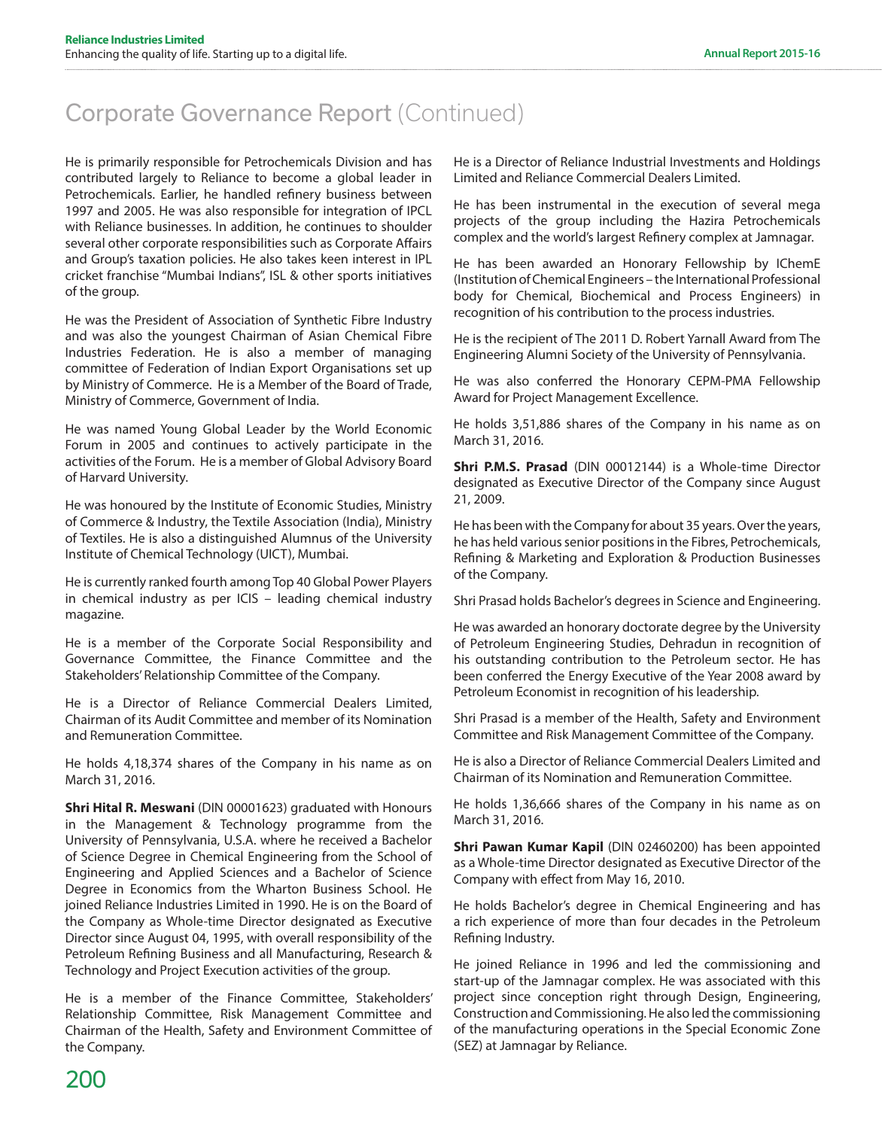He is primarily responsible for Petrochemicals Division and has contributed largely to Reliance to become a global leader in Petrochemicals. Earlier, he handled refinery business between 1997 and 2005. He was also responsible for integration of IPCL with Reliance businesses. In addition, he continues to shoulder several other corporate responsibilities such as Corporate Affairs and Group's taxation policies. He also takes keen interest in IPL cricket franchise "Mumbai Indians", ISL & other sports initiatives of the group.

He was the President of Association of Synthetic Fibre Industry and was also the youngest Chairman of Asian Chemical Fibre Industries Federation. He is also a member of managing committee of Federation of Indian Export Organisations set up by Ministry of Commerce. He is a Member of the Board of Trade, Ministry of Commerce, Government of India.

He was named Young Global Leader by the World Economic Forum in 2005 and continues to actively participate in the activities of the Forum. He is a member of Global Advisory Board of Harvard University.

He was honoured by the Institute of Economic Studies, Ministry of Commerce & Industry, the Textile Association (India), Ministry of Textiles. He is also a distinguished Alumnus of the University Institute of Chemical Technology (UICT), Mumbai.

He is currently ranked fourth among Top 40 Global Power Players in chemical industry as per ICIS – leading chemical industry magazine.

He is a member of the Corporate Social Responsibility and Governance Committee, the Finance Committee and the Stakeholders' Relationship Committee of the Company.

He is a Director of Reliance Commercial Dealers Limited, Chairman of its Audit Committee and member of its Nomination and Remuneration Committee.

He holds 4,18,374 shares of the Company in his name as on March 31, 2016.

**Shri Hital R. Meswani** (DIN 00001623) graduated with Honours in the Management & Technology programme from the University of Pennsylvania, U.S.A. where he received a Bachelor of Science Degree in Chemical Engineering from the School of Engineering and Applied Sciences and a Bachelor of Science Degree in Economics from the Wharton Business School. He joined Reliance Industries Limited in 1990. He is on the Board of the Company as Whole-time Director designated as Executive Director since August 04, 1995, with overall responsibility of the Petroleum Refining Business and all Manufacturing, Research & Technology and Project Execution activities of the group.

He is a member of the Finance Committee, Stakeholders' Relationship Committee, Risk Management Committee and Chairman of the Health, Safety and Environment Committee of the Company.

He is a Director of Reliance Industrial Investments and Holdings Limited and Reliance Commercial Dealers Limited.

He has been instrumental in the execution of several mega projects of the group including the Hazira Petrochemicals complex and the world's largest Refinery complex at Jamnagar.

He has been awarded an Honorary Fellowship by IChemE (Institution of Chemical Engineers – the International Professional body for Chemical, Biochemical and Process Engineers) in recognition of his contribution to the process industries.

He is the recipient of The 2011 D. Robert Yarnall Award from The Engineering Alumni Society of the University of Pennsylvania.

He was also conferred the Honorary CEPM-PMA Fellowship Award for Project Management Excellence.

He holds 3,51,886 shares of the Company in his name as on March 31, 2016.

**Shri P.M.S. Prasad** (DIN 00012144) is a Whole-time Director designated as Executive Director of the Company since August 21, 2009.

He has been with the Company for about 35 years. Over the years, he has held various senior positions in the Fibres, Petrochemicals, Refining & Marketing and Exploration & Production Businesses of the Company.

Shri Prasad holds Bachelor's degrees in Science and Engineering.

He was awarded an honorary doctorate degree by the University of Petroleum Engineering Studies, Dehradun in recognition of his outstanding contribution to the Petroleum sector. He has been conferred the Energy Executive of the Year 2008 award by Petroleum Economist in recognition of his leadership.

Shri Prasad is a member of the Health, Safety and Environment Committee and Risk Management Committee of the Company.

He is also a Director of Reliance Commercial Dealers Limited and Chairman of its Nomination and Remuneration Committee.

He holds 1,36,666 shares of the Company in his name as on March 31, 2016.

**Shri Pawan Kumar Kapil** (DIN 02460200) has been appointed as a Whole-time Director designated as Executive Director of the Company with effect from May 16, 2010.

He holds Bachelor's degree in Chemical Engineering and has a rich experience of more than four decades in the Petroleum Refining Industry.

He joined Reliance in 1996 and led the commissioning and start-up of the Jamnagar complex. He was associated with this project since conception right through Design, Engineering, Construction and Commissioning. He also led the commissioning of the manufacturing operations in the Special Economic Zone (SEZ) at Jamnagar by Reliance.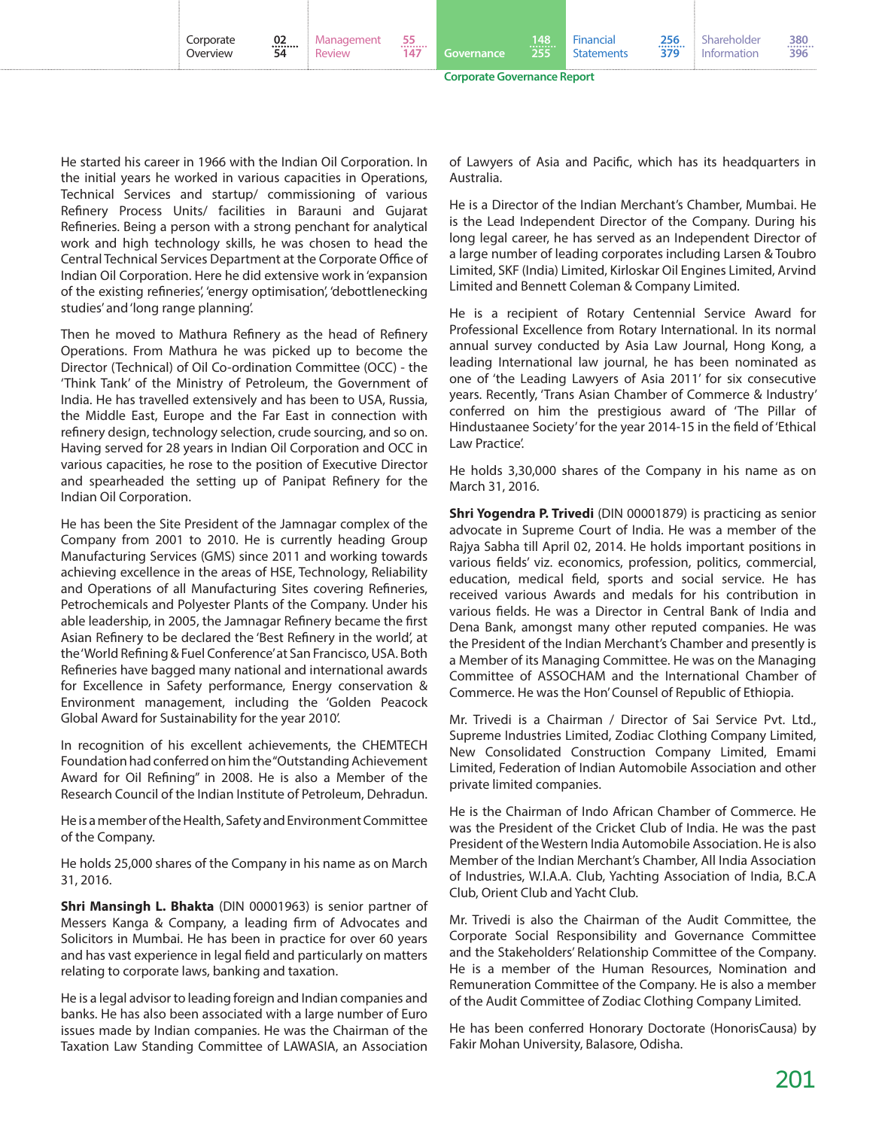**Governance** Corporate Overview Financial **Statements** Shareholder Information Management Review **148 255 256 379 380 396 55 147 02 54**

He started his career in 1966 with the Indian Oil Corporation. In the initial years he worked in various capacities in Operations, Technical Services and startup/ commissioning of various Refinery Process Units/ facilities in Barauni and Gujarat Refineries. Being a person with a strong penchant for analytical work and high technology skills, he was chosen to head the Central Technical Services Department at the Corporate Office of Indian Oil Corporation. Here he did extensive work in 'expansion of the existing refineries', 'energy optimisation', 'debottlenecking studies' and 'long range planning'.

Then he moved to Mathura Refinery as the head of Refinery Operations. From Mathura he was picked up to become the Director (Technical) of Oil Co-ordination Committee (OCC) - the 'Think Tank' of the Ministry of Petroleum, the Government of India. He has travelled extensively and has been to USA, Russia, the Middle East, Europe and the Far East in connection with refinery design, technology selection, crude sourcing, and so on. Having served for 28 years in Indian Oil Corporation and OCC in various capacities, he rose to the position of Executive Director and spearheaded the setting up of Panipat Refinery for the Indian Oil Corporation.

He has been the Site President of the Jamnagar complex of the Company from 2001 to 2010. He is currently heading Group Manufacturing Services (GMS) since 2011 and working towards achieving excellence in the areas of HSE, Technology, Reliability and Operations of all Manufacturing Sites covering Refineries, Petrochemicals and Polyester Plants of the Company. Under his able leadership, in 2005, the Jamnagar Refinery became the first Asian Refinery to be declared the 'Best Refinery in the world', at the 'World Refining & Fuel Conference' at San Francisco, USA. Both Refineries have bagged many national and international awards for Excellence in Safety performance, Energy conservation & Environment management, including the 'Golden Peacock Global Award for Sustainability for the year 2010'.

In recognition of his excellent achievements, the CHEMTECH Foundation had conferred on him the "Outstanding Achievement Award for Oil Refining" in 2008. He is also a Member of the Research Council of the Indian Institute of Petroleum, Dehradun.

He is a member of the Health, Safety and Environment Committee of the Company.

He holds 25,000 shares of the Company in his name as on March 31, 2016.

**Shri Mansingh L. Bhakta** (DIN 00001963) is senior partner of Messers Kanga & Company, a leading firm of Advocates and Solicitors in Mumbai. He has been in practice for over 60 years and has vast experience in legal field and particularly on matters relating to corporate laws, banking and taxation.

He is a legal advisor to leading foreign and Indian companies and banks. He has also been associated with a large number of Euro issues made by Indian companies. He was the Chairman of the Taxation Law Standing Committee of LAWASIA, an Association

of Lawyers of Asia and Pacific, which has its headquarters in Australia.

He is a Director of the Indian Merchant's Chamber, Mumbai. He is the Lead Independent Director of the Company. During his long legal career, he has served as an Independent Director of a large number of leading corporates including Larsen & Toubro Limited, SKF (India) Limited, Kirloskar Oil Engines Limited, Arvind Limited and Bennett Coleman & Company Limited.

He is a recipient of Rotary Centennial Service Award for Professional Excellence from Rotary International. In its normal annual survey conducted by Asia Law Journal, Hong Kong, a leading International law journal, he has been nominated as one of 'the Leading Lawyers of Asia 2011' for six consecutive years. Recently, 'Trans Asian Chamber of Commerce & Industry' conferred on him the prestigious award of 'The Pillar of Hindustaanee Society' for the year 2014-15 in the field of 'Ethical Law Practice'.

He holds 3,30,000 shares of the Company in his name as on March 31, 2016.

**Shri Yogendra P. Trivedi** (DIN 00001879) is practicing as senior advocate in Supreme Court of India. He was a member of the Rajya Sabha till April 02, 2014. He holds important positions in various fields' viz. economics, profession, politics, commercial, education, medical field, sports and social service. He has received various Awards and medals for his contribution in various fields. He was a Director in Central Bank of India and Dena Bank, amongst many other reputed companies. He was the President of the Indian Merchant's Chamber and presently is a Member of its Managing Committee. He was on the Managing Committee of ASSOCHAM and the International Chamber of Commerce. He was the Hon' Counsel of Republic of Ethiopia.

Mr. Trivedi is a Chairman / Director of Sai Service Pvt. Ltd., Supreme Industries Limited, Zodiac Clothing Company Limited, New Consolidated Construction Company Limited, Emami Limited, Federation of Indian Automobile Association and other private limited companies.

He is the Chairman of Indo African Chamber of Commerce. He was the President of the Cricket Club of India. He was the past President of the Western India Automobile Association. He is also Member of the Indian Merchant's Chamber, All India Association of Industries, W.I.A.A. Club, Yachting Association of India, B.C.A Club, Orient Club and Yacht Club.

Mr. Trivedi is also the Chairman of the Audit Committee, the Corporate Social Responsibility and Governance Committee and the Stakeholders' Relationship Committee of the Company. He is a member of the Human Resources, Nomination and Remuneration Committee of the Company. He is also a member of the Audit Committee of Zodiac Clothing Company Limited.

He has been conferred Honorary Doctorate (HonorisCausa) by Fakir Mohan University, Balasore, Odisha.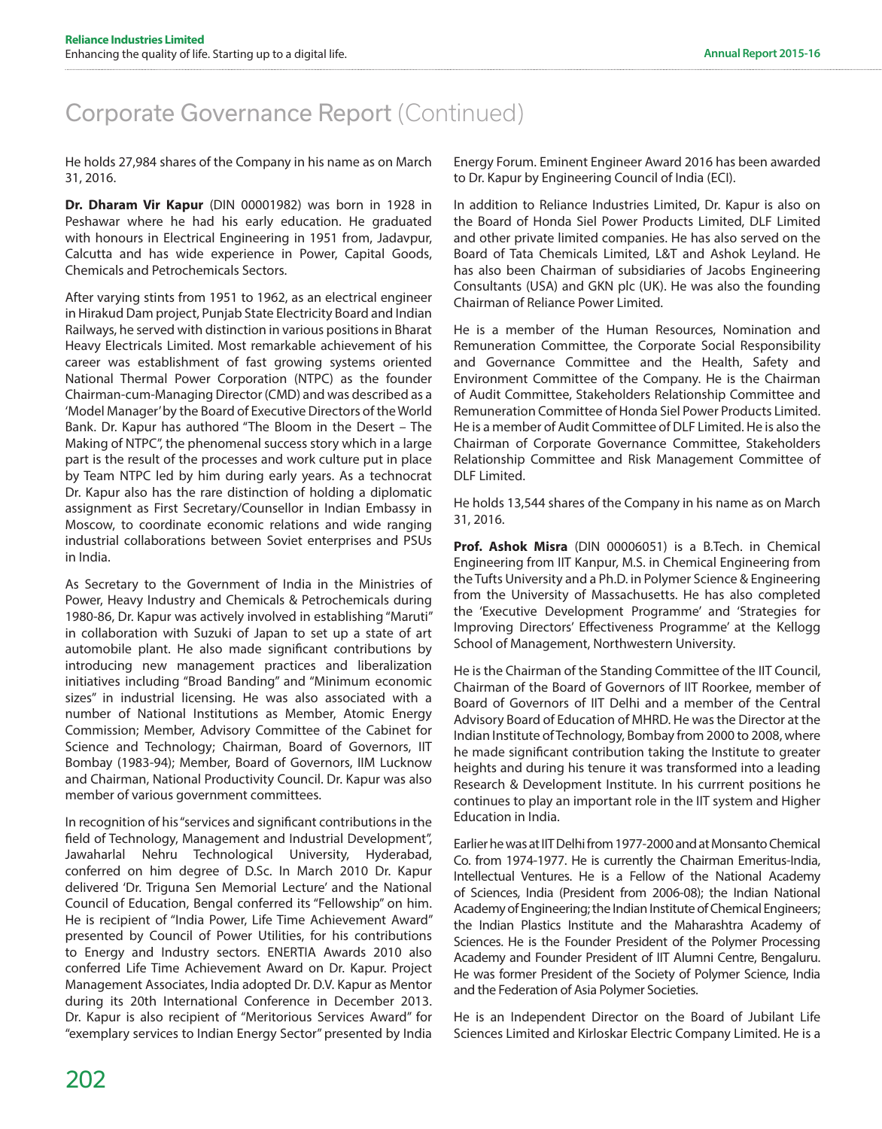He holds 27,984 shares of the Company in his name as on March 31, 2016.

**Dr. Dharam Vir Kapur** (DIN 00001982) was born in 1928 in Peshawar where he had his early education. He graduated with honours in Electrical Engineering in 1951 from, Jadavpur, Calcutta and has wide experience in Power, Capital Goods, Chemicals and Petrochemicals Sectors.

After varying stints from 1951 to 1962, as an electrical engineer in Hirakud Dam project, Punjab State Electricity Board and Indian Railways, he served with distinction in various positions in Bharat Heavy Electricals Limited. Most remarkable achievement of his career was establishment of fast growing systems oriented National Thermal Power Corporation (NTPC) as the founder Chairman-cum-Managing Director (CMD) and was described as a 'Model Manager' by the Board of Executive Directors of the World Bank. Dr. Kapur has authored "The Bloom in the Desert – The Making of NTPC", the phenomenal success story which in a large part is the result of the processes and work culture put in place by Team NTPC led by him during early years. As a technocrat Dr. Kapur also has the rare distinction of holding a diplomatic assignment as First Secretary/Counsellor in Indian Embassy in Moscow, to coordinate economic relations and wide ranging industrial collaborations between Soviet enterprises and PSUs in India.

As Secretary to the Government of India in the Ministries of Power, Heavy Industry and Chemicals & Petrochemicals during 1980-86, Dr. Kapur was actively involved in establishing "Maruti" in collaboration with Suzuki of Japan to set up a state of art automobile plant. He also made significant contributions by introducing new management practices and liberalization initiatives including "Broad Banding" and "Minimum economic sizes" in industrial licensing. He was also associated with a number of National Institutions as Member, Atomic Energy Commission; Member, Advisory Committee of the Cabinet for Science and Technology; Chairman, Board of Governors, IIT Bombay (1983-94); Member, Board of Governors, IIM Lucknow and Chairman, National Productivity Council. Dr. Kapur was also member of various government committees.

In recognition of his "services and significant contributions in the field of Technology, Management and Industrial Development", Jawaharlal Nehru Technological University, Hyderabad, conferred on him degree of D.Sc. In March 2010 Dr. Kapur delivered 'Dr. Triguna Sen Memorial Lecture' and the National Council of Education, Bengal conferred its "Fellowship" on him. He is recipient of "India Power, Life Time Achievement Award" presented by Council of Power Utilities, for his contributions to Energy and Industry sectors. ENERTIA Awards 2010 also conferred Life Time Achievement Award on Dr. Kapur. Project Management Associates, India adopted Dr. D.V. Kapur as Mentor during its 20th International Conference in December 2013. Dr. Kapur is also recipient of "Meritorious Services Award" for "exemplary services to Indian Energy Sector" presented by India

Energy Forum. Eminent Engineer Award 2016 has been awarded to Dr. Kapur by Engineering Council of India (ECI).

In addition to Reliance Industries Limited, Dr. Kapur is also on the Board of Honda Siel Power Products Limited, DLF Limited and other private limited companies. He has also served on the Board of Tata Chemicals Limited, L&T and Ashok Leyland. He has also been Chairman of subsidiaries of Jacobs Engineering Consultants (USA) and GKN plc (UK). He was also the founding Chairman of Reliance Power Limited.

He is a member of the Human Resources, Nomination and Remuneration Committee, the Corporate Social Responsibility and Governance Committee and the Health, Safety and Environment Committee of the Company. He is the Chairman of Audit Committee, Stakeholders Relationship Committee and Remuneration Committee of Honda Siel Power Products Limited. He is a member of Audit Committee of DLF Limited. He is also the Chairman of Corporate Governance Committee, Stakeholders Relationship Committee and Risk Management Committee of DLF Limited.

He holds 13,544 shares of the Company in his name as on March 31, 2016.

**Prof. Ashok Misra** (DIN 00006051) is a B.Tech. in Chemical Engineering from IIT Kanpur, M.S. in Chemical Engineering from the Tufts University and a Ph.D. in Polymer Science & Engineering from the University of Massachusetts. He has also completed the 'Executive Development Programme' and 'Strategies for Improving Directors' Effectiveness Programme' at the Kellogg School of Management, Northwestern University.

He is the Chairman of the Standing Committee of the IIT Council, Chairman of the Board of Governors of IIT Roorkee, member of Board of Governors of IIT Delhi and a member of the Central Advisory Board of Education of MHRD. He was the Director at the Indian Institute of Technology, Bombay from 2000 to 2008, where he made significant contribution taking the Institute to greater heights and during his tenure it was transformed into a leading Research & Development Institute. In his currrent positions he continues to play an important role in the IIT system and Higher Education in India.

Earlier he was at IIT Delhi from 1977-2000 and at Monsanto Chemical Co. from 1974-1977. He is currently the Chairman Emeritus-India, Intellectual Ventures. He is a Fellow of the National Academy of Sciences, India (President from 2006-08); the Indian National Academy of Engineering; the Indian Institute of Chemical Engineers; the Indian Plastics Institute and the Maharashtra Academy of Sciences. He is the Founder President of the Polymer Processing Academy and Founder President of IIT Alumni Centre, Bengaluru. He was former President of the Society of Polymer Science, India and the Federation of Asia Polymer Societies.

He is an Independent Director on the Board of Jubilant Life Sciences Limited and Kirloskar Electric Company Limited. He is a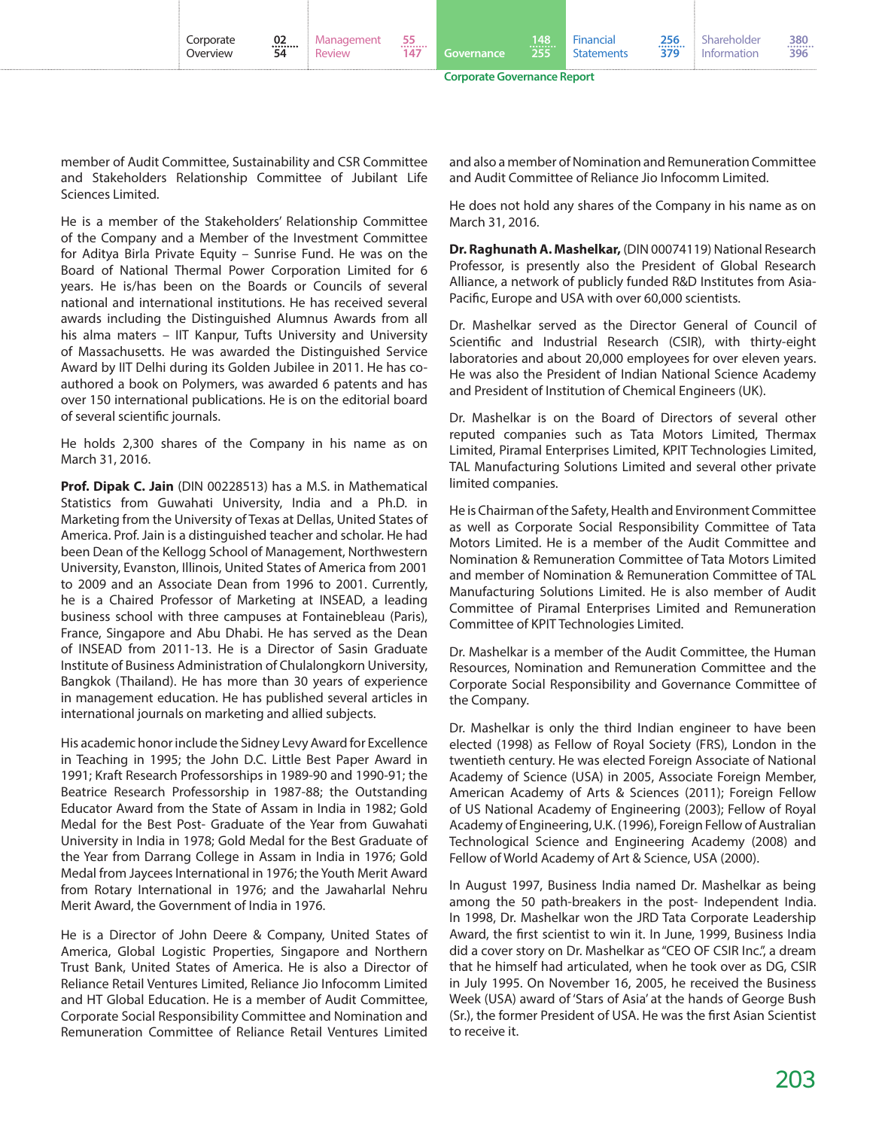Management Review

**55**



**Corporate Governance Report**

member of Audit Committee, Sustainability and CSR Committee and Stakeholders Relationship Committee of Jubilant Life Sciences Limited.

**02 54**

He is a member of the Stakeholders' Relationship Committee of the Company and a Member of the Investment Committee for Aditya Birla Private Equity – Sunrise Fund. He was on the Board of National Thermal Power Corporation Limited for 6 years. He is/has been on the Boards or Councils of several national and international institutions. He has received several awards including the Distinguished Alumnus Awards from all his alma maters – IIT Kanpur, Tufts University and University of Massachusetts. He was awarded the Distinguished Service Award by IIT Delhi during its Golden Jubilee in 2011. He has coauthored a book on Polymers, was awarded 6 patents and has over 150 international publications. He is on the editorial board of several scientific journals.

He holds 2,300 shares of the Company in his name as on March 31, 2016.

**Prof. Dipak C. Jain** (DIN 00228513) has a M.S. in Mathematical Statistics from Guwahati University, India and a Ph.D. in Marketing from the University of Texas at Dellas, United States of America. Prof. Jain is a distinguished teacher and scholar. He had been Dean of the Kellogg School of Management, Northwestern University, Evanston, Illinois, United States of America from 2001 to 2009 and an Associate Dean from 1996 to 2001. Currently, he is a Chaired Professor of Marketing at INSEAD, a leading business school with three campuses at Fontainebleau (Paris), France, Singapore and Abu Dhabi. He has served as the Dean of INSEAD from 2011-13. He is a Director of Sasin Graduate Institute of Business Administration of Chulalongkorn University, Bangkok (Thailand). He has more than 30 years of experience in management education. He has published several articles in international journals on marketing and allied subjects.

His academic honor include the Sidney Levy Award for Excellence in Teaching in 1995; the John D.C. Little Best Paper Award in 1991; Kraft Research Professorships in 1989-90 and 1990-91; the Beatrice Research Professorship in 1987-88; the Outstanding Educator Award from the State of Assam in India in 1982; Gold Medal for the Best Post- Graduate of the Year from Guwahati University in India in 1978; Gold Medal for the Best Graduate of the Year from Darrang College in Assam in India in 1976; Gold Medal from Jaycees International in 1976; the Youth Merit Award from Rotary International in 1976; and the Jawaharlal Nehru Merit Award, the Government of India in 1976.

He is a Director of John Deere & Company, United States of America, Global Logistic Properties, Singapore and Northern Trust Bank, United States of America. He is also a Director of Reliance Retail Ventures Limited, Reliance Jio Infocomm Limited and HT Global Education. He is a member of Audit Committee, Corporate Social Responsibility Committee and Nomination and Remuneration Committee of Reliance Retail Ventures Limited

and also a member of Nomination and Remuneration Committee and Audit Committee of Reliance Jio Infocomm Limited.

He does not hold any shares of the Company in his name as on March 31, 2016.

**Dr. Raghunath A. Mashelkar,** (DIN 00074119) National Research Professor, is presently also the President of Global Research Alliance, a network of publicly funded R&D Institutes from Asia-Pacific, Europe and USA with over 60,000 scientists.

Dr. Mashelkar served as the Director General of Council of Scientific and Industrial Research (CSIR), with thirty-eight laboratories and about 20,000 employees for over eleven years. He was also the President of Indian National Science Academy and President of Institution of Chemical Engineers (UK).

Dr. Mashelkar is on the Board of Directors of several other reputed companies such as Tata Motors Limited, Thermax Limited, Piramal Enterprises Limited, KPIT Technologies Limited, TAL Manufacturing Solutions Limited and several other private limited companies.

He is Chairman of the Safety, Health and Environment Committee as well as Corporate Social Responsibility Committee of Tata Motors Limited. He is a member of the Audit Committee and Nomination & Remuneration Committee of Tata Motors Limited and member of Nomination & Remuneration Committee of TAL Manufacturing Solutions Limited. He is also member of Audit Committee of Piramal Enterprises Limited and Remuneration Committee of KPIT Technologies Limited.

Dr. Mashelkar is a member of the Audit Committee, the Human Resources, Nomination and Remuneration Committee and the Corporate Social Responsibility and Governance Committee of the Company.

Dr. Mashelkar is only the third Indian engineer to have been elected (1998) as Fellow of Royal Society (FRS), London in the twentieth century. He was elected Foreign Associate of National Academy of Science (USA) in 2005, Associate Foreign Member, American Academy of Arts & Sciences (2011); Foreign Fellow of US National Academy of Engineering (2003); Fellow of Royal Academy of Engineering, U.K. (1996), Foreign Fellow of Australian Technological Science and Engineering Academy (2008) and Fellow of World Academy of Art & Science, USA (2000).

In August 1997, Business India named Dr. Mashelkar as being among the 50 path-breakers in the post- Independent India. In 1998, Dr. Mashelkar won the JRD Tata Corporate Leadership Award, the first scientist to win it. In June, 1999, Business India did a cover story on Dr. Mashelkar as "CEO OF CSIR Inc.", a dream that he himself had articulated, when he took over as DG, CSIR in July 1995. On November 16, 2005, he received the Business Week (USA) award of 'Stars of Asia' at the hands of George Bush (Sr.), the former President of USA. He was the first Asian Scientist to receive it.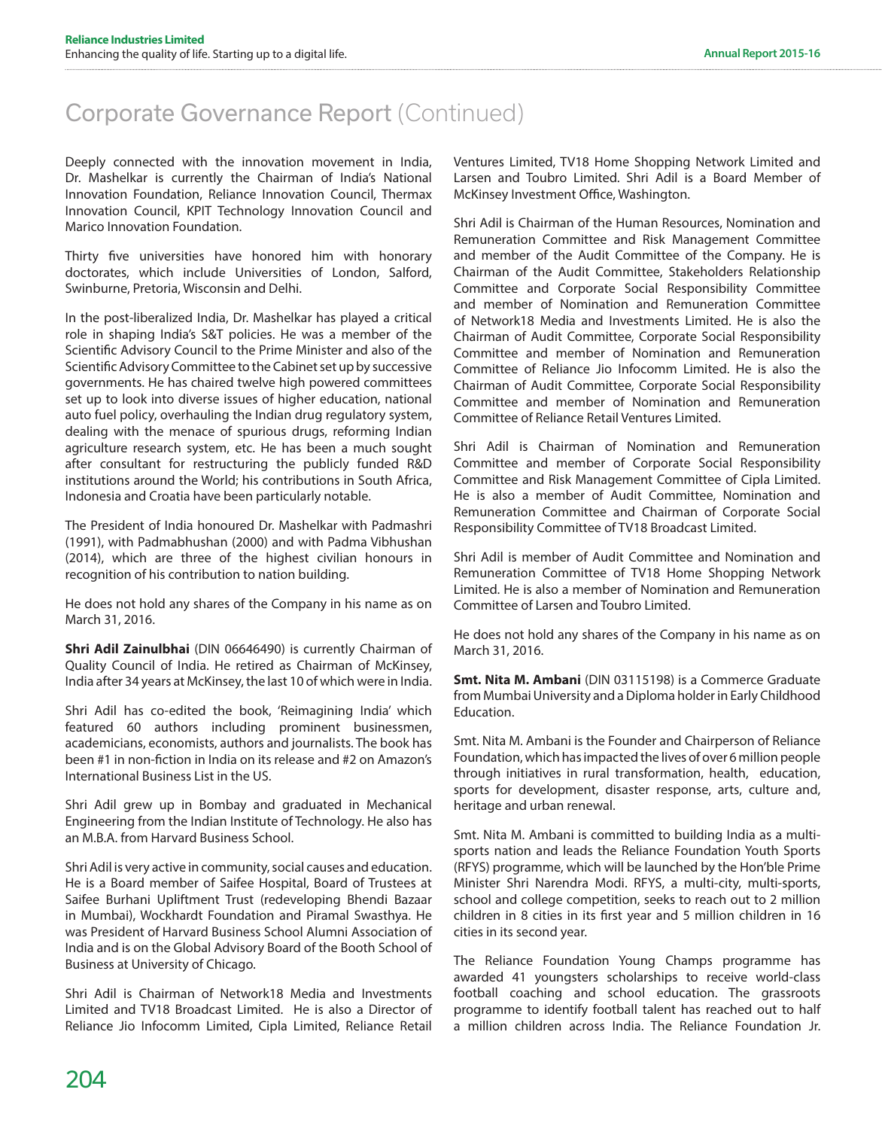Deeply connected with the innovation movement in India, Dr. Mashelkar is currently the Chairman of India's National Innovation Foundation, Reliance Innovation Council, Thermax Innovation Council, KPIT Technology Innovation Council and Marico Innovation Foundation.

Thirty five universities have honored him with honorary doctorates, which include Universities of London, Salford, Swinburne, Pretoria, Wisconsin and Delhi.

In the post-liberalized India, Dr. Mashelkar has played a critical role in shaping India's S&T policies. He was a member of the Scientific Advisory Council to the Prime Minister and also of the Scientific Advisory Committee to the Cabinet set up by successive governments. He has chaired twelve high powered committees set up to look into diverse issues of higher education, national auto fuel policy, overhauling the Indian drug regulatory system, dealing with the menace of spurious drugs, reforming Indian agriculture research system, etc. He has been a much sought after consultant for restructuring the publicly funded R&D institutions around the World; his contributions in South Africa, Indonesia and Croatia have been particularly notable.

The President of India honoured Dr. Mashelkar with Padmashri (1991), with Padmabhushan (2000) and with Padma Vibhushan (2014), which are three of the highest civilian honours in recognition of his contribution to nation building.

He does not hold any shares of the Company in his name as on March 31, 2016.

**Shri Adil Zainulbhai** (DIN 06646490) is currently Chairman of Quality Council of India. He retired as Chairman of McKinsey, India after 34 years at McKinsey, the last 10 of which were in India.

Shri Adil has co-edited the book, 'Reimagining India' which featured 60 authors including prominent businessmen, academicians, economists, authors and journalists. The book has been #1 in non-fiction in India on its release and #2 on Amazon's International Business List in the US.

Shri Adil grew up in Bombay and graduated in Mechanical Engineering from the Indian Institute of Technology. He also has an M.B.A. from Harvard Business School.

Shri Adil is very active in community, social causes and education. He is a Board member of Saifee Hospital, Board of Trustees at Saifee Burhani Upliftment Trust (redeveloping Bhendi Bazaar in Mumbai), Wockhardt Foundation and Piramal Swasthya. He was President of Harvard Business School Alumni Association of India and is on the Global Advisory Board of the Booth School of Business at University of Chicago.

Shri Adil is Chairman of Network18 Media and Investments Limited and TV18 Broadcast Limited. He is also a Director of Reliance Jio Infocomm Limited, Cipla Limited, Reliance Retail

Ventures Limited, TV18 Home Shopping Network Limited and Larsen and Toubro Limited. Shri Adil is a Board Member of McKinsey Investment Office, Washington.

Shri Adil is Chairman of the Human Resources, Nomination and Remuneration Committee and Risk Management Committee and member of the Audit Committee of the Company. He is Chairman of the Audit Committee, Stakeholders Relationship Committee and Corporate Social Responsibility Committee and member of Nomination and Remuneration Committee of Network18 Media and Investments Limited. He is also the Chairman of Audit Committee, Corporate Social Responsibility Committee and member of Nomination and Remuneration Committee of Reliance Jio Infocomm Limited. He is also the Chairman of Audit Committee, Corporate Social Responsibility Committee and member of Nomination and Remuneration Committee of Reliance Retail Ventures Limited.

Shri Adil is Chairman of Nomination and Remuneration Committee and member of Corporate Social Responsibility Committee and Risk Management Committee of Cipla Limited. He is also a member of Audit Committee, Nomination and Remuneration Committee and Chairman of Corporate Social Responsibility Committee of TV18 Broadcast Limited.

Shri Adil is member of Audit Committee and Nomination and Remuneration Committee of TV18 Home Shopping Network Limited. He is also a member of Nomination and Remuneration Committee of Larsen and Toubro Limited.

He does not hold any shares of the Company in his name as on March 31, 2016.

**Smt. Nita M. Ambani** (DIN 03115198) is a Commerce Graduate from Mumbai University and a Diploma holder in Early Childhood Education.

Smt. Nita M. Ambani is the Founder and Chairperson of Reliance Foundation, which has impacted the lives of over 6 million people through initiatives in rural transformation, health, education, sports for development, disaster response, arts, culture and, heritage and urban renewal.

Smt. Nita M. Ambani is committed to building India as a multisports nation and leads the Reliance Foundation Youth Sports (RFYS) programme, which will be launched by the Hon'ble Prime Minister Shri Narendra Modi. RFYS, a multi-city, multi-sports, school and college competition, seeks to reach out to 2 million children in 8 cities in its first year and 5 million children in 16 cities in its second year.

The Reliance Foundation Young Champs programme has awarded 41 youngsters scholarships to receive world-class football coaching and school education. The grassroots programme to identify football talent has reached out to half a million children across India. The Reliance Foundation Jr.